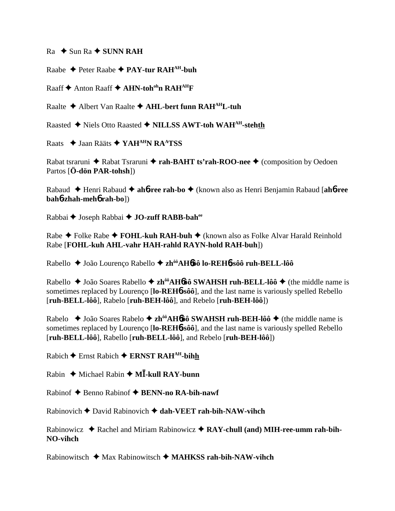$Ra \rightarrow Sun Ra \rightarrow SUNN RAH$ 

Raabe Peter Raabe **PAY-tur RAHAH-buh**

Raaff **↑** Anton Raaff **↑ AHN-toh<sup>oh</sup>n RAH<sup>AH</sup>F** 

Raalte Albert Van Raalte **AHL-bert funn RAHAHL-tuh**

Raasted Niels Otto Raasted **NILLSS AWT-toh WAHAH-stehth**

Raats **→ Jaan Rääts → YAH<sup>AH</sup>N RA<sup>A</sup>TSS** 

Rabat tsraruni ◆ Rabat Tsraruni ◆ rah-BAHT ts'rah-ROO-nee ◆ (composition by Oedoen Partos [**Ö-dön PAR-tohsh**])

Rabaud Henri Rabaud **ah**6**-ree rah-bo** (known also as Henri Benjamin Rabaud [**ah**6**-ree bah**6**-zhah-meh**6 **rah-bo**])

Rabbai **←** Joseph Rabbai ← **JO-zuff RABB-bah**<sup>ee</sup>

Rabe **→** Folke Rabe → **FOHL-kuh RAH-buh →** (known also as Folke Alvar Harald Reinhold Rabe [**FOHL-kuh AHL-vahr HAH-rahld RAYN-hold RAH-buh**])

Rabello João Lourenço Rabello **zhôôAH**6**ôô lo-REH**6**-sôô ruh-BELL-lôô**

Rabello ◆ João Soares Rabello ◆ zh<sup>ôô</sup>AH6ôô SWAHSH ruh-BELL-lôô ◆ (the middle name is sometimes replaced by Lourenço [**lo-REH**6**-sôô**], and the last name is variously spelled Rebello [**ruh-BELL-lôô**], Rabelo [**ruh-BEH-lôô**], and Rebelo [**ruh-BEH-lôô**])

Rabelo ◆ João Soares Rabelo ◆ zh<sup>ôô</sup>AH6ôô SWAHSH ruh-BEH-lôô ◆ (the middle name is sometimes replaced by Lourenço [**lo-REH**6**-sôô**], and the last name is variously spelled Rebello [**ruh-BELL-lôô**], Rabello [**ruh-BELL-lôô**], and Rebelo [**ruh-BEH-lôô**])

 $Rabich$  Ernst Rabich  $\triangle$  **ERNST RAH<sup>AH</sup>-bihh** 

Rabin ◆ Michael Rabin ◆ M**I-kull RAY-bunn** 

Rabinof ◆ Benno Rabinof ◆ BENN-no RA-bih-nawf

Rabinovich David Rabinovich **dah-VEET rah-bih-NAW-vihch**

Rabinowicz ◆ Rachel and Miriam Rabinowicz ◆ RAY-chull (and) MIH-ree-umm rah-bih-**NO-vihch**

Rabinowitsch Max Rabinowitsch **MAHKSS rah-bih-NAW-vihch**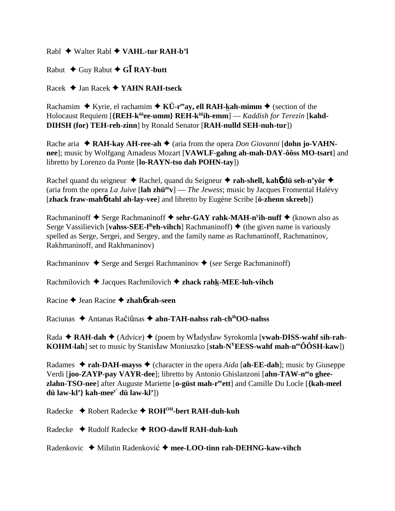Rabl Walter Rabl **VAHL-tur RAH-b'l**

Rabut  $\triangle$  Guy Rabut  $\triangle$  G**I** RAY-butt

Racek Jan Racek **YAHN RAH-tseck**

Rachamim  $\blacklozenge$  Kyrie, el rachamim  $\blacklozenge$  KÜ-r<sup>ee</sup>ay, ell RAH-kah-mimm  $\blacklozenge$  (section of the Holocaust Requiem [{REH-k<sup>ôô</sup>ee-umm} REH-k<sup>ôô</sup>ih-emm] — *Kaddish for Terezin* [kahd-**DIHSH (for) TEH-reh-zinn**] by Ronald Senator [**RAH-nulld SEH-nuh-tur**])

Rache aria **→ RAH-kay AH-ree-ah →** (aria from the opera *Don Giovanni* [**dohn jo-VAHNnee**]; music by Wolfgang Amadeus Mozart [**VAWLF-gahng ah-mah-DAY-ôôss MO-tsart**] and libretto by Lorenzo da Ponte [**lo-RAYN-tso dah POHN-tay**])

Rachel quand du seigneur **↓** Rachel, quand du Seigneur **↓ rah-shell, kah6 dü seh-n'yör ◆** (aria from the opera *La Juive* [lah zhü<sup>ee</sup>v] — *The Jewess*; music by Jacques Fromental Halévy [**zhack fraw-mah**6**-tahl ah-lay-vee**] and libretto by Eugène Scribe [**ö-zhenn skreeb**])

Rachmaninoff ◆ Serge Rachmaninoff ◆ sehr-GAY rahk-MAH-n<sup>y</sup>ih-nuff ◆ (known also as Serge Vassilievich [**vahss-SEE-l<sup>ih</sup>eh-vihch**] Rachmaninoff)  $\triangle$  (the given name is variously spelled as Serge, Sergei, and Sergey, and the family name as Rachmaninoff, Rachmaninov, Rakhmaninoff, and Rakhmaninov)

Rachmaninov **→** Serge and Sergei Rachmaninov ◆ (*see* Serge Rachmaninoff)

Rachmilovich **→** Jacques Rachmilovich **→ zhack rahk-MEE-luh-vihch** 

Racine Jean Racine **zhah**6 **rah-seen**

Raciunas ◆ Antanas Račiūnas **◆ ahn-TAH-nahss rah-ch<sup>ih</sup>OO-nahss** 

Rada **← RAH-dah ←** (Advice) ← (poem by Władysław Syrokomla [**vwah-DISS-wahf sih-rah-KOHM-lah**] set to music by Stanisław Moniuszko [stah-N<sup>Y</sup>EESS-wahf mah-n<sup>ee</sup>ÔÔSH-kaw])

Radames  $\triangle$  **rah-DAH-mayss**  $\triangle$  (character in the opera *Aida* [ah-EE-dah]; music by Giuseppe Verdi [**joo-ZAYP-pay VAYR-dee**]; libretto by Antonio Ghislanzoni [**ahn-TAW-neeo gheezlahn-TSO-nee**] after Auguste Mariette [**o-güst mah-reeett**] and Camille Du Locle [**{kah-meel dü law-kl'} kah-meey' dü law-kl'**])

Radecke Robert Radecke **ROHOH-bert RAH-duh-kuh**

Radecke **→** Rudolf Radecke → **ROO-dawlf RAH-duh-kuh** 

Radenkovic ◆ Milutin Radenković ◆ mee-LOO-tinn rah-DEHNG-kaw-vihch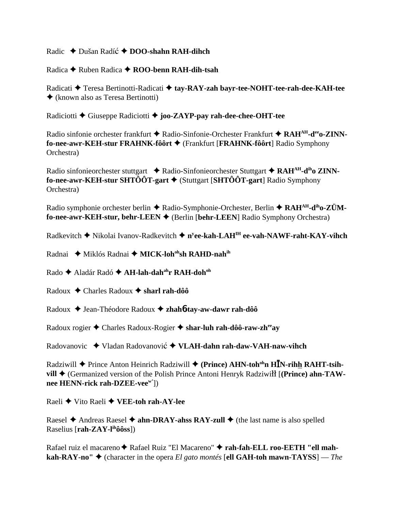Radic ◆ Dušan Radíć ◆ DOO-shahn RAH-dihch

Radica Ruben Radica **ROO-benn RAH-dih-tsah**

Radicati ◆ Teresa Bertinotti-Radicati ◆ tay-RAY-zah bayr-tee-NOHT-tee-rah-dee-KAH-tee (known also as Teresa Bertinotti)

Radiciotti Giuseppe Radiciotti **joo-ZAYP-pay rah-dee-chee-OHT-tee**

Radio sinfonie orchester frankfurt ◆ Radio-Sinfonie-Orchester Frankfurt ◆ RAH<sup>AH</sup>-d<sup>ee</sup>o-ZINN**fo-nee-awr-KEH-stur FRAHNK-fôôrt** (Frankfurt [**FRAHNK-fôôrt**] Radio Symphony Orchestra)

Radio sinfonieorchester stuttgart **→** Radio-Sinfonieorchester Stuttgart ◆ RAH<sup>AH</sup>-d<sup>ih</sup>o ZINN**fo-nee-awr-KEH-stur SHTÔÔT-gart** (Stuttgart [**SHTÔÔT-gart**] Radio Symphony Orchestra)

Radio symphonie orchester berlin ◆ Radio-Symphonie-Orchester, Berlin ◆ RAH<sup>AH</sup>-d<sup>ih</sup>o-ZÜM**fo-nee-awr-KEH-stur, behr-LEEN** (Berlin [**behr-LEEN**] Radio Symphony Orchestra)

Radkevitch Nikolai Ivanov-Radkevitch **ny ee-kah-LAHIH ee-vah-NAWF-raht-KAY-vihch**

Radnai ◆ Miklós Radnai ◆ MICK-loh<sup>oh</sup>sh RAHD-nah<sup>ih</sup>

Rado ◆ Aladár Radó ◆ **AH-lah-dah<sup>ah</sup>r RAH-doh**<sup>oh</sup>

Radoux Charles Radoux **sharl rah-dôô**

Radoux ♦ Jean-Théodore Radoux ♦ zhah**6-tay-aw-dawr rah-dôô** 

Radoux rogier Charles Radoux-Rogier **shar-luh rah-dôô-raw-zheeay**

Radovanovic ◆ Vladan Radovanović ◆ VLAH-dahn rah-daw-VAH-naw-vihch

Radziwill ◆ Prince Anton Heinrich Radziwill ◆ (Prince) AHN-toh<sup>oh</sup>n H**I**N-rihh RAHT-tsih**vill ♦** (Germanized version of the Polish Prince Antoni Henryk Radziwi<sup>11</sup> [(Prince) ahn-TAW**nee HENN-rick rah-DZEE-veew'**])

Raeli Vito Raeli **VEE-toh rah-AY-lee**

Raesel  $\triangle$  Andreas Raesel  $\triangle$  **ahn-DRAY-ahss RAY-zull**  $\triangle$  (the last name is also spelled Raselius [**rah-ZAY-lihôôss**])

Rafael ruiz el macareno ◆ Rafael Ruiz "El Macareno" ◆ rah-fah-ELL roo-EETH "ell mah**kah-RAY-no"**  $\blacklozenge$  (character in the opera *El gato montés* [ell GAH-toh mawn-TAYSS] — *The*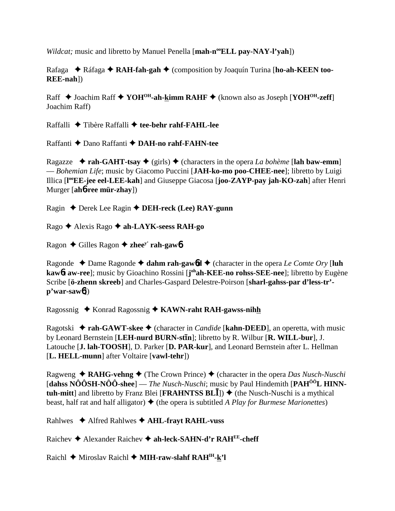*Wildcat;* music and libretto by Manuel Penella [**mah-n<sup>oo</sup>ELL pay-NAY-l'vah**])

Rafaga ◆ Ráfaga ◆ **RAH-fah-gah** ◆ (composition by Joaquín Turina [**ho-ah-KEEN too-REE-nah**])

Raff **→** Joachim Raff ◆ YOH<sup>OH</sup>-ah-kimm RAHF ◆ (known also as Joseph [YOH<sup>OH</sup>-zeff] Joachim Raff)

Raffalli ◆ Tibère Raffalli ◆ tee-behr rahf-FAHL-lee

Raffanti Dano Raffanti **DAH-no rahf-FAHN-tee**

Ragazze  $\rightarrow$  **rah-GAHT-tsay**  $\rightarrow$  (girls)  $\rightarrow$  (characters in the opera *La bohème* [lah baw-emm] — *Bohemian Life*; music by Giacomo Puccini [**JAH-ko-mo poo-CHEE-nee**]; libretto by Luigi Illica [**l ooEE-jee eel-LEE-kah**] and Giuseppe Giacosa [**joo-ZAYP-pay jah-KO-zah**] after Henri Murger [**ah**6**-ree mür-zhay**])

Ragin Derek Lee Ragin **DEH-reck (Lee) RAY-gunn**

Rago Alexis Rago **ah-LAYK-seess RAH-go**

Ragon Gilles Ragon **zheey' rah-gaw**6

Ragonde  $\triangle$  Dame Ragonde  $\triangle$  dahm rah-gawbd  $\triangle$  (character in the opera *Le Comte Ory* [luh **kaw**6**t aw-ree**]; music by Gioachino Rossini [**j ohah-KEE-no rohss-SEE-nee**]; libretto by Eugène Scribe [**ö-zhenn skreeb**] and Charles-Gaspard Delestre-Poirson [**sharl-gahss-par d'less-tr' p'war-saw**6])

Ragossnig Konrad Ragossnig **KAWN-raht RAH-gawss-nihh**

Ragotski ◆ rah-GAWT-skee ◆ (character in *Candide* [kahn-DEED], an operetta, with music by Leonard Bernstein [LEH-nurd BURN-st**In**]; libretto by R. Wilbur [R. WILL-bur], J. Latouche [**J. lah-TOOSH**], D. Parker [**D. PAR-kur**], and Leonard Bernstein after L. Hellman [**L. HELL-munn**] after Voltaire [**vawl-tehr**])

Ragweng  $\triangle$  **RAHG-vehng**  $\triangle$  (The Crown Prince)  $\triangle$  (character in the opera *Das Nusch-Nuschi* [**dahss NÔÔSH-NÔÔ-shee**] — *The Nusch-Nuschi*; music by Paul Hindemith [**PAHÔÔL HINNtuh-mitt**] and libretto by Franz Blei [**FRAHNTSS BL**])  $\blacklozenge$  (the Nusch-Nuschi is a mythical beast, half rat and half alligator)  $\triangleq$  (the opera is subtitled *A Play for Burmese Marionettes*)

Rahlwes Alfred Rahlwes **AHL-frayt RAHL-vuss**

Raichev ◆ Alexander Raichev ◆ ah-leck-SAHN-d'r RAH<sup>EE</sup>-cheff

Raichl **←** Miroslav Raichl ← **MIH-raw-slahf RAH<sup>IH</sup>-k'l**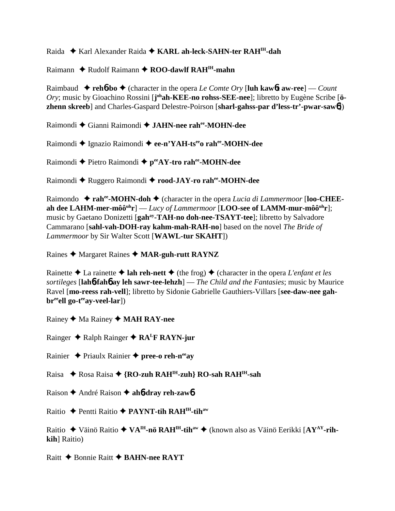## Raida  **★** Karl Alexander Raida **★ KARL ah-leck-SAHN-ter RAH<sup>IH</sup>-dah**

### Raimann **↓** Rudolf Raimann **◆ ROO-dawlf RAH<sup>IH</sup>-mahn**

Raimbaud  $\blacklozenge$  **reh6-bo**  $\blacklozenge$  (character in the opera *Le Comte Ory* [luh kaw6**t** aw-ree] — *Count* Ory; music by Gioachino Rossini [johah-KEE-no rohss-SEE-nee]; libretto by Eugène Scribe [ö**zhenn skreeb**] and Charles-Gaspard Delestre-Poirson [**sharl-gahss-par d'less-tr'-pwar-saw**6])

Raimondi Gianni Raimondi **JAHN-nee rahee-MOHN-dee**

Raimondi Ignazio Raimondi **ee-n'YAH-tseeo rahee-MOHN-dee**

Raimondi ◆ Pietro Raimondi ◆ peeAY-tro rahee-MOHN-dee

Raimondi ◆ Ruggero Raimondi ◆ rood-JAY-ro rah<sup>ee</sup>-MOHN-dee

Raimondo ◆ rah<sup>ee</sup>-MOHN-doh ◆ (character in the opera *Lucia di Lammermoor* [loo-CHEEah dee LAHM-mer-môô<sup>uh</sup>r] — *Lucy of Lammermoor* [LOO-see of LAMM-mur-môô<sup>uh</sup>r]; music by Gaetano Donizetti [**gahay-TAH-no doh-nee-TSAYT-tee**]; libretto by Salvadore Cammarano [**sahl-vah-DOH-ray kahm-mah-RAH-no**] based on the novel *The Bride of Lammermoor* by Sir Walter Scott [**WAWL-tur SKAHT**])

Raines Margaret Raines **MAR-guh-rutt RAYNZ**

Rainette  $\triangle$  La rainette  $\triangle$  lah reh-nett  $\triangle$  (the frog)  $\triangle$  (character in the opera *L'enfant et les sortileges* [**lah**6**-fah**6 **ay leh sawr-tee-lehzh**] — *The Child and the Fantasies*; music by Maurice Ravel [**mo-reess rah-vell**]; libretto by Sidonie Gabrielle Gauthiers-Villars [**see-daw-nee gah**br<sup>ee</sup>ell go-t<sup>ee</sup>ay-veel-lar])

Rainey ◆ Ma Rainey ◆ **MAH RAY-nee** 

Rainger **→** Ralph Rainger ◆ RA<sup>L</sup>F RAYN-jur

Rainier Priaulx Rainier **pree-o reh-neeay**

Raisa ◆ Rosa Raisa ◆ {**RO-zuh RAH<sup>IH</sup>-zuh} RO-sah RAH<sup>IH</sup>-sah** 

Raison **←** André Raison ← ah**6-dray reh-zaw6** 

Raitio Pentti Raitio **PAYNT-tih RAHIH-tihaw**

Raitio ◆ Väinö Raitio ◆ VA<sup>IH</sup>-nö RAH<sup>IH</sup>-tih<sup>aw</sup> ◆ (known also as Väinö Eerikki [AY<sup>AY</sup>-rih**kih**] Raitio)

Raitt **← Bonnie Raitt ← BAHN-nee RAYT**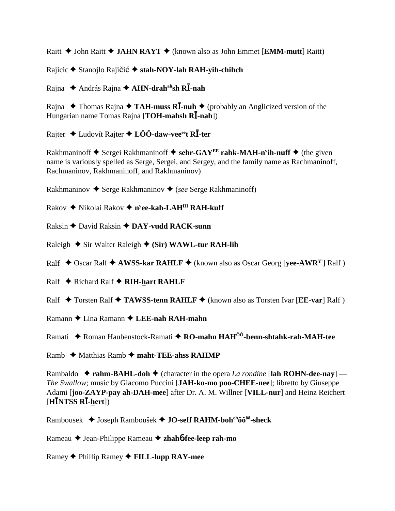Raitt **→ John Raitt → JAHN RAYT** → (known also as John Emmet [**EMM-mutt**] Raitt)

Rajicic ◆ Stanojlo Rajičić ◆ stah-NOY-lah RAH-yih-chihch

Rajna András Rajna **AHN-drahahsh R-nah**

Rajna  $\rightarrow$  Thomas Rajna  $\rightarrow$  TAH-muss R**I**-nuh  $\rightarrow$  (probably an Anglicized version of the Hungarian name Tomas Rajna [**TOH-mahsh R<sup>I</sup>-nah**])

Rajter Ludovít Rajter **LÔÔ-daw-veeeet R-ter**

Rakhmaninoff ◆ Sergei Rakhmaninoff ◆ sehr-GAY<sup>EE</sup> rahk-MAH-n<sup>y</sup>ih-nuff ◆ (the given name is variously spelled as Serge, Sergei, and Sergey, and the family name as Rachmaninoff, Rachmaninov, Rakhmaninoff, and Rakhmaninov)

Rakhmaninov **→** Serge Rakhmaninov ◆ (*see* Serge Rakhmaninoff)

Rakov ◆ Nikolai Rakov ◆ n<sup>y</sup><mark>ee-kah-LAH<sup>IH</sup> RAH-kuff</mark>

Raksin David Raksin **DAY-vudd RACK-sunn**

Raleigh  $\triangle$  Sir Walter Raleigh  $\triangle$  (Sir) WAWL-tur RAH-lih

Ralf  $\triangle$  Oscar Ralf  $\triangle$  **AWSS-kar RAHLF**  $\triangle$  (known also as Oscar Georg [**yee-AWR**<sup>Y</sup>] Ralf )

Ralf **←** Richard Ralf ← RIH-hart RAHLF

Ralf **↓** Torsten Ralf ◆ TAWSS-tenn RAHLF ◆ (known also as Torsten Ivar [EE-var] Ralf )

Ramann Lina Ramann **LEE-nah RAH-mahn**

Ramati Roman Haubenstock-Ramati **RO-mahn HAHÔÔ-benn-shtahk-rah-MAH-tee**

Ramb **→** Matthias Ramb → maht-TEE-ahss RAHMP

Rambaldo  $\triangle$  **rahm-BAHL-doh**  $\triangle$  (character in the opera *La rondine* [lah ROHN-dee-nay] — *The Swallow*; music by Giacomo Puccini [**JAH-ko-mo poo-CHEE-nee**]; libretto by Giuseppe Adami [**joo-ZAYP-pay ah-DAH-mee**] after Dr. A. M. Willner [**VILL-nur**] and Heinz Reichert [**HNTSS R-hert**])

Rambousek ◆ Joseph Ramboušek ◆ JO-seff RAHM-boh<sup>oh</sup>ôô<sup>ôô</sup>-sheck

Rameau Jean-Philippe Rameau **zhah**6**-fee-leep rah-mo**

Ramey Phillip Ramey **FILL-lupp RAY-mee**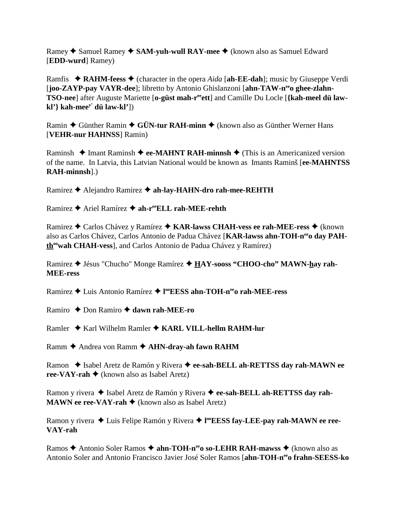Ramey ◆ Samuel Ramey ◆ SAM-yuh-wull RAY-mee ◆ (known also as Samuel Edward [**EDD-wurd**] Ramey)

Ramfis  $\triangle$  **RAHM-feess**  $\triangle$  (character in the opera *Aida* [ah-**EE-dah**]; music by Giuseppe Verdi [**joo-ZAYP-pay VAYR-dee**]; libretto by Antonio Ghislanzoni [ahn-TAW-n<sup>ee</sup>o ghee-zlahn-**TSO-nee**] after Auguste Mariette [o-güst mah-r<sup>ee</sup>ett] and Camille Du Locle [{kah-meel dü law**kl'} kah-meey' dü law-kl'**])

Ramin  $\triangle$  Günther Ramin  $\triangle$  GÜN-tur RAH-minn  $\triangle$  (known also as Günther Werner Hans [**VEHR-nur HAHNSS**] Ramin)

Raminsh  $\triangle$  Imant Raminsh  $\triangle$  **ee-MAHNT RAH-minnsh**  $\triangle$  (This is an Americanized version of the name. In Latvia, this Latvian National would be known as Imants Raminš [**ee-MAHNTSS RAH-minnsh**].)

Ramirez ◆ Alejandro Ramirez ◆ ah-lay-HAHN-dro rah-mee-REHTH

Ramirez **→** Ariel Ramírez → ah-reeELL rah-MEE-rehth

Ramirez ◆ Carlos Chávez y Ramírez ◆ KAR-lawss CHAH-vess ee rah-MEE-ress ◆ (known also as Carlos Chávez, Carlos Antonio de Padua Chávez [KAR-lawss ahn-TOH-n<sup>ee</sup>o day PAHth<sup>oo</sup>wah CHAH-vess], and Carlos Antonio de Padua Chávez y Ramírez)

Ramirez Jésus "Chucho" Monge Ramírez **HAY-sooss "CHOO-cho" MAWN-hay rah-MEE-ress**

Ramirez Luis Antonio Ramírez **l ooEESS ahn-TOH-neeo rah-MEE-ress**

Ramiro **→** Don Ramiro → dawn rah-MEE-ro

Ramler **↓** Karl Wilhelm Ramler ♦ **KARL VILL-hellm RAHM-lur** 

Ramm **←** Andrea von Ramm ← AHN-dray-ah fawn RAHM

Ramon ◆ Isabel Aretz de Ramón y Rivera ◆ ee-sah-BELL ah-RETTSS day rah-MAWN ee **ree-VAY-rah**  $\blacklozenge$  (known also as Isabel Aretz)

Ramon y rivera ◆ Isabel Aretz de Ramón y Rivera ◆ ee-sah-BELL ah-RETTSS day rah-**MAWN ee ree-VAY-rah**  $\triangle$  (known also as Isabel Aretz)

Ramon y rivera ◆ Luis Felipe Ramón y Rivera ◆ l<sup>oo</sup>EESS fay-LEE-pay rah-MAWN ee ree-**VAY-rah**

Ramos **→** Antonio Soler Ramos → **ahn-TOH-n<sup>ee</sup>o so-LEHR RAH-mawss** → (known also as Antonio Soler and Antonio Francisco Javier José Soler Ramos [**ahn-TOH-neeo frahn-SEESS-ko**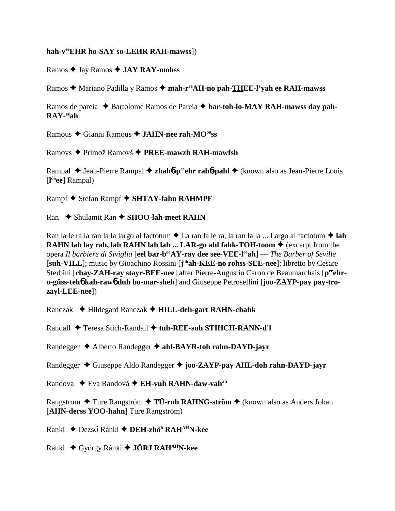#### **hah-veeEHR ho-SAY so-LEHR RAH-mawss**])

Ramos Jay Ramos **JAY RAY-mohss**

Ramos ◆ Mariano Padilla y Ramos ◆ mah-r<sup>ee</sup>AH-no pah-THEE-l'yah ee RAH-mawss

Ramos de pareia ◆ Bartolomé Ramos de Pareia ◆ bar-toh-lo-MAY RAH-mawss day pah-**RAY-eeah**

Ramous Gianni Ramous **JAHN-nee rah-MOooss**

Ramovs Primož Ramovš **PREE-mawzh RAH-mawfsh**

Rampal ◆ Jean-Pierre Rampal ◆ zhah**6**-p<sup>ee</sup>chr rah**6**-pahl ◆ (known also as Jean-Pierre Louis [**l ôôee**] Rampal)

Rampf ◆ Stefan Rampf ◆ SHTAY-fahn RAHMPF

Ran ◆ Shulamit Ran ◆ SHOO-lah-meet RAHN

Ran la le ra la ran la la largo al factotum  $\triangle$  La ran la le ra, la ran la la ... Largo al factotum  $\triangle$  lah **RAHN lah lay rah, lah RAHN lah lah ... LAR-go ahl fahk-TOH-toom**  $\triangle$  **(excerpt from the** opera *Il barbiere di Siviglia* [**eel bar-beeAY-ray dee see-VEE-leeah**] — *The Barber of Seville* [suh-VILL]; music by Gioachino Rossini [j<sup>oh</sup>ah-KEE-no rohss-SEE-nee]; libretto by Cesare Sterbini [chay-ZAH-ray stayr-BEE-nee] after Pierre-Augustin Caron de Beaumarchais [peehr**o-güss-teh**6 **kah-raw**6 **duh bo-mar-sheh**] and Giuseppe Petrosellini [**joo-ZAYP-pay pay-trozayl-LEE-nee**])

Ranczak Hildegard Ranczak **HILL-deh-gart RAHN-chahk**

Randall Teresa Stich-Randall **tuh-REE-suh STIHCH-RANN-d'l**

Randegger ◆ Alberto Randegger ◆ ahl-BAYR-toh rahn-DAYD-jayr

Randegger Giuseppe Aldo Randegger **joo-ZAYP-pay AHL-doh rahn-DAYD-jayr**

Randova ◆ Eva Randová ◆ EH-vuh RAHN-daw-vah<sup>ah</sup>

Rangstrom **→** Ture Rangström → TÜ-ruh RAHNG-ström → (known also as Anders Johan [**AHN-derss YOO-hahn**] Ture Rangström)

**Ranki ◆ Dezső Ránki ◆ DEH-zhö<sup>ö</sup> RAH<sup>AH</sup>N-kee** 

Ranki György Ránki **JÖRJ RAHAHN-kee**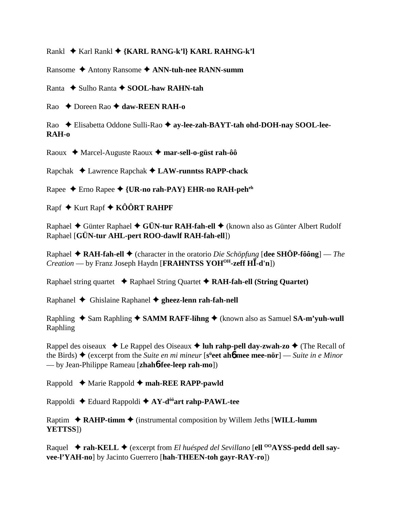Rankl Karl Rankl **{KARL RANG-k'l} KARL RAHNG-k'l**

Ransome Antony Ransome **ANN-tuh-nee RANN-summ**

Ranta ◆ Sulho Ranta ◆ SOOL-haw RAHN-tah

Rao **← Doreen Rao ← daw-REEN RAH-o** 

Rao ◆ Elisabetta Oddone Sulli-Rao ◆ ay-lee-zah-BAYT-tah ohd-DOH-nay SOOL-lee-**RAH-o**

Raoux ◆ Marcel-Auguste Raoux ◆ mar-sell-o-güst rah-ôô

Rapchak Lawrence Rapchak **LAW-runntss RAPP-chack**

Rapee Erno Rapee **{UR-no rah-PAY} EHR-no RAH-peheh**

 $R$ apf  $\blacklozenge$  Kurt Rapf  $\blacklozenge$  KÔÔRT RAHPF

Raphael ◆ Günter Raphael ◆ GÜN-tur RAH-fah-ell ◆ (known also as Günter Albert Rudolf Raphael [**GÜN-tur AHL-pert ROO-dawlf RAH-fah-ell**])

Raphael **RAH-fah-ell** (character in the oratorio *Die Schöpfung* [**dee SHÖP-fôông**] — *The Creation* — by Franz Joseph Haydn [**FRAHNTSS YOHOH-zeff H-d'n**])

Raphael string quartet Raphael String Quartet **RAH-fah-ell (String Quartet)**

Raphanel Ghislaine Raphanel **gheez-lenn rah-fah-nell**

Raphling ◆ Sam Raphling ◆ SAMM RAFF-lihng ◆ (known also as Samuel SA-m'yuh-wull Raphling

Rappel des oiseaux  $\triangleleft$  Le Rappel des Oiseaux  $\triangleleft$  luh rahp-pell day-zwah-zo  $\triangleleft$  (The Recall of the Birds)  $\triangle$  (excerpt from the *Suite en mi mineur* [s<sup>ü</sup>eet ah*6* mee mee-nör] — *Suite in e Minor* — by Jean-Philippe Rameau [**zhah**6**-fee-leep rah-mo**])

Rappold Marie Rappold **mah-REE RAPP-pawld**

Rappoldi Eduard Rappoldi **AY-dôôart rahp-PAWL-tee**

Raptim  $\triangle$  **RAHP-timm**  $\triangle$  (instrumental composition by Willem Jeths [WILL-lumm] **YETTSS**])

Raquel ◆ rah-KELL ◆ (excerpt from *El huésped del Sevillano* [ell <sup>00</sup>AYSS-pedd dell say**vee-l'YAH-no**] by Jacinto Guerrero [**hah-THEEN-toh gayr-RAY-ro**])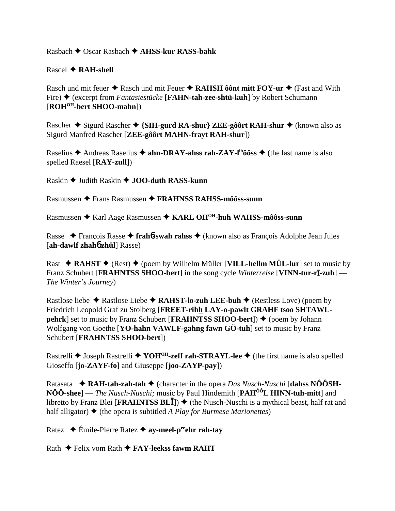Rasbach Oscar Rasbach  **AHSS-kur RASS-bahk**

Rascel **RAH-shell**

Rasch und mit feuer ◆ Rasch und mit Feuer ◆ RAHSH ôônt mitt FOY-ur ◆ (Fast and With Fire) ◆ (excerpt from *Fantasiestücke* [**FAHN-tah-zee-shtü-kuh**] by Robert Schumann [**ROHOH-bert SHOO-mahn**])

Rascher ◆ Sigurd Rascher ◆ {SIH-gurd RA-shur} ZEE-gôôrt RAH-shur ◆ (known also as Sigurd Manfred Rascher [**ZEE-gôôrt MAHN-frayt RAH-shur**])

Raselius  $\triangle$  Andreas Raselius  $\triangle$  **ahn-DRAY-ahss rah-ZAY-l<sup>ih</sup>ôôss**  $\triangle$  (the last name is also spelled Raesel [**RAY-zull**])

Raskin **→** Judith Raskin ◆ **JOO-duth RASS-kunn** 

Rasmussen Frans Rasmussen **FRAHNSS RAHSS-môôss-sunn**

Rasmussen ◆ Karl Aage Rasmussen ◆ KARL OH<sup>OH</sup>-huh WAHSS-môôss-sunn

Rasse François Rasse **frah**6**-swah rahss** (known also as François Adolphe Jean Jules [**ah-dawlf zhah**6 **zhül**] Rasse)

Rast  $\triangle$  **RAHST**  $\triangle$  (Rest)  $\triangle$  (poem by Wilhelm Müller [**VILL-hellm MÜL-lur**] set to music by **Franz Schubert [FRAHNTSS SHOO-bert]** in the song cycle *Winterreise* [VINN-tur-r**ī-zuh**] — *The Winter's Journey*)

Rastlose liebe  $\triangle$  Rastlose Liebe  $\triangle$  **RAHST-lo-zuh LEE-buh**  $\triangle$  (Restless Love) (poem by Friedrich Leopold Graf zu Stolberg [**FREET-rihh LAY-o-pawlt GRAHF tsoo SHTAWLpehrk**] set to music by Franz Schubert [**FRAHNTSS SHOO-bert**])  $\blacklozenge$  (poem by Johann Wolfgang von Goethe [**YO-hahn VAWLF-gahng fawn GÖ-tuh**] set to music by Franz Schubert [**FRAHNTSS SHOO-bert**])

Rastrelli  $\triangle$  Joseph Rastrelli  $\triangle$  YOH<sup>OH</sup>-zeff rah-STRAYL-lee  $\triangle$  (the first name is also spelled Gioseffo [**jo-ZAYF-fo**] and Giuseppe [**joo-ZAYP-pay**])

Ratasata **RAH-tah-zah-tah** (character in the opera *Das Nusch-Nuschi* [**dahss NÔÔSH-NÔÔ-shee**] — *The Nusch-Nuschi;* music by Paul Hindemith [**PAHÔÔL HINN-tuh-mitt**] and libretto by Franz Blei [**FRAHNTSS BLI**])  $\blacklozenge$  (the Nusch-Nuschi is a mythical beast, half rat and half alligator)  $\triangle$  (the opera is subtitled *A Play for Burmese Marionettes*)

Ratez  $\div$  Émile-Pierre Ratez  $\div$  ay-meel-person rah-tay

Rath Felix vom Rath **FAY-leekss fawm RAHT**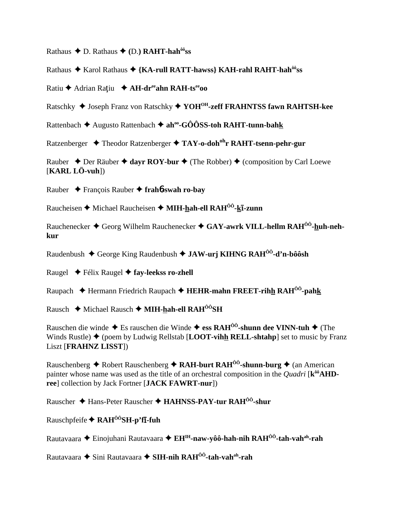Rathaus  $\triangle$  D. Rathaus  $\triangle$  (D.) RAHT-hah<sup> $\hat{\theta}$ o<sup>3</sup>ss</sup>

Rathaus ◆ Karol Rathaus ◆ {KA-rull RATT-hawss} KAH-rahl RAHT-hah<sup>ôô</sup>ss

Ratiu ← Adrian Ratiu ← AH-dreahn RAH-tseeoo

Ratschky ♦ Joseph Franz von Ratschky ♦ YOH<sup>OH</sup>-zeff FRAHNTSS fawn RAHTSH-kee

Rattenbach  $\triangle$  Augusto Rattenbach  $\triangle$  ah<sup>oo</sup>-GÔÔSS-toh RAHT-tunn-bahk

Ratzenberger  $\rightarrow$  Theodor Ratzenberger  $\rightarrow$  TAY-o-doh<sup>oh</sup>r RAHT-tsenn-pehr-gur

Rauber  $\triangle$  Der Räuber  $\triangle$  dayr ROY-bur  $\triangle$  (The Robber)  $\triangle$  (composition by Carl Loewe  $[KARL LÖ-vuh]$ 

Rauber  $\rightarrow$  François Rauber  $\rightarrow$  frahb-swah ro-bay

Raucheisen ♦ Michael Raucheisen ♦ MIH-hah-ell  $RAH^{00}$ -k**I**-zunn

Rauchenecker  $\triangle$  Georg Wilhelm Rauchenecker  $\triangle$  GAY-awrk VILL-hellm RAH<sup> $00$ </sup>-huh-nehkur

Raudenbush  $\triangle$  George King Raudenbush  $\triangle$  JAW-urj KIHNG RAH<sup>00</sup>-d'n-bôôsh

Raugel  $\blacklozenge$  Félix Raugel  $\blacklozenge$  fay-leekss ro-zhell

Raupach  $\triangleq$  Hermann Friedrich Raupach  $\triangleq$  HEHR-mahn FREET-rihh RAH<sup>00</sup>-pahk

Rausch ◆ Michael Rausch ◆ MIH-hah-ell RAH<sup>ôô</sup>SH

Rauschen die winde  $\blacklozenge$  Es rauschen die Winde  $\blacklozenge$  ess RAH<sup>ôô</sup>-shunn dee VINN-tuh  $\blacklozenge$  (The Winds Rustle)  $\blacklozenge$  (poem by Ludwig Rellstab [LOOT-vihh RELL-shtahp] set to music by Franz **Liszt [FRAHNZ LISST])** 

Rauschenberg ◆ Robert Rauschenberg ◆ RAH-burt RAH<sup>00</sup>-shunn-burg ◆ (an American painter whose name was used as the title of an orchestral composition in the *Quadri* [k<sup>ôô</sup>**AHD**ree] collection by Jack Fortner [JACK FAWRT-nur])

Rauscher ◆ Hans-Peter Rauscher ◆ HAHNSS-PAY-tur RAH<sup>00</sup>-shur

Rauschpfeife  $\bigstar$  RAH<sup> $00$ </sup>SH-p'f**I-fuh** 

Rautavaara ◆ Einojuhani Rautavaara ◆ EH<sup>IH</sup>-naw-yôô-hah-nih RAH<sup>ôô</sup>-tah-vah<sup>ah</sup>-rah

Rautavaara ◆ Sini Rautavaara ◆ SIH-nih RAH<sup>00</sup>-tah-vah<sup>ah</sup>-rah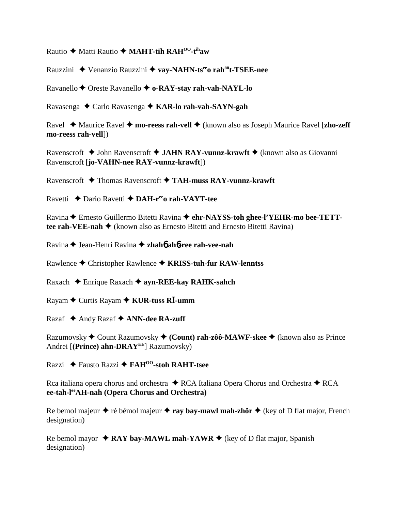Rautio **←** Matti Rautio ← MAHT-tih RAH<sup>00</sup>-t<sup>ih</sup>aw

Rauzzini Venanzio Rauzzini **vay-NAHN-tseeo rahôôt-TSEE-nee**

Ravanello ♦ Oreste Ravanello ♦ **o-RAY-stay rah-vah-NAYL-lo** 

Ravasenga Carlo Ravasenga **KAR-lo rah-vah-SAYN-gah**

Ravel ◆ Maurice Ravel ◆ mo-reess rah-vell ◆ (known also as Joseph Maurice Ravel [zho-zeff] **mo-reess rah-vell**])

Ravenscroft John Ravenscroft **JAHN RAY-vunnz-krawft** (known also as Giovanni Ravenscroft [**jo-VAHN-nee RAY-vunnz-krawft**])

Ravenscroft Thomas Ravenscroft **TAH-muss RAY-vunnz-krawft**

Ravetti **→** Dario Ravetti → DAH-r<sup>ee</sup>o rah-VAYT-tee

Ravina Ernesto Guillermo Bitetti Ravina **ehr-NAYSS-toh ghee-l'YEHR-mo bee-TETTtee rah-VEE-nah ♦** (known also as Ernesto Bitetti and Ernesto Bitetti Ravina)

Ravina ♦ Jean-Henri Ravina ♦ zhah**6** ah**6-ree rah-vee-nah** 

Rawlence Christopher Rawlence **KRISS-tuh-fur RAW-lenntss**

Raxach Enrique Raxach **ayn-REE-kay RAHK-sahch**

Rayam Curtis Rayam **KUR-tuss R-umm**

Razaf **→** Andy Razaf ◆ **ANN-dee RA-zuff** 

Razumovsky Count Razumovsky **(Count) rah-zôô-MAWF-skee** (known also as Prince Andrei [**(Prince) ahn-DRAYEE**] Razumovsky)

Razzi Fausto Razzi **FAHOO-stoh RAHT-tsee**

Rca italiana opera chorus and orchestra  $\triangle$  RCA Italiana Opera Chorus and Orchestra  $\triangle$  RCA **ee-tah-leeAH-nah (Opera Chorus and Orchestra)**

Re bemol majeur  $\triangle$  ré bémol majeur  $\triangle$  **ray bay-mawl mah-zhör**  $\triangle$  (key of D flat major, French designation)

Re bemol mayor  $\triangle$  **RAY bay-MAWL mah-YAWR**  $\triangle$  (key of D flat major, Spanish designation)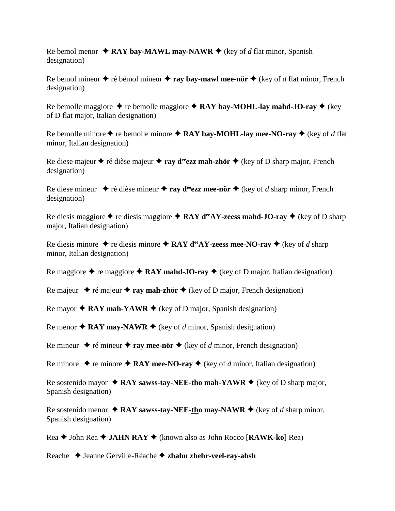Re bemol menor  $\triangle$  **RAY bay-MAWL may-NAWR**  $\triangle$  (key of *d* flat minor, Spanish designation)

Re bemol mineur  $\triangle$  ré bémol mineur  $\triangle$  **ray bay-mawl mee-nör**  $\triangle$  (key of *d* flat minor, French designation)

Re bemolle maggiore  $\triangle$  re bemolle maggiore  $\triangle$  **RAY bay-MOHL-lay mahd-JO-ray**  $\triangle$  (key of D flat major, Italian designation)

Re bemolle minore  $\blacklozenge$  re bemolle minore  $\blacklozenge$  **RAY bay-MOHL-lay mee-NO-ray**  $\blacklozenge$  (key of *d* flat minor, Italian designation)

Re diese majeur  $\triangle$  ré dièse majeur  $\triangle$  **ray d<sup>ee</sup>ezz mah-zhör**  $\triangle$  (key of D sharp major, French designation)

Re diese mineur  $\blacklozenge$  ré dièse mineur  $\blacklozenge$  ray d<sup>ee</sup>ezz mee-nör  $\blacklozenge$  (key of *d* sharp minor, French designation)

Re diesis maggiore  $\triangle$  re diesis maggiore  $\triangle$  **RAY d<sup>ee</sup>AY-zeess mahd-JO-ray**  $\triangle$  (key of D sharp major, Italian designation)

Re diesis minore  $\triangle$  re diesis minore  $\triangle$  RAY d<sup>ee</sup>AY-zeess mee-NO-ray  $\triangle$  (key of *d* sharp minor, Italian designation)

Re maggiore  $\triangle$  re maggiore  $\triangle$  **RAY mahd-JO-ray**  $\triangle$  (key of D major, Italian designation)

Re majeur  $\triangle$  ré majeur  $\triangle$  **ray mah-zhör**  $\triangle$  (key of D major, French designation)

Re mayor  $\triangle$  **RAY mah-YAWR**  $\triangle$  (key of D major, Spanish designation)

Re menor  $\triangle$  **RAY may-NAWR**  $\triangle$  (key of *d* minor, Spanish designation)

Re mineur  $\rightarrow$  ré mineur  $\rightarrow$  ray mee-nör  $\rightarrow$  (key of *d* minor, French designation)

Re minore  $\triangle$  re minore  $\triangle$  **RAY mee-NO-ray**  $\triangle$  (key of *d* minor, Italian designation)

Re sostenido mayor  $\triangle$  **RAY sawss-tay-NEE-tho mah-YAWR**  $\triangle$  (key of D sharp major, Spanish designation)

Re sostenido menor  $\triangle$  **RAY sawss-tay-NEE-tho may-NAWR**  $\triangle$  (key of *d* sharp minor, Spanish designation)

Rea John Rea **JAHN RAY** (known also as John Rocco [**RAWK-ko**] Rea)

Reache Jeanne Gerville-Réache **zhahn zhehr-veel-ray-ahsh**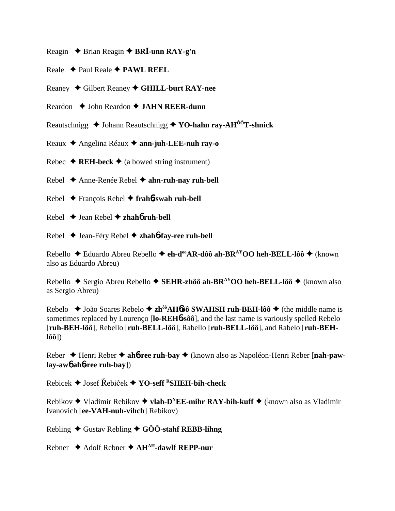- Reagin **→** Brian Reagin ◆ BR**I**-unn RAY-g'n
- Reale Paul Reale **PAWL REEL**
- Reaney Gilbert Reaney **GHILL-burt RAY-nee**
- Reardon ◆ John Reardon **◆ JAHN REER-dunn**
- Reautschnigg **→** Johann Reautschnigg **→ YO-hahn ray-AH<sup>ôô</sup>T-shnick**
- Reaux Angelina Réaux **ann-juh-LEE-nuh ray-o**
- Rebec  $\triangle$  **REH-beck**  $\triangle$  (a bowed string instrument)
- Rebel Anne-Renée Rebel **ahn-ruh-nay ruh-bell**
- Rebel François Rebel **frah**6**-swah ruh-bell**
- Rebel Jean Rebel **zhah**6 **ruh-bell**
- Rebel Jean-Féry Rebel **zhah**6**-fay-ree ruh-bell**

Rebello ◆ Eduardo Abreu Rebello ◆ eh-d<sup>oo</sup>AR-dôô ah-BR<sup>AY</sup>OO heh-BELL-lôô ◆ (known also as Eduardo Abreu)

Rebello ◆ Sergio Abreu Rebello ◆ SEHR-zhôô ah-BR<sup>AY</sup>OO heh-BELL-lôô ◆ (known also as Sergio Abreu)

Rebelo ◆ João Soares Rebelo ◆ zh<sup>ôô</sup>AH6ôô SWAHSH ruh-BEH-lôô ◆ (the middle name is sometimes replaced by Lourenço [**lo-REH**6**-sôô**], and the last name is variously spelled Rebelo [**ruh-BEH-lôô**], Rebello [**ruh-BELL-lôô**], Rabello [**ruh-BELL-lôô**], and Rabelo [**ruh-BEHlôô**])

Reber Henri Reber **ah**6**-ree ruh-bay** (known also as Napoléon-Henri Reber [**nah-pawlay-aw**6 **ah**6**-ree ruh-bay**])

Rebicek **→** Josef Řebiček ◆ **YO-seff <sup>R</sup>SHEH-bih-check** 

Rebikov  $\triangle$  Vladimir Rebikov  $\triangle$  **vlah-D<sup>Y</sup>EE-mihr RAY-bih-kuff**  $\triangle$  (known also as Vladimir Ivanovich [**ee-VAH-nuh-vihch**] Rebikov)

Rebling  $\blacklozenge$  Gustav Rebling  $\blacklozenge$  GÔÔ-stahf REBB-lihng

Rebner Adolf Rebner **AHAH-dawlf REPP-nur**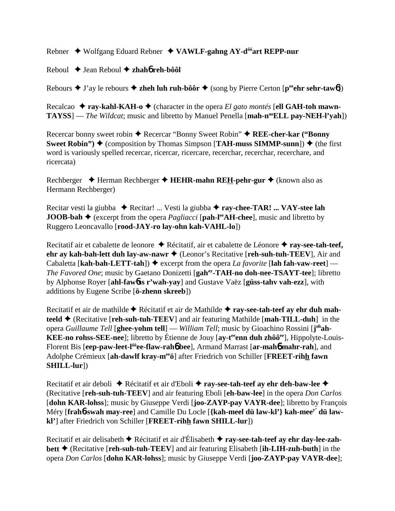Rebner Wolfgang Eduard Rebner **VAWLF-gahng AY-dôôart REPP-nur**

Reboul Jean Reboul **zhah**6 **reh-bôôl**

Rebours  $\blacklozenge$  J'ay le rebours  $\blacklozenge$  **zheh luh ruh-bôôr**  $\blacklozenge$  (song by Pierre Certon [p<sup>ee</sup>ehr sehr-taw6])

Recalcao  $\triangle$  **ray-kahl-KAH-o**  $\triangle$  (character in the opera *El gato montés* [ell GAH-toh mawn-**TAYSS**] — *The Wildcat*; music and libretto by Manuel Penella [mah-n<sup>oo</sup>ELL pay-NEH-l'yah])

Recercar bonny sweet robin ◆ Recercar "Bonny Sweet Robin" ◆ REE-cher-kar ("Bonny **Sweet Robin")**  $\blacklozenge$  (composition by Thomas Simpson [**TAH-muss SIMMP-sunn**])  $\blacklozenge$  (the first word is variously spelled recercar, ricercar, ricercare, recerchar, recerchar, recerchare, and ricercata)

Rechberger **→** Herman Rechberger → **HEHR-mahn REH-pehr-gur** → (known also as Hermann Rechberger)

Recitar vesti la giubba ◆ Recitar! ... Vesti la giubba ◆ **ray-chee-TAR! ... VAY-stee lah JOOB-bah**  $\blacklozenge$  (excerpt from the opera *Pagliacci* [**pah-l<sup>ee</sup>AH-chee**], music and libretto by Ruggero Leoncavallo [**rood-JAY-ro lay-ohn kah-VAHL-lo**])

Recitatif air et cabalette de leonore Récitatif, air et cabalette de Léonore **ray-see-tah-teef, ehr ay kah-bah-lett duh lay-aw-nawr ♦** (Leonor's Recitative [**reh-suh-tuh-TEEV**], Air and Cabaletta [**kah-bah-LETT-tah**])  $\triangle$  excerpt from the opera *La favorite* [**lah fah-vaw-reet**] — *The Favored One*; music by Gaetano Donizetti [**gahay-TAH-no doh-nee-TSAYT-tee**]; libretto by Alphonse Royer [**ahl-faw**6**ss r'wah-yay**] and Gustave Vaëz [**güss-tahv vah-ezz**], with additions by Eugene Scribe [**ö-zhenn skreeb**])

Recitatif et air de mathilde ◆ Récitatif et air de Mathilde ◆ ray-see-tah-teef ay ehr duh mah**teeld** (Recitative [**reh-suh-tuh-TEEV**] and air featuring Mathilde [**mah-TILL-duh**] in the opera *Guillaume Tell* [**ghee-yohm tell**] — *William Tell*; music by Gioachino Rossini [**j**<sup>oh</sup>**ah-KEE-no rohss-SEE-nee**]; libretto by Étienne de Jouy [ay-t<sup>ee</sup> enn duh zhôô<sup>ee</sup>], Hippolyte-Louis-Florent Bis [**eep-paw-leet-lôôee-flaw-rah**6 **bee**], Armand Marrast [**ar-mah**6 **mahr-rah**], and Adolphe Crémieux [**ah-dawlf kray-meeö**] after Friedrich von Schiller [**FREET-rihh fawn SHILL-lur**])

Recitatif et air deboli ◆ Récitatif et air d'Eboli ◆ **ray-see-tah-teef ay ehr deh-baw-lee ◆** (Recitative [**reh-suh-tuh-TEEV**] and air featuring Eboli [**eh-baw-lee**] in the opera *Don Carlos* [**dohn KAR-lohss**]; music by Giuseppe Verdi [**joo-ZAYP-pay VAYR-dee**]; libretto by François Méry [**frah**6**-swah may-ree**] and Camille Du Locle [**{kah-meel dü law-kl'} kah-meey' dü lawkl'**] after Friedrich von Schiller [**FREET-rihh fawn SHILL-lur**])

Recitatif et air delisabeth Récitatif et air d'Élisabeth **ray-see-tah-teef ay ehr day-lee-zahbett** (Recitative [**reh-suh-tuh-TEEV**] and air featuring Elisabeth [**ih-LIH-zuh-buth**] in the opera *Don Carlos* [**dohn KAR-lohss**]; music by Giuseppe Verdi [**joo-ZAYP-pay VAYR-dee**];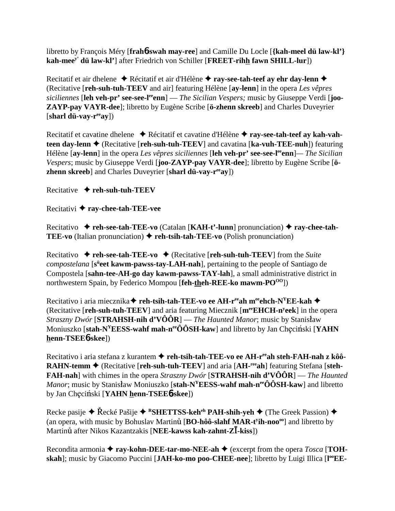libretto by François Méry [**frah**6**-swah may-ree**] and Camille Du Locle [**{kah-meel dü law-kl'} kah-meey' dü law-kl'**] after Friedrich von Schiller [**FREET-rihh fawn SHILL-lur**])

Recitatif et air dhelene ◆ Récitatif et air d'Hélène ◆ **ray-see-tah-teef ay ehr day-lenn ◆** (Recitative [**reh-suh-tuh-TEEV** and air] featuring Hélène [**ay-lenn**] in the opera *Les vêpres* siciliennes [leh veh-pr' see-see-l<sup>ee</sup>enn] — *The Sicilian Vespers;* music by Giuseppe Verdi [joo-**ZAYP-pay VAYR-dee**]; libretto by Eugène Scribe [**ö-zhenn skreeb**] and Charles Duveyrier [**sharl dü-vay-reeay**])

Recitatif et cavatine dhelene ◆ Récitatif et cavatine d'Hélène ◆ ray-see-tah-teef ay kah-vah**teen day-lenn ♦** (Recitative [**reh-suh-tuh-TEEV**] and cavatina [**ka-vuh-TEE-nuh**]) featuring Hélène [**ay-lenn**] in the opera *Les vêpres siciliennes* [**leh veh-pr' see-see-leeenn**]*— The Sicilian Vespers*; music by Giuseppe Verdi [**joo-ZAYP-pay VAYR-dee**]; libretto by Eugène Scribe [**özhenn skreeb**] and Charles Duveyrier [**sharl dü-vay-reeay**])

Recitative **reh-suh-tuh-TEEV**

Recitativi **ray-chee-tah-TEE-vee**

Recitativo **reh-see-tah-TEE-vo** (Catalan [**KAH-t'-lunn**] pronunciation) **ray-chee-tah-TEE-vo** (Italian pronunciation) ♦ reh-tsih-tah-TEE-vo (Polish pronunciation)

Recitativo  $\rightarrow$  **reh-see-tah-TEE-vo**  $\rightarrow$  (Recitative [**reh-suh-tuh-TEEV**] from the *Suite* compostelana [s<sup>ü</sup>eet kawm-pawss-tay-LAH-nah], pertaining to the people of Santiago de Compostela [**sahn-tee-AH-go day kawm-pawss-TAY-lah**], a small administrative district in northwestern Spain, by Federico Mompou [**feh-theh-REE-ko mawm-PO**<sup>00</sup>])

Recitativo i aria miecznika **← reh-tsih-tah-TEE-vo ee AH-r<sup>ee</sup>ah m<sup>ee</sup>ehch-N<sup>Y</sup>EE-kah ←** (Recitative [**reh-suh-tuh-TEEV**] and aria featuring Miecznik [**meeEHCH-ny eek**] in the opera *Straszny Dwór* [**STRAHSH-nih d'VÔÔR**] — *The Haunted Manor*; music by Stanisaw Moniuszko [stah-N<sup>Y</sup>EESS-wahf mah-n<sup>ee</sup>ÔÔSH-kaw] and libretto by Jan Checiński [YAHN] **henn-TSEE**6**-skee**])

Recitativo i aria stefana z kurantem **← reh-tsih-tah-TEE-vo ee AH-r<sup>ee</sup>ah steh-FAH-nah z kôô-RAHN-temm ♦ (Recitative [reh-suh-tuh-TEEV] and aria [AH-<sup>ree</sup>ah] featuring Stefana [steh-FAH-nah**] with chimes in the opera *Straszny Dwór* [**STRAHSH-nih d'VÔÔR**] — *The Haunted Manor*; music by Stanisław Moniuszko [stah-N<sup>Y</sup>EESS-wahf mah-n<sup>ee</sup>ÔÔSH-kaw] and libretto by Jan Chęciński [YAHN henn-TSEE6-skee])

Recke pasije ◆ Řecké Pašije ◆ <sup>R</sup>SHETTSS-keh<sup>eh</sup> PAH-shih-yeh ◆ (The Greek Passion) ◆ (an opera*,* with music by Bohuslav Martin [**BO-hôô-slahf MAR-ty ih-noooo**] and libretto by Martin after Nikos Kazantzakis [**NEE-kawss kah-zahnt-Z-kiss**])

Recondita armonia  $\triangle$  **ray-kohn-DEE-tar-mo-NEE-ah**  $\triangle$  (excerpt from the opera *Tosca* [**TOH**skah]; music by Giacomo Puccini [JAH-ko-mo poo-CHEE-nee]; libretto by Luigi Illica [l<sup>oo</sup>EE-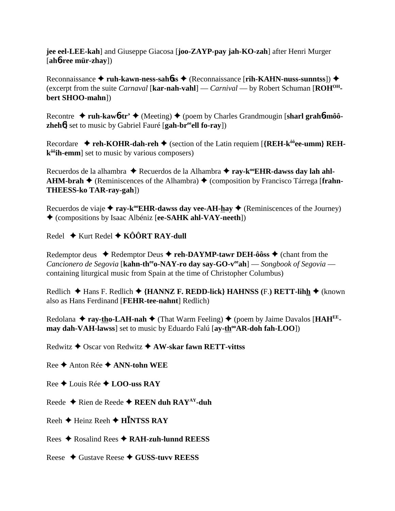**jee eel-LEE-kah**] and Giuseppe Giacosa [**joo-ZAYP-pay jah-KO-zah**] after Henri Murger [**ah**6**-ree mür-zhay**])

Reconnaissance ◆ ruh-kawn-ness-sah*b*ss ◆ (Reconnaissance [rih-KAHN-nuss-sunntss]) ◆ (excerpt from the suite *Carnaval* [**kar-nah-vahl**] — *Carnival* — by Robert Schuman [**ROHOHbert SHOO-mahn**])

Recontre ◆ ruh-kaw6-tr' ◆ (Meeting) ◆ (poem by Charles Grandmougin [sharl grah6-môô**zheh<sup>6</sup>**] set to music by Gabriel Fauré [gah-br<sup>ee</sup>ell fo-ray])

Recordare  $\rightarrow$  **reh-KOHR-dah-reh**  $\rightarrow$  (section of the Latin requiem [{REH- $k^{00}$ **ee-umm} REHkôôih-emm**] set to music by various composers)

Recuerdos de la alhambra ◆ Recuerdos de la Alhambra ◆ ray-k<sup>oo</sup>**EHR-dawss day lah ahl-**AHM-brah ◆ (Reminiscences of the Alhambra) ◆ (composition by Francisco Tárrega [frahn-**THEESS-ko TAR-ray-gah**])

Recuerdos de viaje  $\triangle$  ray-k<sup>oo</sup>EHR-dawss day vee-AH-hay  $\triangle$  (Reminiscences of the Journey) (compositions by Isaac Albéniz [**ee-SAHK ahl-VAY-neeth**])

Redel ◆ Kurt Redel ◆ KÔÔRT RAY-dull

Redemptor deus  $\blacklozenge$  Redemptor Deus  $\blacklozenge$  **reh-DAYMP-tawr DEH-ôôss**  $\blacklozenge$  (chant from the *Cancionero de Segovia* [**kahn-th<sup>ee</sup>o-NAY-ro day say-GO-v<sup>ee</sup>ah**] — *Songbook of Segovia* containing liturgical music from Spain at the time of Christopher Columbus)

Redlich **→** Hans F. Redlich ◆ {HANNZ F. REDD-lick} HAHNSS (F.) RETT-lihh ◆ (known also as Hans Ferdinand [**FEHR-tee-nahnt**] Redlich)

Redolana  $\triangle$  ray-tho-LAH-nah  $\triangle$  (That Warm Feeling)  $\triangle$  (poem by Jaime Davalos [HAH<sup>EE</sup>**may dah-VAH-lawss**] set to music by Eduardo Falú [**ay-th<sup>oo</sup>AR-doh fah-LOO**])

Redwitz Oscar von Redwitz **AW-skar fawn RETT-vittss**

Ree **←** Anton Rée ← **ANN-tohn WEE** 

Ree Louis Rée  **LOO-uss RAY**

Reede Rien de Reede **REEN duh RAYAY-duh**

Reeh **←** Heinz Reeh ← H**INTSS RAY** 

Rees Rosalind Rees **RAH-zuh-lunnd REESS**

Reese Gustave Reese **GUSS-tuvv REESS**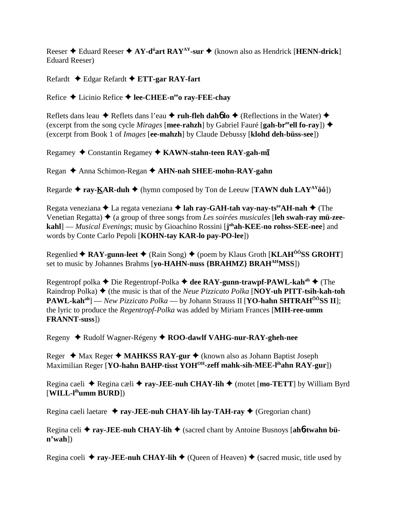Reeser Eduard Reeser **AY-dü art RAYAY-sur** (known also as Hendrick [**HENN-drick**] Eduard Reeser)

Refardt Edgar Refardt **ETT-gar RAY-fart**

Refice **→** Licinio Refice → lee-CHEE-n<sup>ee</sup>o ray-FEE-chay

Reflets dans leau  $\blacklozenge$  Reflets dans l'eau  $\blacklozenge$  **ruh-fleh dahó lo**  $\blacklozenge$  (Reflections in the Water)  $\blacklozenge$ (excerpt from the song cycle *Mirages* [**mee-rahzh**] by Gabriel Fauré [**gah-br<sup>ee</sup>ell fo-ray**])  $\blacklozenge$ (excerpt from Book 1 of *Images* [**ee-mahzh**] by Claude Debussy [**klohd deh-büss-see**])

Regamey ◆ Constantin Regamey ◆ KAWN-stahn-teen RAY-gah-m<del>I</del>

Regan Anna Schimon-Regan **AHN-nah SHEE-mohn-RAY-gahn**

Regarde  $\triangle$  ray-KAR-duh  $\triangle$  (hymn composed by Ton de Leeuw [TAWN duh LAY<sup>AY</sup>ôô])

Regata veneziana **→** La regata veneziana → lah ray-GAH-tah vay-nay-ts<sup>ee</sup>AH-nah → (The Venetian Regatta) ♦ (a group of three songs from *Les soirées musicales* [**leh swah-ray mü-zeekahl**] — *Musical Evenings*; music by Gioachino Rossini [**j**<sup>oh</sup>**ah-KEE-no rohss-SEE-nee**] and words by Conte Carlo Pepoli [**KOHN-tay KAR-lo pay-PO-lee**])

Regenlied **← RAY-gunn-leet** ← (Rain Song) ← (poem by Klaus Groth [KLAH<sup>ÔÔ</sup>SS GROHT] set to music by Johannes Brahms [**yo-HAHN-nuss {BRAHMZ} BRAHAHMSS**])

Regentropf polka ◆ Die Regentropf-Polka ◆ dee RAY-gunn-trawpf-PAWL-kah<sup>ah</sup> ◆ (The Raindrop Polka) ♦ (the music is that of the *Neue Pizzicato Polka* [**NOY-uh PITT-tsih-kah-toh PAWL-kahah**] — *New Pizzicato Polka* — by Johann Strauss II [**YO-hahn SHTRAHÔÔSS II**]; the lyric to produce the *Regentropf-Polka* was added by Miriam Frances [**MIH-ree-umm FRANNT-suss**])

Regeny Rudolf Wagner-Régeny **ROO-dawlf VAHG-nur-RAY-gheh-nee**

Reger ◆ Max Reger ◆ MAHKSS RAY-gur ◆ (known also as Johann Baptist Joseph Maximilian Reger [**YO-hahn BAHP-tisst YOH<sup>OH</sup>-zeff mahk-sih-MEE-l<sup>ih</sup>ahn RAY-gur**])

Regina caeli ◆ Regina cæli ◆ **ray-JEE-nuh CHAY-lih ◆** (motet [**mo-TETT**] by William Byrd [**WILL-lihumm BURD**])

Regina caeli laetare **↓ ray-JEE-nuh CHAY-lih lay-TAH-ray ◆** (Gregorian chant)

Regina celi  $\triangle$  ray-JEE-nuh CHAY-lih  $\triangle$  (sacred chant by Antoine Busnoys [ah6-twahn bü**n'wah**])

Regina coeli  $\triangle$  **ray-JEE-nuh CHAY-lih**  $\triangle$  (Queen of Heaven)  $\triangle$  (sacred music, title used by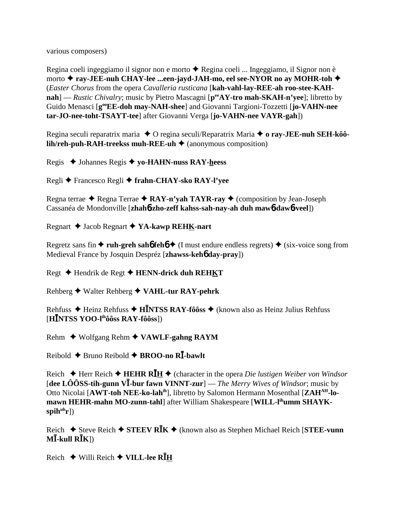various composers)

Regina coeli ingeggiamo il signor non e morto ◆ Regina coeli ... Ingeggiamo, il Signor non è morto **ray-JEE-nuh CHAY-lee ...een-jayd-JAH-mo, eel see-NYOR no ay MOHR-toh** (*Easter Chorus* from the opera *Cavalleria rusticana* [**kah-vahl-lay-REE-ah roo-stee-KAHnah**] — *Rustic Chivalry*; music by Pietro Mascagni [ $p^{ee}AY$ -tro mah-SKAH-n'yee]; libretto by Guido Menasci [**gooEE-doh may-NAH-shee**] and Giovanni Targioni-Tozzetti [**jo-VAHN-nee tar-JO-nee-toht-TSAYT-tee**] after Giovanni Verga [**jo-VAHN-nee VAYR-gah**])

Regina seculi reparatrix maria ♦ O regina seculi/Reparatrix Maria ♦ o ray-**JEE-nuh SEH-kôôlih/reh-puh-RAH-treekss muh-REE-uh**  $\triangle$  (anonymous composition)

Regis Johannes Regis **yo-HAHN-nuss RAY-heess**

Regli Francesco Regli **frahn-CHAY-sko RAY-l'yee**

Regna terrae **←** Regna Terrae ← RAY-n'yah TAYR-ray ← (composition by Jean-Joseph Cassanéa de Mondonville [**zhah**6**-zho-zeff kahss-sah-nay-ah duh maw**6**-daw**6**-veel**])

Regnart Jacob Regnart **YA-kawp REHK-nart**

Regretz sans fin  $\triangle$  ruh-greh sah**6** feh**6**  $\triangle$  (I must endure endless regrets)  $\triangle$  (six-voice song from Medieval France by Josquin Despréz [**zhawss-keh**6 **day-pray**])

Regt **→** Hendrik de Regt → HENN-drick duh REHKT

Rehberg Walter Rehberg **VAHL-tur RAY-pehrk**

Rehfuss Heinz Rehfuss **HNTSS RAY-fôôss** (known also as Heinz Julius Rehfuss [**HNTSS YOO-lihôôss RAY-fôôss**])

Rehm Wolfgang Rehm **VAWLF-gahng RAYM**

Reibold Bruno Reibold **BROO-no R-bawlt**

Reich  $\triangle$  Herr Reich  $\triangle$  **HEHR RH**  $\triangle$  (character in the opera *Die lustigen Weiber von Windsor* [dee LÔÔSS-tih-gunn V<sup>I</sup>-bur fawn VINNT-zur] — *The Merry Wives of Windsor*; music by Otto Nicolai [**AWT-toh NEE-ko-lahih**], libretto by Salomon Hermann Mosenthal [**ZAHAH-lo**mawn HEHR-mahn MO-zunn-tahl] after William Shakespeare [WILL-l<sup>ih</sup>umm SHAYKspih<sup>uh</sup>r])

Reich **→** Steve Reich ◆ STEEV R**I**K ◆ (known also as Stephen Michael Reich [STEE-vunn  $M$ *I***-kull R***K* $(N)$ 

Reich Willi Reich **VILL-lee RH**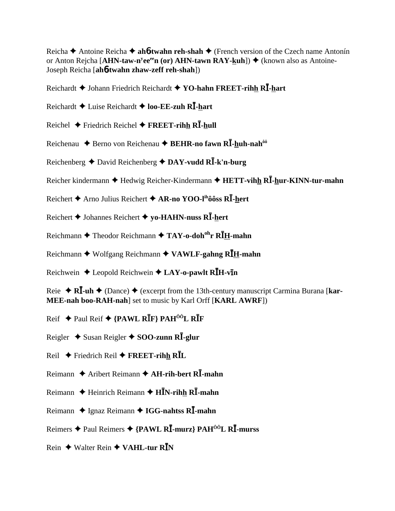Reicha **→** Antoine Reicha **→ ah6-twahn reh-shah** → (French version of the Czech name Antonín or Anton Rejcha [**AHN-taw-n<sup>y</sup>ee<sup>ee</sup>n (or) AHN-tawn RAY-<u>k</u>uh**]) ◆ (known also as Antoine-Joseph Reicha [**ah**6**-twahn zhaw-zeff reh-shah**])

Reichardt **→** Johann Friedrich Reichardt ◆ YO-hahn FREET-rihh R**I**-hart

Reichardt **→** Luise Reichardt ◆ **loo-EE-zuh RI**-hart

- Reichel  $\blacklozenge$  Friedrich Reichel  $\blacklozenge$  **FREET-rihh RI**-hull
- Reichenau **→** Berno von Reichenau → BEHR-no fawn R**I**-huh-nah<sup>ôô</sup>
- Reichenberg **→** David Reichenberg **→ DAY-vudd R<sup>I</sup>-k'n-burg**
- Reicher kindermann ◆ Hedwig Reicher-Kindermann ◆ HETT-vihh R**I-hur-KINN-tur-mahn**
- Reichert Arno Julius Reichert **AR-no YOO-lihôôss R-hert**
- Reichert **→** Johannes Reichert ◆ yo-HAHN-nuss R**I**-hert
- Reichmann Theodor Reichmann **TAY-o-dohohr RH-mahn**
- Reichmann Wolfgang Reichmann **VAWLF-gahng RH-mahn**
- Reichwein  $\triangle$  Leopold Reichwein  $\triangle$  LAY-o-pawlt RIH-vin

Reie  $\blacklozenge$  **RI**-uh  $\blacklozenge$  (Dance)  $\blacklozenge$  (excerpt from the 13th-century manuscript Carmina Burana [**kar-MEE-nah boo-RAH-nah**] set to music by Karl Orff [**KARL AWRF**])

- Reif Paul Reif **{PAWL RF} PAHÔÔL RF**
- Reigler **→** Susan Reigler ◆ SOO-zunn R**I**-glur
- Reil Friedrich Reil **FREET-rihh RL**
- Reimann ♦ Aribert Reimann ♦ **AH-rih-bert RI-mahn**
- Reimann **↓** Heinrich Reimann ◆ **HN**-rihh **RI**-mahn
- Reimann ◆ Ignaz Reimann ◆ IGG-nahtss R**I**-mahn
- Reimers Paul Reimers **{PAWL R-murz} PAHÔÔL R-murss**
- Rein  $\triangle$  Walter Rein  $\triangle$  VAHL-tur R**I**N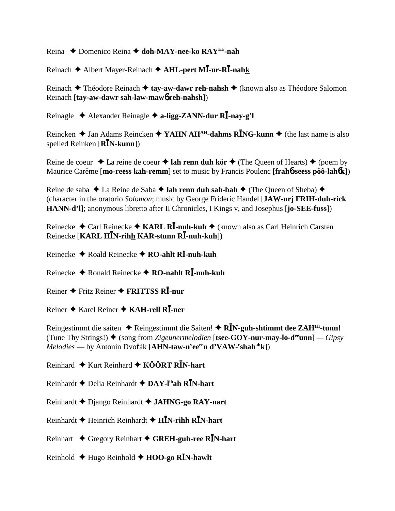Reina Domenico Reina **doh-MAY-nee-ko RAYEE-nah**

Reinach Albert Mayer-Reinach **AHL-pert M-ur-R-nahk**

Reinach **→** Théodore Reinach → tay-aw-dawr reh-nahsh → (known also as Théodore Salomon Reinach [**tay-aw-dawr sah-law-maw**6 **reh-nahsh**])

Reinagle Alexander Reinagle **a-ligg-ZANN-dur R-nay-g'l**

Reincken  $\triangle$  Jan Adams Reincken  $\triangle$  YAHN AH<sup>AH</sup>-dahms R**I**NG-kunn  $\triangle$  (the last name is also spelled Reinken [**RN-kunn**])

Reine de coeur  $\triangle$  La reine de coeur  $\triangle$  lah renn duh kör  $\triangle$  (The Queen of Hearts)  $\triangle$  (poem by Maurice Carême [**mo-reess kah-remm**] set to music by Francis Poulenc [**frah**6**-seess pôô-lah**6**k**])

Reine de saba **→** La Reine de Saba → lah renn duh sah-bah → (The Queen of Sheba) → (character in the oratorio *Solomon*; music by George Frideric Handel [**JAW-urj FRIH-duh-rick HANN-d'l**]; anonymous libretto after II Chronicles, I Kings v, and Josephus [**jo-SEE-fuss**])

Reinecke **→** Carl Reinecke **→ KARL RI**-nuh-kuh → (known also as Carl Heinrich Carsten Reinecke [**KARL HN-rihh KAR-stunn R-nuh-kuh**])

Reinecke Roald Reinecke **RO-ahlt R-nuh-kuh**

Reinecke ◆ Ronald Reinecke ◆ RO-nahlt RĪ-nuh-kuh

Reiner Fritz Reiner **FRITTSS R-nur**

Reiner Karel Reiner **KAH-rell R-ner**

Reingestimmt die saiten  $\triangle$  Reingestimmt die Saiten!  $\triangle$  R**I**N-guh-shtimmt dee ZAH<sup>IH</sup>-tunn! (Tune Thy Strings!)  $\blacklozenge$  (song from *Zigeunermelodien* [**tsee-GOY-nur-may-lo-d<sup>ee</sup>unn**] *— Gipsy*  $Melodies$  — by Antonín Dvořák [**AHN-taw-n<sup>y</sup>ee<sup>ee</sup>n d'VAW-<sup>r</sup>shah<sup>ah</sup>k**])

Reinhard  $\triangle$  Kurt Reinhard  $\triangle$  KÔÔRT R**I**N-hart

Reinhardt Delia Reinhardt **DAY-lihah RN-hart**

Reinhardt Django Reinhardt **JAHNG-go RAY-nart**

Reinhardt Heinrich Reinhardt **HN-rihh RN-hart**

Reinhart Gregory Reinhart **GREH-guh-ree RN-hart**

Reinhold Hugo Reinhold **HOO-go RN-hawlt**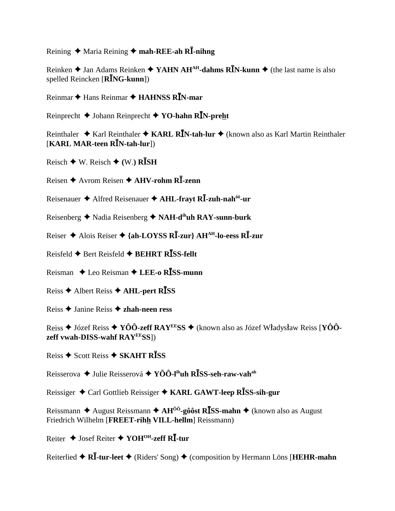Reining  $\triangle$  Maria Reining  $\triangle$  mah-REE-ah RI-nihng

Reinken  $\triangle$  Jan Adams Reinken  $\triangle$  YAHN AH<sup>AH</sup>-dahms R**I**N-kunn  $\triangle$  (the last name is also spelled Reincken  $\overline{[R\overline{I}NG\text{-}kunn]}$ 

Reinmar  $\triangle$  Hans Reinmar  $\triangle$  HAHNSS RIN-mar

Reinprecht  $\blacklozenge$  Johann Reinprecht  $\blacklozenge$  YO-hahn RIN-preht

Reinthaler  $\triangle$  Karl Reinthaler  $\triangle$  KARL RIN-tah-lur  $\triangle$  (known also as Karl Martin Reinthaler [KARL MAR-teen RIN-tah-lur])

Reisch  $\blacklozenge$  W. Reisch  $\blacklozenge$  (W.) RISH

Reisen  $\triangle$  Avrom Reisen  $\triangle$  AHV-rohm R $\overline{I}$ -zenn

Reisenauer  $\triangle$  Alfred Reisenauer  $\triangle$  AHL-fravt RI-zuh-nah<sup> $00$ </sup>-ur

Reisenberg  $\triangle$  Nadia Reisenberg  $\triangle$  NAH-d<sup>ih</sup>uh RAY-sunn-burk

Reiser ♦ Alois Reiser ♦ {ah-LOYSS RI-zur} AH<sup>AH</sup>-lo-eess RI-zur

Reisfeld ◆ Bert Reisfeld ◆ BEHRT RISS-fellt

Reisman  $\triangle$  Leo Reisman  $\triangle$  LEE-o RISS-munn

Reiss **←** Albert Reiss **← AHL-pert RISS** 

Reiss ◆ Janine Reiss ◆ zhah-neen ress

Reiss  $\triangle$  Józef Reiss  $\triangle$  YÔÔ-zeff RAY<sup>EE</sup>SS  $\triangle$  (known also as Józef Władysław Reiss [YÔÔzeff vwah-DISS-wahf RAYEESS])

Reiss ◆ Scott Reiss ◆ SKAHT RĪSS

Reisserova  $\triangleq$  Julie Reisserová  $\triangleq$  YÔÔ-I<sup>ih</sup>uh R**ISS-seh-raw-vah**<sup>ah</sup>

Reissiger ♦ Carl Gottlieb Reissiger ♦ KARL GAWT-leep RISS-sih-gur

Reissmann  $\triangle$  August Reissmann  $\triangle$  AH<sup>00</sup>-gôôst R**ISS-mahn**  $\triangle$  (known also as August Friedrich Wilhelm [FREET-rihh VILL-hellm] Reissmann)

Reiter ♦ Josef Reiter ♦ YOH<sup>OH</sup>-zeff RI-tur

Reiterlied ◆ RI-tur-leet ◆ (Riders' Song) ◆ (composition by Hermann Löns [HEHR-mahn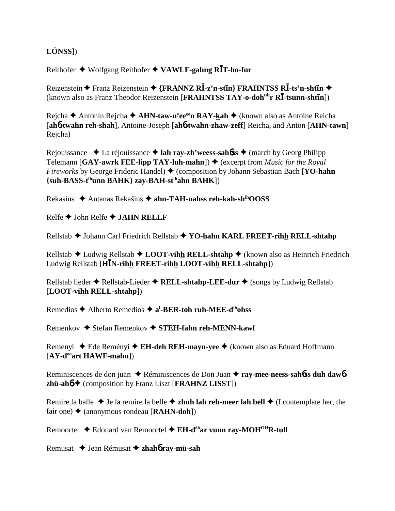# **LÖNSS**])

Reithofer Wolfgang Reithofer  **VAWLF-gahng RT-ho-fur**

 $\mathbf{R}$ eizenstein ◆ Franz Reizenstein ◆ {FRANNZ R**I**-z'n-st**ī**n} FRAHNTSS RĪ-ts'n-shtīn ◆ (known also as Franz Theodor Reizenstein [FRAHNTSS TAY-o-doh<sup>oh</sup>r RI-tsunn-shtin])

Rejcha ◆ Antonín Rejcha ◆ **AHN-taw-n<sup>y</sup>ee<sup>ee</sup>n RAY-<u>k</u>ah ◆** (known also as Antoine Reicha [**ah**6**-twahn reh-shah**], Antoine-Joseph [**ah**6**-twahn-zhaw-zeff**] Reicha, and Anton [**AHN-tawn**] Rejcha)

Rejouissance  $\triangle$  La réjouissance  $\triangle$  **lah ray-zh'weess-sah6ss**  $\triangle$  (march by Georg Philipp Telemann [GAY-awrk FEE-lipp TAY-luh-mahn])  $\blacklozenge$  (excerpt from *Music for the Royal Fireworks* by George Frideric Handel)  $\triangle$  (composition by Johann Sebastian Bach [**YO-hahn {suh-BASS-tihunn BAHK} zay-BAH-stihahn BAHK**])

Rekasius Antanas Rekašius **ahn-TAH-nahss reh-kah-shihOOSS**

Relfe John Relfe **JAHN RELLF**

Rellstab Johann Carl Friedrich Rellstab **YO-hahn KARL FREET-rihh RELL-shtahp**

Rellstab  $\triangle$  Ludwig Rellstab  $\triangle$  **LOOT-vihh RELL-shtahp**  $\triangle$  (known also as Heinrich Friedrich Ludwig Rellstab [**HN-rihh FREET-rihh LOOT-vihh RELL-shtahp**])

Rellstab lieder **◆** Rellstab-Lieder ◆ RELL-shtahp-LEE-dur ◆ (songs by Ludwig Rellstab [**LOOT-vihh RELL-shtahp**])

Remedios ◆ Alberto Remedios ◆ a<sup>l</sup>-BER-toh ruh-MEE-d<sup>ih</sup>ohss

Remenkov ♦ Stefan Remenkov ♦ STEH-fahn reh-MENN-kawf

Remenyi ◆ Ede Reményi ◆ E**H-deh REH-mayn-yee** ◆ (known also as Eduard Hoffmann [AY-d<sup>oo</sup>art HAWF-mahn])

Reminiscences de don juan ◆ Réminiscences de Don Juan ◆ ray-mee-neess-sah**6**ss duh daw6 **zhü-ah**6 (composition by Franz Liszt [**FRAHNZ LISST**])

Remire la balle  $\triangle$  Je la remire la belle  $\triangle$  **zhuh lah reh-meer lah bell**  $\triangle$  (I contemplate her, the fair one)  $\triangle$  (anonymous rondeau [**RAHN-doh**])

Remoortel **→** Edouard van Remoortel → EH-d<sup>ôô</sup>ar vunn ray-MOH<sup>OH</sup>R-tull

Remusat Jean Rémusat **zhah**6 **ray-mü-sah**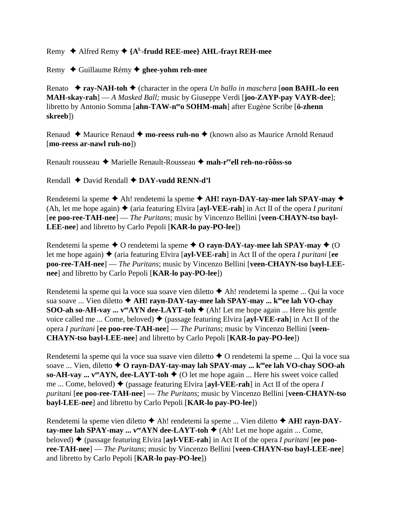## Remy  $\triangle$  Alfred Remy  $\triangle$  {A<sup>L</sup>-frudd REE-mee} AHL-frayt REH-mee

Remy Guillaume Rémy **ghee-yohm reh-mee**

Renato **ray-NAH-toh** (character in the opera *Un ballo in maschera* [**oon BAHL-lo een MAH-skay-rah**] — *A Masked Ball;* music by Giuseppe Verdi [**joo-ZAYP-pay VAYR-dee**]; libretto by Antonio Somma [**ahn-TAW-neeo SOHM-mah**] after Eugène Scribe [**ö-zhenn skreeb**])

Renaud ◆ Maurice Renaud ◆ mo-reess ruh-no ◆ (known also as Maurice Arnold Renaud [**mo-reess ar-nawl ruh-no**])

Renault rousseau Marielle Renault-Rousseau **mah-reeell reh-no-rôôss-so**

Rendall ◆ David Rendall **◆ DAY-vudd RENN-d'l** 

Rendetemi la speme  $\triangle$  Ah! rendetemi la speme  $\triangle$  AH! rayn-DAY-tay-mee lah SPAY-may  $\triangle$ (Ah, let me hope again)  $\triangle$  (aria featuring Elvira [**ayl-VEE-rah**] in Act II of the opera *I puritani* [**ee poo-ree-TAH-nee**] — *The Puritans*; music by Vincenzo Bellini [**veen-CHAYN-tso bayl-LEE-nee**] and libretto by Carlo Pepoli [**KAR-lo pay-PO-lee**])

Rendetemi la speme  $\triangle$  O rendetemi la speme  $\triangle$  O rayn-DAY-tay-mee lah SPAY-may  $\triangle$  (O let me hope again)  $\triangle$  (aria featuring Elvira [ayl-VEE-rah] in Act II of the opera *I puritani* [ee **poo-ree-TAH-nee**] — *The Puritans*; music by Vincenzo Bellini [**veen-CHAYN-tso bayl-LEEnee**] and libretto by Carlo Pepoli [**KAR-lo pay-PO-lee**])

Rendetemi la speme qui la voce sua soave vien diletto  $\triangle$  Ah! rendetemi la speme ... Qui la voce sua soave ... Vien diletto  $\triangle$  AH! rayn-DAY-tay-mee lah SPAY-may ...  $k^{\omega}$ ee lah VO-chay **SOO-ah so-AH-vay ...**  $v^{ee}$ **AYN dee-LAYT-toh**  $\blacklozenge$  (Ah! Let me hope again ... Here his gentle voice called me ... Come, beloved)  $\blacklozenge$  (passage featuring Elvira [ayl-VEE-rah] in Act II of the opera *I puritani* [**ee poo-ree-TAH-nee**] — *The Puritans*; music by Vincenzo Bellini [**veen-CHAYN-tso bayl-LEE-nee**] and libretto by Carlo Pepoli [**KAR-lo pay-PO-lee**])

Rendetemi la speme qui la voce sua suave vien diletto  $\triangle$  O rendetemi la speme ... Qui la voce sua soave ... Vien, diletto **↓ O rayn-DAY-tay-may lah SPAY-may ... k**<sup>oo</sup>ee lah VO-chay SOO-ah **so-AH-vay ...**  $v^{ee}$ **AYN, dee-LAYT-toh**  $\blacklozenge$  (O let me hope again ... Here his sweet voice called me ... Come, beloved)  $\blacklozenge$  (passage featuring Elvira [ayl-VEE-rah] in Act II of the opera *I puritani* [**ee poo-ree-TAH-nee**] — *The Puritans*; music by Vincenzo Bellini [**veen-CHAYN-tso bayl-LEE-nee**] and libretto by Carlo Pepoli [**KAR-lo pay-PO-lee**])

Rendetemi la speme vien diletto **→** Ah! rendetemi la speme ... Vien diletto ◆ A**H! rayn-DAYtay-mee lah SPAY-may ...**  $v^{ee}$ **AYN dee-LAYT-toh**  $\blacklozenge$  (Ah! Let me hope again ... Come, beloved) (passage featuring Elvira [**ayl-VEE-rah**] in Act II of the opera *I puritani* [**ee pooree-TAH-nee**] — *The Puritans*; music by Vincenzo Bellini [**veen-CHAYN-tso bayl-LEE-nee**] and libretto by Carlo Pepoli [**KAR-lo pay-PO-lee**])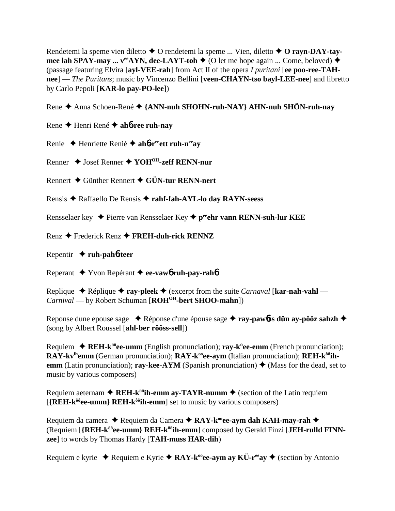Rendetemi la speme vien diletto **→** O rendetemi la speme ... Vien, diletto **→ O rayn-DAY-taymee lah SPAY-may ...**  $v^{ee}$ **AYN, dee-LAYT-toh**  $\blacklozenge$  (O let me hope again ... Come, beloved)  $\blacklozenge$ (passage featuring Elvira [**ayl-VEE-rah**] from Act II of the opera *I puritani* [**ee poo-ree-TAHnee**] — *The Puritans*; music by Vincenzo Bellini [**veen-CHAYN-tso bayl-LEE-nee**] and libretto by Carlo Pepoli [**KAR-lo pay-PO-lee**])

Rene Anna Schoen-René **{ANN-nuh SHOHN-ruh-NAY} AHN-nuh SHÖN-ruh-nay**

Rene Henri René **ah**6**-ree ruh-nay**

Renie Henriette Renié **ah**6**-reeett ruh-neeay**

Renner Josef Renner **YOHOH-zeff RENN-nur**

Rennert Günther Rennert **GÜN-tur RENN-nert**

Rensis Raffaello De Rensis **rahf-fah-AYL-lo day RAYN-seess**

Rensselaer key ◆ Pierre van Rensselaer Key ◆ p<sup>ee</sup>ehr vann RENN-suh-lur KEE

Renz Frederick Renz **FREH-duh-rick RENNZ**

Repentir  $\triangle$  **ruh-pah<sup>6-teer</sup>** 

Reperant Yvon Repérant **ee-vaw**6 **ruh-pay-rah**6

Replique  $\triangle$  Réplique  $\triangle$  ray-pleek  $\triangle$  (excerpt from the suite *Carnaval* [**kar-nah-vahl** — *Carnival* — by Robert Schuman [**ROHOH-bert SHOO-mahn**])

Reponse dune epouse sage ◆ Réponse d'une épouse sage ◆ ray-pawbs dün ay-pôôz sahzh ◆ (song by Albert Roussel [**ahl-ber rôôss-sell**])

**Requiem ♦ REH-k<sup>ôô</sup>ee-umm** (English pronunciation); **ray-k<sup>ii</sup>ee-emm** (French pronunciation); RAY-kv<sup>ih</sup>emm (German pronunciation); RAY-k<sup>oo</sup>ee-aym (Italian pronunciation); REH-k<sup>ôô</sup>ih**emm** (Latin pronunciation); **ray-kee-AYM** (Spanish pronunciation)  $\triangle$  (Mass for the dead, set to music by various composers)

Requiem aeternam  $\triangle$  REH-k<sup> $\delta \hat{\theta}$ </sup> ih-emm ay-TAYR-numm  $\triangle$  (section of the Latin requiem [**{REH-kôôee-umm} REH-kôôih-emm**] set to music by various composers)

Requiem da camera ◆ Requiem da Camera ◆ RAY-k<sup>oo</sup>ee-aym dah KAH-may-rah ◆ (Requiem [**{REH-kôôee-umm} REH-kôôih-emm**] composed by Gerald Finzi [**JEH-rulld FINNzee**] to words by Thomas Hardy [**TAH-muss HAR-dih**)

Requiem e kyrie  $\triangle$  Requiem e Kyrie  $\triangle$  RAY-k<sup>oo</sup>ee-aym ay KÜ-r<sup>ee</sup>ay  $\triangle$  (section by Antonio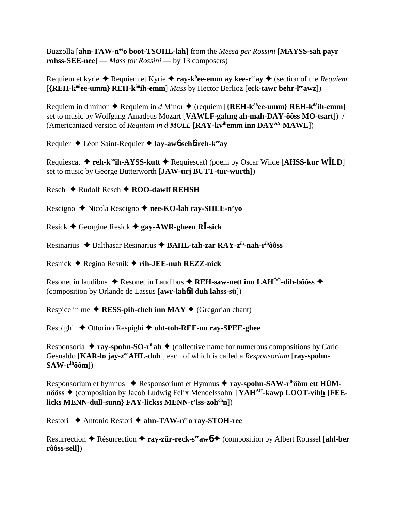Buzzolla [ahn-TAW-n<sup>ee</sup>o boot-TSOHL-lah] from the *Messa per Rossini* [MAYSS-sah payr rohss-SEE-nee] — Mass for Rossini — by 13 composers)

Requiem et kyrie  $\triangle$  Requiem et Kyrie  $\triangle$  ray-k<sup>ij</sup>ee-emm ay kee-r<sup>ee</sup>ay  $\triangle$  (section of the *Requiem* [{REH-k<sup>ôô</sup>ee-umm} REH-k<sup>ôô</sup>ih-emm] Mass by Hector Berlioz [eck-tawr behr-l<sup>ee</sup>awz])

Requiem in d minor  $\triangle$  Requiem in d Minor  $\triangle$  (requiem [{REH-k<sup> $\hat{\theta}$ </sup>ee-umm} REH-k<sup> $\hat{\theta}$ °ih-emm]</sup> set to music by Wolfgang Amadeus Mozart [VAWLF-gahng ah-mah-DAY-ôôss MO-tsart]) / (Americanized version of *Requiem in d MOLL* [RAY-kv<sup>ih</sup>emm inn  $DAY^{AY}$  MAWL])

Requier  $\triangle$  Léon Saint-Requier  $\triangle$  lay-awb sehb-reh-k<sup>ee</sup>av

Requiescat  $\triangle$  reh-k<sup>oo</sup>ih-AYSS-kutt  $\triangle$  Requiescat) (poem by Oscar Wilde [AHSS-kur WILD] set to music by George Butterworth [JAW-urj BUTT-tur-wurth])

Resch  $\triangle$  Rudolf Resch  $\triangle$  ROO-dawlf REHSH

Rescigno  $\triangle$  Nicola Rescigno  $\triangle$  nee-KO-lah ray-SHEE-n'yo

Resick  $\blacklozenge$  Georgine Resick  $\blacklozenge$  gay-AWR-gheen RI-sick

Resinarius  $\triangle$  Balthasar Resinarius  $\triangle$  BAHL-tah-zar RAY-z<sup>ih</sup>-nah-r<sup>ih</sup>ôôss

Resnick  $\triangle$  Regina Resnik  $\triangle$  rih-JEE-nuh REZZ-nick

Resonet in laudibus  $\triangle$  Resonet in Laudibus  $\triangle$  REH-saw-nett inn LAH<sup>00</sup>-dih-bôôss  $\triangle$ (composition by Orlande de Lassus [awr-lahod duh lahss-sü])

Respice in me  $\triangle$  RESS-pih-cheh inn MAY  $\triangle$  (Gregorian chant)

Respighi ♦ Ottorino Respighi ♦ oht-toh-REE-no ray-SPEE-ghee

Responsoria  $\triangle$  ray-spohn-SO-r<sup>ih</sup>ah  $\triangle$  (collective name for numerous compositions by Carlo Gesualdo [KAR-lo jay-z<sup>oo</sup>AHL-doh], each of which is called a Responsorium [ray-spohn- $SAW-r<sup>ih</sup>ôôm$ ])

Responsorium et hymnus  $\triangleq$  Responsorium et Hymnus  $\triangleq$  ray-spohn-SAW-r<sup>ih</sup>ôôm ett HÜMnôôss  $\triangle$  (composition by Jacob Ludwig Felix Mendelssohn [YAH<sup>AH</sup>-kawp LOOT-vihh {FEElicks MENN-dull-sunn} FAY-lickss MENN-t'lss-zoh<sup>oh</sup>n])

Restori ◆ Antonio Restori ◆ ahn-TAW-n<sup>ee</sup>o ray-STOH-ree

Resurrection  $\triangle$  Résurrection  $\triangle$  ray-zür-reck-s<sup>ee</sup> awb  $\triangle$  (composition by Albert Roussel [ahl-ber rôôss-sell])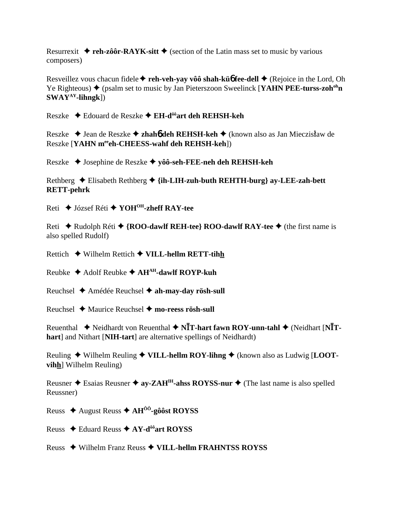Resurrexit  $\triangle$  reh-zôôr-RAYK-sitt  $\triangle$  (section of the Latin mass set to music by various composers)

Resveillez vous chacun fidele  $\triangle$  reh-veh-vay vôô shah-kü $\phi$  fee-dell  $\triangle$  (Rejoice in the Lord, Oh Ye Righteous)  $\blacklozenge$  (psalm set to music by Jan Pieterszoon Sweelinck [YAHN PEE-turss-zoh<sup>oh</sup>n  $SWAY^{AY}$ -lihngk])

Reszke  $\triangle$  Edouard de Reszke  $\triangle$  EH-d<sup>ôô</sup>art deh REHSH-keh

Reszke  $\triangle$  Jean de Reszke  $\triangle$  zhaho deh REHSH-keh  $\triangle$  (known also as Jan Mieczisław de Reszke [YAHN merech-CHEESS-wahf deh REHSH-keh])

Reszke ◆ Josephine de Reszke ◆ yôô-seh-FEE-neh deh REHSH-keh

Rethberg  $\triangle$  Elisabeth Rethberg  $\triangle$  {ih-LIH-zuh-buth REHTH-burg} ay-LEE-zah-bett **RETT-pehrk** 

Reti  $\triangle$  József Réti  $\triangle$  YOH<sup>OH</sup>-zheff RAY-tee

Reti  $\triangle$  Rudolph Réti  $\triangle$  {ROO-dawlf REH-tee} ROO-dawlf RAY-tee  $\triangle$  (the first name is also spelled Rudolf)

Rettich  $\blacklozenge$  Wilhelm Rettich  $\blacklozenge$  VILL-hellm RETT-tihh

Reubke  $\triangle$  Adolf Reubke  $\triangle$  AH<sup>AH</sup>-dawlf ROYP-kuh

Reuchsel  $\triangle$  Amédée Reuchsel  $\triangle$  ah-may-day rösh-sull

Reuchsel  $\triangle$  Maurice Reuchsel  $\triangle$  mo-reess rösh-sull

Reuenthal  $\blacklozenge$  Neidhardt von Reuenthal  $\blacklozenge$  NIT-hart fawn ROY-unn-tahl  $\blacklozenge$  (Neidhart [NIThart] and Nithart [NIH-tart] are alternative spellings of Neidhardt)

Reuling  $\triangle$  Wilhelm Reuling  $\triangle$  VILL-hellm ROY-lihng  $\triangle$  (known also as Ludwig [LOOTvihh] Wilhelm Reuling)

Reusner  $\triangle$  Esaias Reusner  $\triangle$  ay-ZAH<sup>IH</sup>-ahss ROYSS-nur  $\triangle$  (The last name is also spelled Reussner)

Reuss ◆ August Reuss ◆ AH<sup> $\hat{0}$ o<sup>-</sup>-gôôst ROYSS</sup>

Reuss ← Eduard Reuss ← AY-d<sup>ôô</sup>art ROYSS

Reuss ◆ Wilhelm Franz Reuss ◆ VILL-hellm FRAHNTSS ROYSS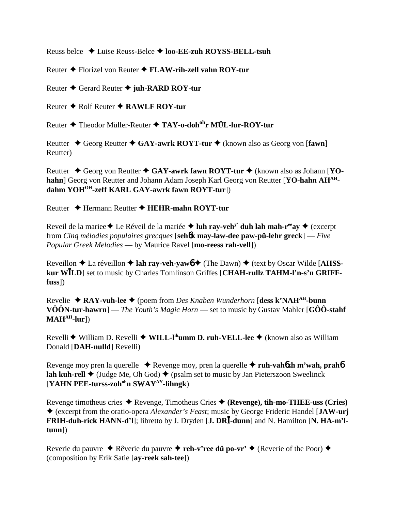Reuss belce Luise Reuss-Belce **loo-EE-zuh ROYSS-BELL-tsuh**

Reuter Florizel von Reuter **FLAW-rih-zell vahn ROY-tur**

Reuter Gerard Reuter **juh-RARD ROY-tur**

Reuter **←** Rolf Reuter **← RAWLF ROY-tur** 

Reuter Theodor Müller-Reuter **TAY-o-dohohr MÜL-lur-ROY-tur**

Reutter **→** Georg Reutter ◆ GAY-awrk ROYT-tur ◆ (known also as Georg von [fawn] Reutter)

Reutter ◆ Georg von Reutter ◆ GAY-awrk fawn ROYT-tur ◆ (known also as Johann [YOhahn] Georg von Reutter and Johann Adam Joseph Karl Georg von Reutter [YO-hahn AH<sup>AH</sup>**dahm YOHOH-zeff KARL GAY-awrk fawn ROYT-tur**])

Reutter ◆ Hermann Reutter ◆ HEHR-mahn ROYT-tur

Reveil de la mariee **←** Le Réveil de la mariée **← luh ray-veh<sup>y'</sup> duh lah mah-r<sup>ee</sup>ay ←** (excerpt from *Cinq mélodies populaires grecques* [**seh**6**k may-law-dee paw-pü-lehr greck**] — *Five Popular Greek Melodies* — by Maurice Ravel [**mo-reess rah-vell**])

 $\text{Reveillon} \triangleq \text{La réveillon} \triangleq \text{lah ray-veh-vaw6} \triangleq (\text{The Dawn}) \triangleq (\text{text by Oscar Wilde [AHSS-} \triangleq \text{Im})$ **kur WLD**] set to music by Charles Tomlinson Griffes [**CHAH-rullz TAHM-l'n-s'n GRIFFfuss**])

Revelie **RAY-vuh-lee** (poem from *Des Knaben Wunderhorn* [**dess k'NAHAH-bunn VÔÔN-tur-hawrn**] — *The Youth's Magic Horn* — set to music by Gustav Mahler [**GÔÔ-stahf MAHAH-lur**])

Revelli **◆** William D. Revelli ◆ **WILL-l<sup>ih</sup>umm D. ruh-VELL-lee** ◆ (known also as William Donald [**DAH-nulld**] Revelli)

Revenge moy pren la querelle ◆ Revenge moy, pren la querelle ◆ ruh-vah6zh m'wah, prah6 **lah kuh-rell**  $\blacklozenge$  (Judge Me, Oh God)  $\blacklozenge$  (psalm set to music by Jan Pieterszoon Sweelinck [**YAHN PEE-turss-zohohn SWAYAY-lihngk**)

Revenge timotheus cries Revenge, Timotheus Cries **(Revenge), tih-mo-THEE-uss (Cries)** (excerpt from the oratio-opera *Alexander's Feast*; music by George Frideric Handel [**JAW-urj FRIH-duh-rick HANN-d'l**]; libretto by J. Dryden [**J. DR-dunn**] and N. Hamilton [**N. HA-m'ltunn**])

Reverie du pauvre ◆ Rêverie du pauvre ◆ reh-v'ree dü po-vr' ◆ (Reverie of the Poor) ◆ (composition by Erik Satie [**ay-reek sah-tee**])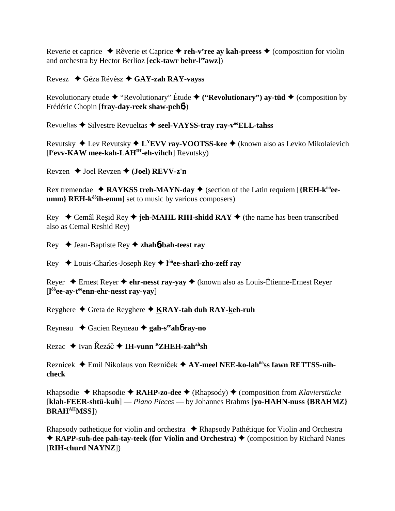Reverie et caprice  $\triangle$  Rêverie et Caprice  $\triangle$  reh-v'ree av kah-preess  $\triangle$  (composition for violin and orchestra by Hector Berlioz [eck-tawr behr-leawz])

Revesz  $\triangleleft$  Géza Révész  $\triangleleft$  GAY-zah RAY-vayss

Revolutionary etude  $\blacklozenge$  "Revolutionary" Étude  $\blacklozenge$  ("Revolutionary") ay-tüd  $\blacklozenge$  (composition by Frédéric Chopin [fray-day-reek shaw-peh6])

Revueltas  $\triangle$  Silvestre Revueltas  $\triangle$  seel-VAYSS-tray ray-v<sup>oo</sup>ELL-tahss

Revutsky  $\triangle$  Lev Revutsky  $\triangle$  L<sup>Y</sup>EVV ray-VOOTSS-kee  $\triangle$  (known also as Levko Mikolaievich  $[1<sup>y</sup>$ evv-KAW mee-kah-LAH<sup>IH</sup>-eh-vihch] Revutsky)

Revzen  $\triangle$  Joel Revzen  $\triangle$  (Joel) REVV-z'n

Rex tremendae  $\triangle$  RAYKSS treh-MAYN-day  $\triangle$  (section of the Latin requiem [{REH-k<sup> $\hat{o}\hat{o}$ </sup>eeumm} REH-k<sup>ôô</sup>ih-emm] set to music by various composers)

Rey  $\bullet$  Cemâl Reșid Rey  $\bullet$  jeh-MAHL RIH-shidd RAY  $\bullet$  (the name has been transcribed also as Cemal Reshid Rey)

Rey  $\blacklozenge$  Jean-Baptiste Rey  $\blacklozenge$  zhahó-bah-teest ray

Rey  $\leftrightarrow$  Louis-Charles-Joseph Rey  $\leftrightarrow$  l<sup>ôô</sup>ee-sharl-zho-zeff ray

Rever  $\triangle$  Ernest Rever  $\triangle$  ehr-nesst ray-vay  $\triangle$  (known also as Louis-Étienne-Ernest Rever  $\left[1^{66}$ ee-av-t<sup>ee</sup>enn-ehr-nesst rav-yay]

Reyghere  $\triangle$  Greta de Reyghere  $\triangle$  KRAY-tah duh RAY-keh-ruh

Reyneau  $\triangle$  Gacien Reyneau  $\triangle$  gah-s<sup>ee</sup>aho ray-no

Rezac  $\triangle$  Ivan Řezáč  $\triangle$  IH-vunn <sup>R</sup>ZHEH-zah<sup>ah</sup>sh

Reznicek → Emil Nikolaus von Rezniček → AY-meel NEE-ko-lah<sup>ôô</sup>ss fawn RETTSS-nihcheck

Rhapsodie  $\triangle$  Rhapsodie  $\triangle$  RAHP-zo-dee  $\triangle$  (Rhapsody)  $\triangle$  (composition from Klavierstücke [klah-FEER-shtü-kuh] — Piano Pieces — by Johannes Brahms [yo-HAHN-nuss {BRAHMZ} **BRAH<sup>AH</sup>MSS**])

Rhapsody pathetique for violin and orchestra  $\bullet$  Rhapsody Pathétique for Violin and Orchestra  $\triangle$  RAPP-suh-dee pah-tay-teek (for Violin and Orchestra)  $\triangle$  (composition by Richard Nanes [RIH-churd NAYNZ])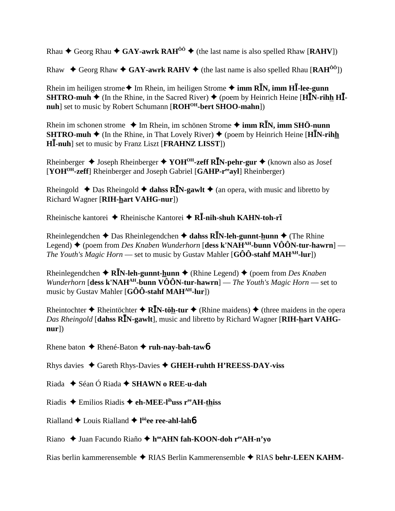Rhau  $\triangle$  Georg Rhau  $\triangle$  GAY-awrk RAH<sup>00</sup>  $\triangle$  (the last name is also spelled Rhaw [RAHV])

Rhaw  $\blacklozenge$  Georg Rhaw  $\blacklozenge$  GAY-awrk RAHV  $\blacklozenge$  (the last name is also spelled Rhau [RAH<sup>00</sup>])

Rhein im heiligen strome **◆** Im Rhein, im heiligen Strome ◆ imm R**I**N, imm H**I**-lee-gunn **SHTRO-muh**  $\blacklozenge$  (In the Rhine, in the Sacred River)  $\blacklozenge$  (poem by Heinrich Heine [**HI**N-rihh **HI**nuh] set to music by Robert Schumann [ROH<sup>OH</sup>-bert SHOO-mahn])

Rhein im schonen strome  $\triangle$  Im Rhein, im schönen Strome  $\triangle$  **imm RI**N, **imm SHÖ-nunn SHTRO-muh**  $\triangle$  (In the Rhine, in That Lovely River)  $\triangle$  (poem by Heinrich Heine [**HI**N-rihh **H-nuh**] set to music by Franz Liszt [**FRAHNZ LISST**])

Rheinberger Joseph Rheinberger **YOHOH-zeff RN-pehr-gur** (known also as Josef [**YOHOH-zeff**] Rheinberger and Joseph Gabriel [**GAHP-reeayl**] Rheinberger)

Rheingold  $\triangle$  Das Rheingold  $\triangle$  dahss R**I**N-gawlt  $\triangle$  (an opera, with music and libretto by Richard Wagner [**RIH-hart VAHG-nur**])

Rheinische kantorei ◆ Rheinische Kantorei ◆ R**Ī-nih-shuh KAHN-toh-rī** 

Rheinlegendchen  $\triangle$  Das Rheinlegendchen  $\triangle$  dahss R**I**N-leh-gunnt-hunn  $\triangle$  (The Rhine Legend) ♦ (poem from *Des Knaben Wunderhorn* [**dess k'NAH<sup>AH</sup>-bunn VÔÔN-tur-hawrn**] — *The Youth's Magic Horn* — set to music by Gustav Mahler  $[G\hat{O}\hat{O}$ -stahf MAH<sup>AH</sup>-lur<sup>]</sup>)

Rheinlegendchen **RN-leh-gunnt-hunn** (Rhine Legend) (poem from *Des Knaben Wunderhorn* [dess k'NAH<sup>AH</sup>-bunn VÔÔN-tur-hawrn] — *The Youth's Magic Horn* — set to music by Gustav Mahler [**GÔÔ-stahf MAHAH-lur**])

Rheintochter  $\triangle$  Rheintöchter  $\triangle$  R**I**N-töh-tur  $\triangle$  (Rhine maidens)  $\triangle$  (three maidens in the opera *Das Rheingold* [**dahss RN-gawlt**], music and libretto by Richard Wagner [**RIH-hart VAHGnur**])

Rhene baton Rhené-Baton **ruh-nay-bah-taw**6

Rhys davies Gareth Rhys-Davies **GHEH-ruhth H'REESS-DAY-viss**

- Riada Séan Ó Riada **SHAWN o REE-u-dah**
- Riadis Emilios Riadis **eh-MEE-lihuss reeAH-thiss**
- Rialland Louis Rialland **l ôôee ree-ahl-lah**6
- Riano **→** Juan Facundo Riaño → h<sup>oo</sup>AHN fah-KOON-doh r<sup>ee</sup>AH-n'yo

Rias berlin kammerensemble RIAS Berlin Kammerensemble RIAS **behr-LEEN KAHM-**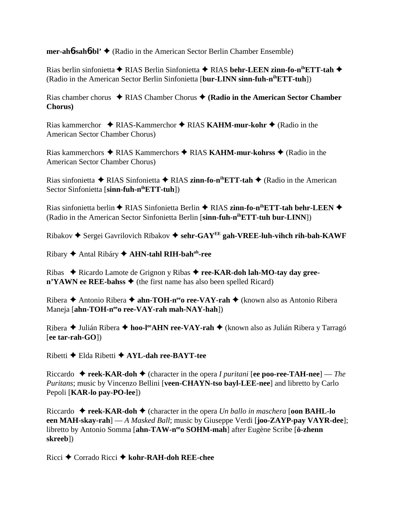**mer-ah**6**-sah**6**-bl'** (Radio in the American Sector Berlin Chamber Ensemble)

Rias berlin sinfonietta RIAS Berlin Sinfonietta RIAS **behr-LEEN zinn-fo-nihETT-tah**  (Radio in the American Sector Berlin Sinfonietta [**bur-LINN sinn-fuh-nihETT-tuh**])

Rias chamber chorus  $\triangle$  RIAS Chamber Chorus  $\triangle$  (**Radio in the American Sector Chamber Chorus)**

Rias kammerchor ◆ RIAS-Kammerchor ◆ RIAS **KAHM-mur-kohr ◆** (Radio in the American Sector Chamber Chorus)

Rias kammerchors RIAS Kammerchors RIAS **KAHM-mur-kohrss** (Radio in the American Sector Chamber Chorus)

Rias sinfonietta RIAS Sinfonietta RIAS **zinn-fo-nihETT-tah** (Radio in the American Sector Sinfonietta [s**inn-fuh-n<sup>ih</sup>ETT-tuh**])

Rias sinfonietta berlin ◆ RIAS Sinfonietta Berlin ◆ RIAS zinn-fo-n<sup>ih</sup>ETT-tah behr-LEEN ◆ (Radio in the American Sector Sinfonietta Berlin [**sinn-fuh-nihETT-tuh bur-LINN**])

 $Ribakov \triangleq$  Sergei Gavrilovich Rïbakov  $\triangleq$  sehr-GAY<sup>EE</sup> gah-VREE-luh-vihch rih-bah-KAWF

Ribary Antal Ribáry **AHN-tahl RIH-bahah-ree**

Ribas Ricardo Lamote de Grignon y Ribas **ree-KAR-doh lah-MO-tay day gree-** $\mathbf{n'YAWN}$  ee REE-bahss  $\blacklozenge$  (the first name has also been spelled Ricard)

Ribera ◆ Antonio Ribera ◆ **ahn-TOH-n<sup>ee</sup>o ree-VAY-rah** ◆ (known also as Antonio Ribera Maneja [ahn-TOH-n<sup>ee</sup>o ree-VAY-rah mah-NAY-hah])

Ribera ◆ Julián Ribera ◆ hoo-l<sup>ee</sup>AHN ree-VAY-rah ◆ (known also as Julián Ribera y Tarragó [**ee tar-rah-GO**])

Ribetti Elda Ribetti **AYL-dah ree-BAYT-tee**

Riccardo **reek-KAR-doh** (character in the opera *I puritani* [**ee poo-ree-TAH-nee**] — *The Puritans*; music by Vincenzo Bellini [**veen-CHAYN-tso bayl-LEE-nee**] and libretto by Carlo Pepoli [**KAR-lo pay-PO-lee**])

Riccardo  $\triangle$  **reek-KAR-doh**  $\triangle$  (character in the opera *Un ballo in maschera* [**oon BAHL-lo een MAH-skay-rah**] — *A Masked Ball*; music by Giuseppe Verdi [**joo-ZAYP-pay VAYR-dee**]; libretto by Antonio Somma [**ahn-TAW-neeo SOHM-mah**] after Eugène Scribe [**ö-zhenn skreeb**])

Ricci Corrado Ricci **kohr-RAH-doh REE-chee**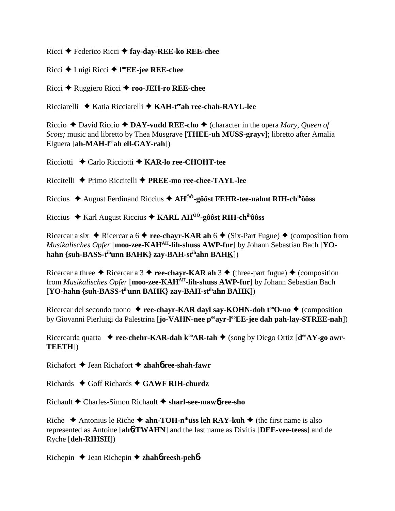Ricci Federico Ricci **fay-day-REE-ko REE-chee**

Ricci Luigi Ricci **l ooEE-jee REE-chee**

Ricci Ruggiero Ricci **roo-JEH-ro REE-chee**

Ricciarelli **→** Katia Ricciarelli → KAH-t<sup>ee</sup>ah ree-chah-RAYL-lee

Riccio  $\triangle$  David Riccio  $\triangle$  **DAY-vudd REE-cho**  $\triangle$  (character in the opera *Mary, Queen of Scots;* music and libretto by Thea Musgrave [**THEE-uh MUSS-grayv**]; libretto after Amalia Elguera [**ah-MAH-leeah ell-GAY-rah**])

Ricciotti Carlo Ricciotti **KAR-lo ree-CHOHT-tee**

Riccitelli Primo Riccitelli **PREE-mo ree-chee-TAYL-lee**

Riccius August Ferdinand Riccius **AHÔÔ-gôôst FEHR-tee-nahnt RIH-chihôôss**

Riccius Karl August Riccius **KARL AHÔÔ-gôôst RIH-chihôôss**

Ricercar a six  $\triangle$  Ricercar a 6  $\triangle$  **ree-chayr-KAR ah** 6  $\triangle$  (Six-Part Fugue)  $\triangle$  (composition from *Musikalisches Opfer* [**moo-zee-KAHAH-lih-shuss AWP-fur**] by Johann Sebastian Bach [**YOhahn {suh-BASS-tihunn BAHK} zay-BAH-stihahn BAHK**])

Ricercar a three  $\triangle$  Ricercar a 3  $\triangle$  **ree-chayr-KAR ah** 3  $\triangle$  (three-part fugue)  $\triangle$  (composition from *Musikalisches Opfer* [**moo-zee-KAHAH-lih-shuss AWP-fur**] by Johann Sebastian Bach [**YO-hahn {suh-BASS-tihunn BAHK} zay-BAH-stihahn BAHK**])

Ricercar del secondo tuono  $\triangle$  **ree-chayr-KAR dayl say-KOHN-doh t<sup>oo</sup>O-no**  $\triangle$  (composition by Giovanni Pierluigi da Palestrina [**jo-VAHN-nee p<sup>ee</sup>ayr-l<sup>oo</sup>EE-jee dah pah-lay-STREE-nah**])

Ricercarda quarta  $\bullet$  **ree-chehr-KAR-dah k<sup>oo</sup>AR-tah**  $\bullet$  (song by Diego Ortiz [ $d^{ee}AY$ -go awr-**TEETH**])

Richafort Jean Richafort **zhah**6 **ree-shah-fawr**

Richards  $\triangle$  Goff Richards  $\triangle$  GAWF RIH-churdz

Richault Charles-Simon Richault **sharl-see-maw**6 **ree-sho**

Riche  $\triangle$  Antonius le Riche  $\triangle$  **ahn-TOH-n<sup>ih</sup>üss leh RAY-kuh**  $\triangle$  (the first name is also represented as Antoine [**ah**6**-TWAHN**] and the last name as Divitis [**DEE-vee-teess**] and de Ryche [**deh-RIHSH**])

Richepin Jean Richepin  **zhah**6 **reesh-peh**6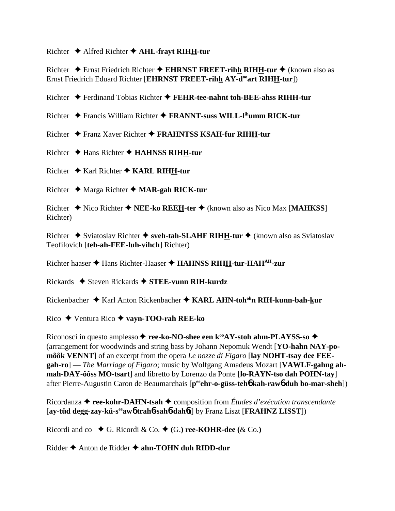#### Richter  $\triangle$  Alfred Richter  $\triangle$  AHL-fravt RIHH-tur

Richter  $\triangle$  Ernst Friedrich Richter  $\triangle$  EHRNST FREET-rihh RIHH-tur  $\triangle$  (known also as Ernst Friedrich Eduard Richter [EHRNST FREET-rihh AY-d<sup>oo</sup>art RIHH-tur])

Richter  $\triangle$  Ferdinand Tobias Richter  $\triangle$  FEHR-tee-nahnt toh-BEE-ahss RIHH-tur

Richter  $\triangleq$  Francis William Richter  $\triangleq$  **FRANNT-suss WILL-l<sup>th</sup>umm RICK-tur** 

Richter ◆ Franz Xaver Richter ◆ FRAHNTSS KSAH-fur RIHH-tur

Richter  $\triangle$  Hans Richter  $\triangle$  HAHNSS RIHH-tur

Richter  $\triangle$  Karl Richter  $\triangle$  KARL RIHH-tur

Richter  $\triangleleft$  Marga Richter  $\triangleleft$  MAR-gah RICK-tur

Richter  $\triangle$  Nico Richter  $\triangle$  NEE-ko REEH-ter  $\triangle$  (known also as Nico Max [MAHKSS] Richter)

Richter  $\triangle$  Sviatoslav Richter  $\triangle$  sveh-tah-SLAHF RIHH-tur  $\triangle$  (known also as Sviatoslav Teofilovich [teh-ah-FEE-luh-vihch] Richter)

Richter haaser ◆ Hans Richter-Haaser ◆ HAHNSS RIHH-tur-HAH<sup>AH</sup>-zur

Rickards  $\triangle$  Steven Rickards  $\triangle$  STEE-vunn RIH-kurdz

Rickenbacher ◆ Karl Anton Rickenbacher ◆ KARL AHN-toh<sup>oh</sup>n RIH-kunn-bah-kur

Rico  $\blacklozenge$  Ventura Rico  $\blacklozenge$  vayn-TOO-rah REE-ko

Riconosci in questo amplesso → ree-ko-NO-shee een k<sup>oo</sup>AY-stoh ahm-PLAYSS-so → (arrangement for woodwinds and string bass by Johann Nepomuk Wendt [YO-hahn NAY-pomôôk VENNT] of an excerpt from the opera Le nozze di Figaro [lay NOHT-tsay dee FEEgah-ro] — The Marriage of Figaro; music by Wolfgang Amadeus Mozart [VAWLF-gahng ahmah-DAY-ôôss MO-tsart] and libretto by Lorenzo da Ponte [lo-RAYN-tso dah POHN-tay] after Pierre-Augustin Caron de Beaumarchais [peehr-o-güss-teho kah-rawo duh bo-mar-sheh])

Ricordanza  $\triangleleft$  ree-kohr-DAHN-tsah  $\triangleleft$  composition from Études d'exécution transcendante [ay-tüd degg-zay-kü-s<sup>ee</sup>aw6 trah6-sah6-dah6t] by Franz Liszt [FRAHNZ LISST])

Ricordi and co  $\blacklozenge$  G. Ricordi & Co.  $\blacklozenge$  (G.) ree-KOHR-dee (& Co.)

Ridder  $\triangle$  Anton de Ridder  $\triangle$  ahn-TOHN duh RIDD-dur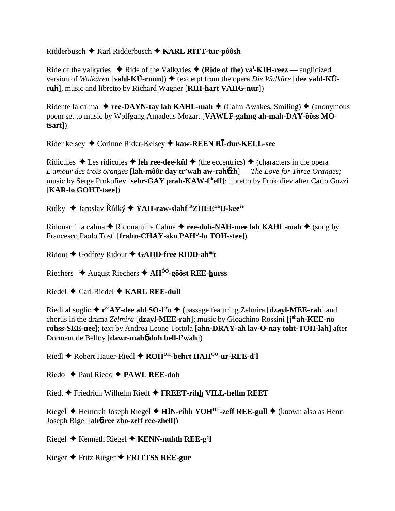## Ridderbusch  $\blacklozenge$  Karl Ridderbusch  $\blacklozenge$  KARL RITT-tur-pôôsh

Ride of the valkyries  $\triangle$  Ride of the Valkyries  $\triangle$  (Ride of the) va<sup>1</sup>-KIH-reez — anglicized version of Walkuren [vahl-KÜ-runn])  $\blacklozenge$  (excerpt from the opera *Die Walkure* [dee vahl-KÜruh], music and libretto by Richard Wagner [RIH-hart VAHG-nur])

Ridente la calma  $\triangle$  ree-DAYN-tay lah KAHL-mah  $\triangle$  (Calm Awakes, Smiling)  $\triangle$  (anonymous poem set to music by Wolfgang Amadeus Mozart [VAWLF-gahng ah-mah-DAY-ôôss MO $tsart$ ]

Rider kelsey  $\triangle$  Corinne Rider-Kelsey  $\triangle$  kaw-REEN RI-dur-KELL-see

Ridicules  $\triangle$  Les ridicules  $\triangle$  leh ree-dee-kül  $\triangle$  (the eccentrics)  $\triangle$  (characters in the opera L'amour des trois oranges [lah-môôr day tr'wah aw-rah $\delta$ zh] — The Love for Three Oranges; music by Serge Prokofiev [sehr-GAY prah-KAW-f<sup>th</sup>eff]; libretto by Prokofiev after Carlo Gozzi [KAR-lo GOHT-tsee])

Ridky  $\triangle$  Jaroslav Řídký  $\triangle$  YAH-raw-slahf <sup>R</sup>ZHEE<sup>EE</sup>D-kee<sup>ee</sup>

Ridonami la calma  $\blacklozenge$  Ridonami la Calma  $\blacklozenge$  ree-doh-NAH-mee lah KAHL-mah  $\blacklozenge$  (song by Francesco Paolo Tosti [frahn-CHAY-sko PAH<sup>O</sup>-lo TOH-stee])

Ridout ◆ Godfrey Ridout ◆ GAHD-free RIDD-ah<sup>ôô</sup>t

Riechers  $\triangle$  August Riechers  $\triangle$  AH<sup> $\hat{0}$ </sup>-gôôst REE-hurss

Riedel  $\triangle$  Carl Riedel  $\triangle$  KARL REE-dull

Riedi al soglio  $\triangle$  r<sup>ee</sup>AY-dee ahl SO-l<sup>ee</sup>  $\triangle$  (passage featuring Zelmira [dzayl-MEE-rah] and chorus in the drama Zelmira [dzayl-MEE-rah]; music by Gioachino Rossini [johah-KEE-no rohss-SEE-nee]; text by Andrea Leone Tottola [ahn-DRAY-ah lay-O-nay toht-TOH-lah] after Dormant de Belloy [dawr-maho duh bell-l'wah])

Riedl  $\triangle$  Robert Hauer-Riedl  $\triangle$  ROH<sup>OH</sup>-behrt HAH<sup>00</sup>-ur-REE-d'l

Riedo  $\triangle$  Paul Riedo  $\triangle$  PAWL REE-doh

Riedt ♦ Friedrich Wilhelm Riedt ♦ FREET-rihh VILL-hellm REET

Riegel ← Heinrich Joseph Riegel ← H<sup>I</sup>N-rihh YOH<sup>OH</sup>-zeff REE-gull ← (known also as Henri Joseph Rigel [ahb-ree zho-zeff ree-zhell])

Riegel ◆ Kenneth Riegel ◆ KENN-nuhth REE-g'l

Rieger  $\blacklozenge$  Fritz Rieger  $\blacklozenge$  FRITTSS REE-gur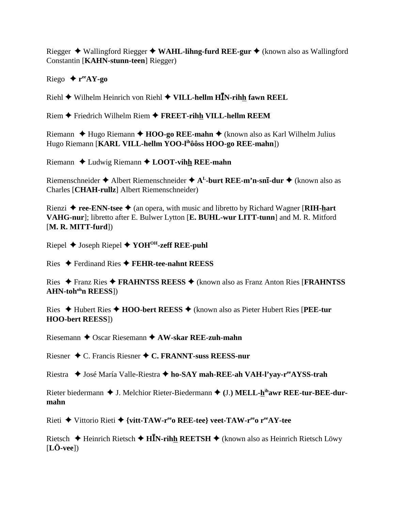Riegger  $\triangleq$  Wallingford Riegger  $\triangleq$  WAHL-lihng-furd REE-gur  $\triangleq$  (known also as Wallingford Constantin [KAHN-stunn-teen] Riegger)

Riego  $\leftrightarrow$  r<sup>ee</sup>AY-go

Riehl  $\blacklozenge$  Wilhelm Heinrich von Riehl  $\blacklozenge$  VILL-hellm HIN-rihh fawn REEL

 $Riem$  Friedrich Wilhelm Riem  $\blacklozenge$  FREET-rihh VILL-hellm REEM

Riemann  $\triangle$  Hugo Riemann  $\triangle$  HOO-go REE-mahn  $\triangle$  (known also as Karl Wilhelm Julius Hugo Riemann [KARL VILL-hellm YOO-lihôôss HOO-go REE-mahn])

Riemann  $\triangle$  Ludwig Riemann  $\triangle$  LOOT-vihh REE-mahn

Riemenschneider  $\triangle$  Albert Riemenschneider  $\triangle$  A<sup>L</sup>-burt REE-m'n-sn**ī-dur**  $\triangle$  (known also as Charles [CHAH-rullz] Albert Riemenschneider)

Rienzi  $\triangle$  ree-ENN-tsee  $\triangle$  (an opera, with music and libretto by Richard Wagner [RIH-hart] VAHG-nur]; libretto after E. Bulwer Lytton [E. BUHL-wur LITT-tunn] and M. R. Mitford  $[M. R. MITT-furd]$ 

Riepel  $\blacklozenge$  Joseph Riepel  $\blacklozenge$  YOH<sup>OH</sup>-zeff REE-puhl

Ries  $\blacklozenge$  Ferdinand Ries  $\blacklozenge$  FEHR-tee-nahnt REESS

Ries  $\triangle$  Franz Ries  $\triangle$  FRAHNTSS REESS  $\triangle$  (known also as Franz Anton Ries [FRAHNTSS] **AHN-toh<sup>oh</sup>n REESS**])

Ries  $\triangle$  Hubert Ries  $\triangle$  HOO-bert REESS  $\triangle$  (known also as Pieter Hubert Ries [PEE-tur **HOO-bert REESS])** 

Riesemann  $\triangle$  Oscar Riesemann  $\triangle$  AW-skar REE-zuh-mahn

Riesner  $\bigstar$  C. Francis Riesner  $\bigstar$  C. FRANNT-suss REESS-nur

Riestra ◆ José María Valle-Riestra ◆ ho-SAY mah-REE-ah VAH-l'vav-r<sup>ee</sup>AYSS-trah

Rieter biedermann  $\triangle$  J. Melchior Rieter-Biedermann  $\triangle$  (J.) MELL-h<sup>ih</sup>awr REE-tur-BEE-durmahn

Rieti ◆ Vittorio Rieti ◆ {vitt-TAW-r<sup>ee</sup>o REE-tee} veet-TAW-r<sup>ee</sup>o r<sup>ee</sup>AY-tee

Rietsch  $\triangle$  Heinrich Rietsch  $\triangle$  HIN-rihh REETSH  $\triangle$  (known also as Heinrich Rietsch Löwy  $[L\ddot{\textbf{O}}\textbf{-veel})$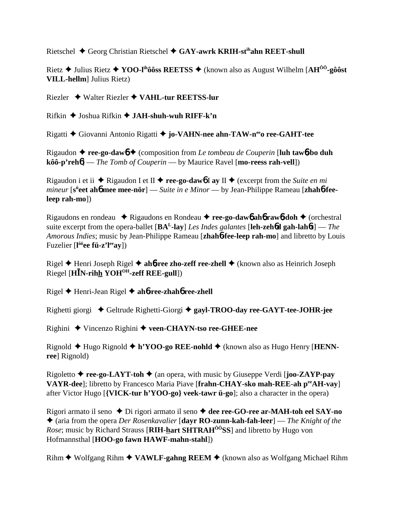Rietschel  $\triangle$  Georg Christian Rietschel  $\triangle$  GAY-awrk KRIH-st<sup>ih</sup>ahn REET-shull

Rietz  $\triangle$  Julius Rietz  $\triangle$  YOO-l<sup>ih</sup>ôôss REETSS  $\triangle$  (known also as August Wilhelm [AH<sup>00</sup>-gôôst **VILL-hellm** Julius Rietz)

Riezler ◆ Walter Riezler ◆ VAHL-tur REETSS-lur

 $Rifkin$   $\blacklozenge$  Joshua Rifkin  $\blacklozenge$  JAH-shuh-wuh RIFF-k'n

Rigatti ◆ Giovanni Antonio Rigatti ◆ jo-VAHN-nee ahn-TAW-n<sup>ee</sup>o ree-GAHT-tee

Rigaudon  $\triangle$  ree-go-daw $\phi$   $\triangle$  (composition from Le tombeau de Couperin [luh taw $\phi$ -bo duh  $k\hat{o}\hat{o} \cdot p'$ reh $\hat{o}$  - The Tomb of Couperin - by Maurice Ravel [mo-reess rah-vell])

Rigaudon i et ii  $\triangle$  Rigaudon I et II  $\triangle$  ree-go-dawb I ay II  $\triangle$  (excerpt from the Suite en mi *mineur* [s<sup>ii</sup>eet ah**6** mee mee-nör] — Suite in e Minor — by Jean-Philippe Rameau [zhah**6-fee-** $[leep rah-mo])$ 

Rigaudons en rondeau  $\rightarrow$  Rigaudons en Rondeau  $\rightarrow$  ree-go-daw<sub>b</sub> aho rawb-doh  $\rightarrow$  (orchestral suite excerpt from the opera-ballet [ $BA<sup>L</sup>$ -lay] Les Indes galantes [**leh-zehod gah-lahot**] — The Amorous Indies; music by Jean-Philippe Rameau [zhahot-fee-leep rah-mo] and libretto by Louis Fuzelier  $[1^{\hat{0}\hat{0}}$ ee fü-z'l<sup>ee</sup>ay])

Rigel ♦ Henri Joseph Rigel ♦ ah**6-ree zho-zeff ree-zhell ♦** (known also as Heinrich Joseph Riegel [HIN-rihh YOH<sup>OH</sup>-zeff REE-gull])

Rigel  $\triangle$  Henri-Jean Rigel  $\triangle$  ah**6-ree-zhah6 ree-zhell** 

Righetti giorgi ◆ Geltrude Righetti-Giorgi ◆ gayl-TROO-day ree-GAYT-tee-JOHR-jee

Righini ◆ Vincenzo Righini ◆ veen-CHAYN-tso ree-GHEE-nee

Rignold  $\triangle$  Hugo Rignold  $\triangle$  h'YOO-go REE-nohld  $\triangle$  (known also as Hugo Henry [HENNree] Rignold)

Rigoletto  $\triangle$  ree-go-LAYT-toh  $\triangle$  (an opera, with music by Giuseppe Verdi [joo-ZAYP-pay VAYR-dee]; libretto by Francesco Maria Piave [frahn-CHAY-sko mah-REE-ah peeAH-vay] after Victor Hugo [{VICK-tur h'YOO-go} veek-tawr ü-go]; also a character in the opera)

Rigori armato il seno  $\triangle$  Di rigori armato il seno  $\triangle$  dee ree-GO-ree ar-MAH-toh eel SAY-no  $\triangle$  (aria from the opera *Der Rosenkavalier* [dayr RO-zunn-kah-fah-leer] — *The Knight of the Rose*; music by Richard Strauss [RIH-hart SHTRAH<sup>00</sup>SS] and libretto by Hugo von Hofmannsthal [HOO-go fawn HAWF-mahn-stahl])

Rihm  $\blacklozenge$  Wolfgang Rihm  $\blacklozenge$  VAWLF-gahng REEM  $\blacklozenge$  (known also as Wolfgang Michael Rihm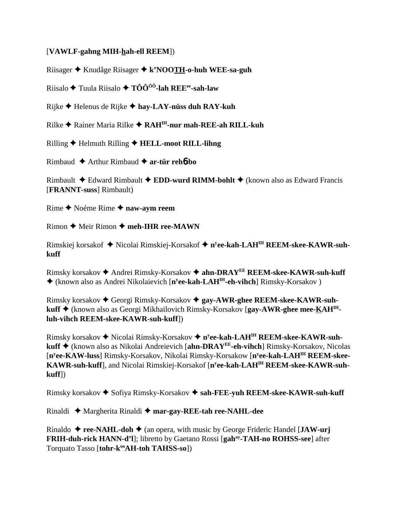### [**VAWLF-gahng MIH-hah-ell REEM**])

Riisager Knudåge Riisager **k'NOOTH-o-huh WEE-sa-guh**

Riisalo Tuula Riisalo **TÔÔÔÔ-lah REEee-sah-law**

Rijke Helenus de Rijke  **hay-LAY-nüss duh RAY-kuh**

Rilke **←** Rainer Maria Rilke ← RAH<sup>IH</sup>-nur mah-REE-ah RILL-kuh

Rilling Helmuth Rilling **HELL-moot RILL-lihng**

Rimbaud Arthur Rimbaud **ar-tür reh**6**-bo**

Rimbault Edward Rimbault **EDD-wurd RIMM-bohlt** (known also as Edward Francis [**FRANNT-suss**] Rimbault)

Rime ◆ Noéme Rime ◆ naw-aym reem

 $R<sub>imon</sub>$   $\blacklozenge$  Meir Rimon  $\blacklozenge$  **meh-IHR ree-MAWN** 

Rimskiej korsakof Nicolai Rimskiej-Korsakof **ny ee-kah-LAHIH REEM-skee-KAWR-suhkuff**

Rimsky korsakov Andrei Rimsky-Korsakov **ahn-DRAYEE REEM-skee-KAWR-suh-kuff** ◆ (known also as Andrei Nikolaievich [n<sup>y</sup>ee-kah-LAH<sup>IH</sup>-eh-vihch] Rimsky-Korsakov )

Rimsky korsakov Georgi Rimsky-Korsakov **gay-AWR-ghee REEM-skee-KAWR-suhkuff** (known also as Georgi Mikhailovich Rimsky-Korsakov [**gay-AWR-ghee mee-KAHIHluh-vihch REEM-skee-KAWR-suh-kuff**])

Rimsky korsakov ◆ Nicolai Rimsky-Korsakov ◆ n<sup>y</sup>ee-kah-LAH<sup>IH</sup> REEM-skee-KAWR-suh**kuff** (known also as Nikolai Andreievich [**ahn-DRAYEE-eh-vihch**] Rimsky-Korsakov, Nicolas [**ny ee-KAW-luss**] Rimsky-Korsakov, Nikolai Rimsky-Korsakow [**ny ee-kah-LAHIH REEM-skee-KAWR-suh-kuff**], and Nicolai Rimskiej-Korsakof [**ny ee-kah-LAHIH REEM-skee-KAWR-suhkuff**])

Rimsky korsakov ◆ Sofiya Rimsky-Korsakov ◆ sah-FEE-yuh REEM-skee-KAWR-suh-kuff

Rinaldi Margherita Rinaldi  **mar-gay-REE-tah ree-NAHL-dee**

Rinaldo  $\triangle$  **ree-NAHL-doh**  $\triangle$  (an opera, with music by George Frideric Handel [**JAW-urj FRIH-duh-rick HANN-d'l**]; libretto by Gaetano Rossi [**gahay-TAH-no ROHSS-see**] after Torquato Tasso [tohr-k<sup>oo</sup>AH-toh TAHSS-so])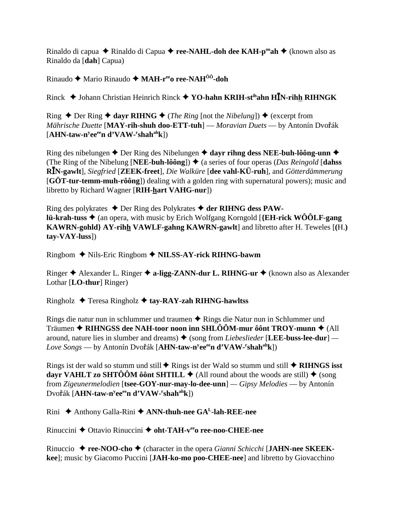Rinaldo di capua ◆ Rinaldo di Capua ◆ ree-NAHL-doh dee KAH-p<sup>oo</sup>ah ◆ (known also as Rinaldo da [dah] Capua)

Rinaudo ◆ Mario Rinaudo ◆ MAH-ree ree-NAH<sup>ôô</sup>-doh

Rinck  $\blacklozenge$  Johann Christian Heinrich Rinck  $\blacklozenge$  YO-hahn KRIH-st<sup>ih</sup>ahn HIN-rihh RIHNGK

Ring ◆ Der Ring ◆ dayr RIHNG ◆ (*The Ring* [not the *Nibelung*]) ◆ (excerpt from Mährische Duette [MAY-rih-shuh doo-ETT-tuh] — Moravian Duets — by Antonín Dvořák  $[AHN-taw-n<sup>y</sup>ee<sup>ee</sup>n d'VAW-rshah<sup>ah</sup>k])$ 

Ring des nibelungen  $\triangle$  Der Ring des Nibelungen  $\triangle$  dayr rihng dess NEE-buh-lôông-unn  $\triangle$ (The Ring of the Nibelung [NEE-buh-lôông])  $\triangleq$  (a series of four operas (*Das Reingold* [dahss] RIN-gawlt], Siegfried [ZEEK-freet], Die Walküre [dee vahl-KÜ-ruh], and Götterdämmerung [GÖT-tur-temm-muh-rôông]) dealing with a golden ring with supernatural powers); music and libretto by Richard Wagner [RIH-hart VAHG-nur])

Ring des polykrates  $\triangle$  Der Ring des Polykrates  $\triangle$  der RIHNG dess PAW**lü-krah-tuss**  $\blacklozenge$  (an opera, with music by Erich Wolfgang Korngold [{**EH-rick WO** $\hat{O}$ **LF-gang** KAWRN-gohld} AY-rihh VAWLF-gahng KAWRN-gawlt] and libretto after H. Teweles [(H.)  $tav-VAY-luss$ ]

Ringbom ◆ Nils-Eric Ringbom ◆ NILSS-AY-rick RIHNG-bawm

Ringer  $\triangle$  Alexander L. Ringer  $\triangle$  a-ligg-ZANN-dur L. RIHNG-ur  $\triangle$  (known also as Alexander Lothar [LO-thur] Ringer)

Ringholz  $\triangle$  Teresa Ringholz  $\triangle$  tay-RAY-zah RIHNG-hawltss

Rings die natur nun in schlummer und traumen ◆ Rings die Natur nun in Schlummer und Träumen  $\triangle$  RIHNGSS dee NAH-toor noon inn SHLÔÔM-mur ôônt TROY-munn  $\triangle$  (All around, nature lies in slumber and dreams)  $\triangle$  (song from *Liebeslieder* [LEE-buss-lee-dur] — Love Songs — by Antonín Dvořák [AHN-taw-n<sup>y</sup>ee<sup>ee</sup>n d'VAW-<sup>r</sup>shah<sup>ah</sup>k])

Rings ist der wald so stumm und still  $\triangle$  Rings ist der Wald so stumm und still  $\triangle$  RIHNGS isst dayr VAHLT zo SHTÔÔM ôônt SHTILL  $\blacklozenge$  (All round about the woods are still)  $\blacklozenge$  (song from Zigeunermelodien [tsee-GOY-nur-may-lo-dee-unn] —  $Gipsy$  Melodies — by Antonín Dvořák [AHN-taw-n<sup>y</sup>ee<sup>ee</sup>n d'VAW-'shah<sup>ah</sup>k])

Rini ◆ Anthony Galla-Rini ◆ ANN-thuh-nee GA<sup>L</sup>-lah-REE-nee

Rinuccini  $\triangle$  Ottavio Rinuccini  $\triangle$  oht-TAH- $v^{ee}$ o ree-noo-CHEE-nee

Rinuccio  $\triangle$  ree-NOO-cho  $\triangle$  (character in the opera *Gianni Schicchi* [JAHN-nee SKEEKkee]; music by Giacomo Puccini [JAH-ko-mo poo-CHEE-nee] and libretto by Giovacchino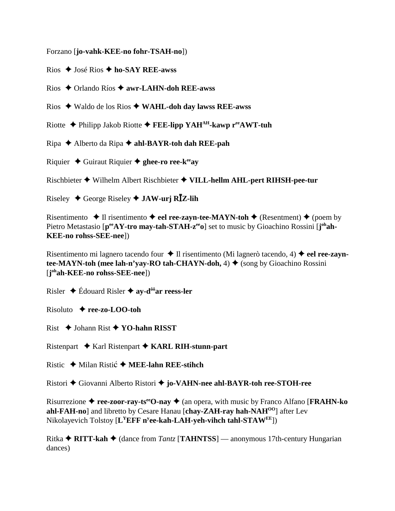Forzano [**jo-vahk-KEE-no fohr-TSAH-no**])

Rios José Rios **ho-SAY REE-awss**

Rios Orlando Ríos **awr-LAHN-doh REE-awss**

Rios Waldo de los Rios **WAHL-doh day lawss REE-awss**

Riotte **→** Philipp Jakob Riotte → **FEE-lipp YAH<sup>AH</sup>-kawp r<sup>ee</sup>AWT-tuh** 

Ripa Alberto da Ripa **ahl-BAYR-toh dah REE-pah**

Riquier Guiraut Riquier **ghee-ro ree-keeay**

Rischbieter Wilhelm Albert Rischbieter **VILL-hellm AHL-pert RIHSH-pee-tur**

Riseley  $\leftrightarrow$  George Riseley  $\leftrightarrow$  **JAW-urj RIZ-lih** 

Risentimento  $\triangle$  Il risentimento  $\triangle$  eel ree-zayn-tee-MAYN-toh  $\triangle$  (Resentment)  $\triangle$  (poem by Pietro Metastasio [p<sup>ee</sup>AY-tro may-tah-STAH-z<sup>ee</sup>o] set to music by Gioachino Rossini [j<sup>oh</sup>ah-**KEE-no rohss-SEE-nee**])

Risentimento mi lagnero tacendo four ♦ Il risentimento (Mi lagnerò tacendo, 4) ♦ eel ree-zayn**tee-MAYN-toh (mee lah-n'yay-RO tah-CHAYN-doh,**  $4) \triangleleft$  (song by Gioachino Rossini) [**j ohah-KEE-no rohss-SEE-nee**])

Risler  $\triangle$  Édouard Risler  $\triangle$  ay-d<sup>ôô</sup>ar reess-ler

Risoluto **ree-zo-LOO-toh**

Rist Johann Rist **YO-hahn RISST**

Ristenpart Karl Ristenpart **KARL RIH-stunn-part**

Ristic ◆ Milan Ristić ◆ MEE-lahn REE-stihch

Ristori Giovanni Alberto Ristori **jo-VAHN-nee ahl-BAYR-toh ree-STOH-ree**

Risurrezione ◆ ree-zoor-ray-ts<sup>ee</sup>O-nay ◆ (an opera, with music by Franco Alfano [**FRAHN-ko**] **ahl-FAH-no**] and libretto by Cesare Hanau [**chay-ZAH-ray hah-NAHOO**] after Lev Nikolayevich Tolstoy [**LYEFF ny ee-kah-LAH-yeh-vihch tahl-STAWEE**])

Ritka ◆ RITT-kah ◆ (dance from *Tantz* [TAHNTSS] — anonymous 17th-century Hungarian dances)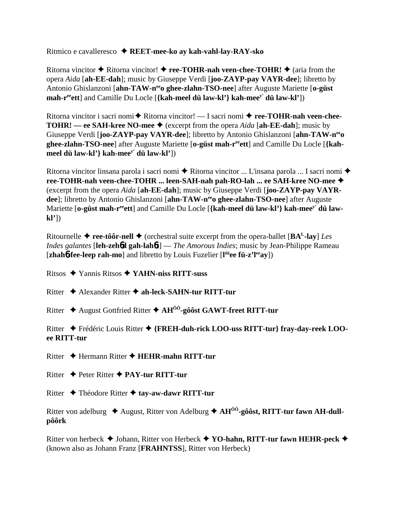Ritmico e cavalleresco **REET-mee-ko ay kah-vahl-lay-RAY-sko**

Ritorna vincitor  $\triangle$  Ritorna vincitor!  $\triangle$  **ree-TOHR-nah veen-chee-TOHR!**  $\triangle$  (aria from the opera *Aida* [**ah-EE-dah**]; music by Giuseppe Verdi [**joo-ZAYP-pay VAYR-dee**]; libretto by Antonio Ghislanzoni [ahn-TAW-n<sup>ee</sup>o ghee-zlahn-TSO-nee] after Auguste Mariette [o-güst **mah-r<sup>ee</sup>ett**] and Camille Du Locle [{kah-meel dü law-kl'} kah-mee<sup>y'</sup> dü law-kl'])

Ritorna vincitor i sacri nomi **←** Ritorna vincitor! — I sacri nomi ← ree-TOHR-nah veen-chee-**TOHR!** — ee SAH-kree NO-mee  $\blacklozenge$  (excerpt from the opera *Aida* [ah-EE-dah]; music by Giuseppe Verdi [**joo-ZAYP-pay VAYR-dee**]; libretto by Antonio Ghislanzoni [**ahn-TAW-neeo ghee-zlahn-TSO-nee**] after Auguste Mariette [**o-güst mah-reeett**] and Camille Du Locle [**{kahmeel dü law-kl'} kah-meey' dü law-kl'**])

Ritorna vincitor linsana parola i sacri nomi  $\blacklozenge$  Ritorna vincitor ... L'insana parola ... I sacri nomi  $\blacklozenge$ **ree-TOHR-nah veen-chee-TOHR ... leen-SAH-nah pah-RO-lah ... ee SAH-kree NO-mee** (excerpt from the opera *Aida* [**ah-EE-dah**]; music by Giuseppe Verdi [**joo-ZAYP-pay VAYRdee**]; libretto by Antonio Ghislanzoni [**ahn-TAW-n<sup>ee</sup>o ghee-zlahn-TSO-nee**] after Auguste Mariette [o-güst mah-r<sup>ee</sup>ett] and Camille Du Locle [{kah-meel dü law-kl'} kah-mee<sup>y'</sup> dü law**kl'**])

Ritournelle  $\triangle$  **ree-tôôr-nell**  $\triangle$  (orchestral suite excerpt from the opera-ballet [ $BA<sup>L</sup>$ -lay] *Les Indes galantes* [**leh-zeh**6**d gah-lah**6**t**] — *The Amorous Indies*; music by Jean-Philippe Rameau [**zhah<sup>6</sup>-fee-leep rah-mo**] and libretto by Louis Fuzelier [l<sup>ôô</sup>ee fü-z'l<sup>ee</sup>ay])

Ritsos Yannis Ritsos **YAHN-niss RITT-suss**

Ritter Alexander Ritter **ah-leck-SAHN-tur RITT-tur**

Ritter August Gottfried Ritter **AHÔÔ-gôôst GAWT-freet RITT-tur**

Ritter Frédéric Louis Ritter **{FREH-duh-rick LOO-uss RITT-tur} fray-day-reek LOOee RITT-tur**

Ritter **←** Hermann Ritter ← HEHR-mahn RITT-tur

Ritter Peter Ritter **PAY-tur RITT-tur**

Ritter ◆ Théodore Ritter ◆ tay-aw-dawr RITT-tur

Ritter von adelburg ◆ August, Ritter von Adelburg ◆ AH<sup>ÔÔ</sup>-gôôst, RITT-tur fawn AH-dull**pôôrk**

Ritter von herbeck ◆ Johann, Ritter von Herbeck ◆ YO-hahn, RITT-tur fawn HEHR-peck ◆ (known also as Johann Franz [**FRAHNTSS**], Ritter von Herbeck)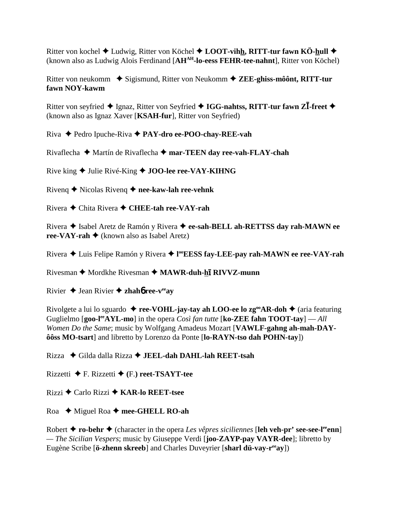Ritter von kochel ◆ Ludwig, Ritter von Köchel ◆ LOOT-vihh, RITT-tur fawn KÖ-hull ◆ (known also as Ludwig Alois Ferdinand [**AHAH-lo-eess FEHR-tee-nahnt**], Ritter von Köchel)

Ritter von neukomm **→** Sigismund, Ritter von Neukomm → **ZEE-ghiss-môônt, RITT-tur fawn NOY-kawm**

Ritter von seyfried  $\blacklozenge$  Ignaz, Ritter von Seyfried  $\blacklozenge$  **IGG-nahtss, RITT-tur fawn ZI-freet**  $\blacklozenge$ (known also as Ignaz Xaver [**KSAH-fur**], Ritter von Seyfried)

Riva Pedro Ipuche-Riva **PAY-dro ee-POO-chay-REE-vah**

Rivaflecha Martín de Rivaflecha **mar-TEEN day ree-vah-FLAY-chah**

Rive king ◆ Julie Rivé-King ◆ **JOO-lee ree-VAY-KIHNG** 

Rivenq Nicolas Rivenq **nee-kaw-lah ree-vehnk**

Rivera Chita Rivera **CHEE-tah ree-VAY-rah**

Rivera Isabel Aretz de Ramón y Rivera  **ee-sah-BELL ah-RETTSS day rah-MAWN ee ree-VAY-rah**  $\triangle$  (known also as Isabel Aretz)

Rivera Luis Felipe Ramón y Rivera **l ooEESS fay-LEE-pay rah-MAWN ee ree-VAY-rah**

Rivesman ◆ Mordkhe Rivesman ◆ MAWR-duh-<u>h</u>ī RIVVZ-munn

Rivier  $\triangle$  Jean Rivier  $\triangle$  **zhahó ree-v<sup>ee</sup>ay** 

Rivolgete a lui lo sguardo  $\triangle$  **ree-VOHL-jay-tay ah LOO-ee lo zg<sup>oo</sup>AR-doh**  $\triangle$  (aria featuring Guglielmo [**goo-leeAYL-mo**] in the opera *Così fan tutte* [**ko-ZEE fahn TOOT-tay**] — *All Women Do the Same*; music by Wolfgang Amadeus Mozart [**VAWLF-gahng ah-mah-DAYôôss MO-tsart**] and libretto by Lorenzo da Ponte [**lo-RAYN-tso dah POHN-tay**])

Rizza Gilda dalla Rizza **JEEL-dah DAHL-lah REET-tsah**

Rizzetti F. Rizzetti **(**F.**) reet-TSAYT-tee**

Rizzi Carlo Rizzi **KAR-lo REET-tsee**

Roa ◆ Miguel Roa ◆ mee-GHELL RO-ah

Robert  $\triangle$  **ro-behr**  $\triangle$  (character in the opera *Les vêpres siciliennes* [**leh veh-pr' see-see-l<sup>ee</sup>enn**] *— The Sicilian Vespers*; music by Giuseppe Verdi [**joo-ZAYP-pay VAYR-dee**]; libretto by Eugène Scribe [**ö-zhenn skreeb**] and Charles Duveyrier [**sharl dü-vay-r<sup>ee</sup>ay**])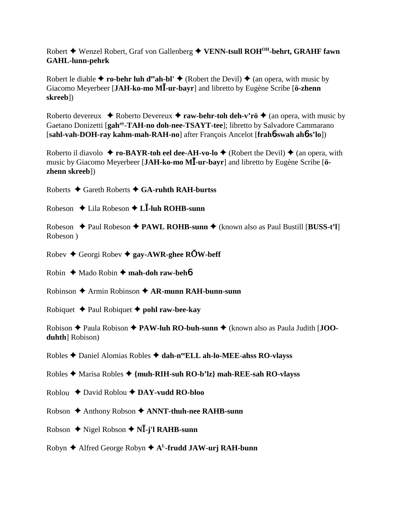Robert Wenzel Robert, Graf von Gallenberg **VENN-tsull ROHOH-behrt, GRAHF fawn GAHL-lunn-pehrk**

Robert le diable  $\triangle$  **ro-behr luh d<sup>ee</sup>ah-bl'**  $\triangle$  (Robert the Devil)  $\triangle$  (an opera, with music by Giacomo Meyerbeer [**JAH-ko-mo M-ur-bayr**] and libretto by Eugène Scribe [**ö-zhenn skreeb**])

Roberto devereux  $\rightarrow$  Roberto Devereux  $\rightarrow$  **raw-behr-toh deh-v'rö**  $\rightarrow$  (an opera, with music by Gaetano Donizetti [gah<sup>ay</sup>-TAH-no doh-nee-TSAYT-tee]; libretto by Salvadore Cammarano [**sahl-vah-DOH-ray kahm-mah-RAH-no**] after François Ancelot [**frah**6**-swah ah**6**-s'lo**])

Roberto il diavolo  $\rightarrow$  **ro-BAYR-toh eel dee-AH-vo-lo**  $\rightarrow$  (Robert the Devil)  $\rightarrow$  (an opera, with music by Giacomo Meyerbeer [**JAH-ko-mo M-ur-bayr**] and libretto by Eugène Scribe [**özhenn skreeb**])

Roberts Gareth Roberts **GA-ruhth RAH-burtss**

Robeson Lila Robeson **L-luh ROHB-sunn**

Robeson  $\triangle$  Paul Robeson  $\triangle$  PAWL ROHB-sunn  $\triangle$  (known also as Paul Bustill [BUSS-t'l] Robeson )

Robev Georgi Robev **gay-AWR-ghee RW-beff**

Robin **→** Mado Robin → mah-doh raw-beh**6** 

Robinson Armin Robinson **AR-munn RAH-bunn-sunn**

Robiquet  $\triangle$  Paul Robiquet  $\triangle$  **pohl raw-bee-kay** 

Robison ◆ Paula Robison ◆ PAW-luh RO-buh-sunn ◆ (known also as Paula Judith [**JOOduhth**] Robison)

Robles **←** Daniel Alomias Robles ← dah-n<sup>ee</sup>ELL ah-lo-MEE-ahss RO-vlayss

Robles Marisa Robles **{muh-RIH-suh RO-b'lz} mah-REE-sah RO-vlayss**

Roblou David Roblou **DAY-vudd RO-bloo**

Robson ♦ Anthony Robson ♦ ANNT-thuh-nee RAHB-sunn

Robson Nigel Robson **N-j'l RAHB-sunn**

Robyn Alfred George Robyn **AL-frudd JAW-urj RAH-bunn**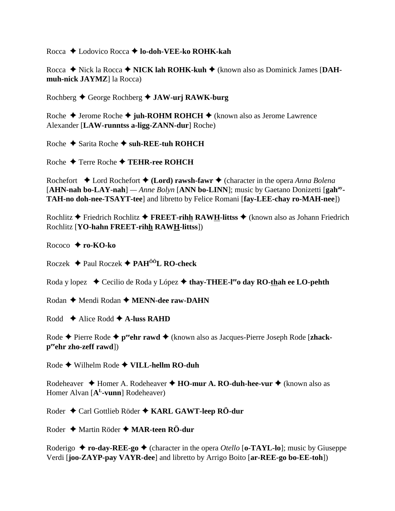Rocca  $\triangle$  Lodovico Rocca  $\triangle$  lo-doh-VEE-ko ROHK-kah

Rocca ◆ Nick la Rocca ◆ NICK lah ROHK-kuh ◆ (known also as Dominick James IDAHmuh-nick JAYMZ] la Rocca)

Rochberg ♦ George Rochberg ♦ JAW-urj RAWK-burg

Roche  $\triangle$  Jerome Roche  $\triangle$  juh-ROHM ROHCH  $\triangle$  (known also as Jerome Lawrence Alexander [LAW-runntss a-ligg-ZANN-dur] Roche)

Roche  $\triangle$  Sarita Roche  $\triangle$  suh-REE-tuh ROHCH

Roche  $\triangle$  Terre Roche  $\triangle$  TEHR-ree ROHCH

Rochefort  $\bullet$  Lord Rochefort  $\bullet$  (Lord) rawsh-fawr  $\bullet$  (character in the opera Anna Bolena [AHN-nah bo-LAY-nah] — Anne Bolyn [ANN bo-LINN]; music by Gaetano Donizetti [gah<sup>ay</sup>-TAH-no doh-nee-TSAYT-tee] and libretto by Felice Romani [fay-LEE-chay ro-MAH-nee])

Rochlitz  $\triangle$  Friedrich Rochlitz  $\triangle$  FREET-rihh RAWH-littss  $\triangle$  (known also as Johann Friedrich Rochlitz [YO-hahn FREET-rihh RAWH-littss])

Rococo  $\bigstar$  ro-KO-ko

Roczek  $\triangleq$  Paul Roczek  $\triangleq$  PAH<sup>ÔÔ</sup>L RO-check

Roda y lopez ◆ Cecilio de Roda y López ◆ thay-THEE-l<sup>ee</sup> day RO-thah ee LO-pehth

Rodan  $\triangle$  Mendi Rodan  $\triangle$  MENN-dee raw-DAHN

Rodd  $\triangle$  Alice Rodd  $\triangle$  A-luss RAHD

Rode  $\triangle$  Pierre Rode  $\triangle$  p<sup>ee</sup>chr rawd  $\triangle$  (known also as Jacques-Pierre Joseph Rode [zhack $p^{\text{ee}}$ chr zho-zeff rawd])

Rode  $\blacklozenge$  Wilhelm Rode  $\blacklozenge$  VILL-hellm RO-duh

Rodeheaver  $\triangle$  Homer A. Rodeheaver  $\triangle$  HO-mur A. RO-duh-hee-vur  $\triangle$  (known also as Homer Alvan [A<sup>L</sup>-vunn] Rodeheaver)

Roder ♦ Carl Gottlieb Röder ♦ KARL GAWT-leep RÖ-dur

Roder  $\triangle$  Martin Röder  $\triangle$  MAR-teen RÖ-dur

Roderigo  $\triangle$  ro-day-REE-go  $\triangle$  (character in the opera *Otello* [o-TAYL-lo]; music by Giuseppe Verdi [joo-ZAYP-pay VAYR-dee] and libretto by Arrigo Boito [ar-REE-go bo-EE-toh])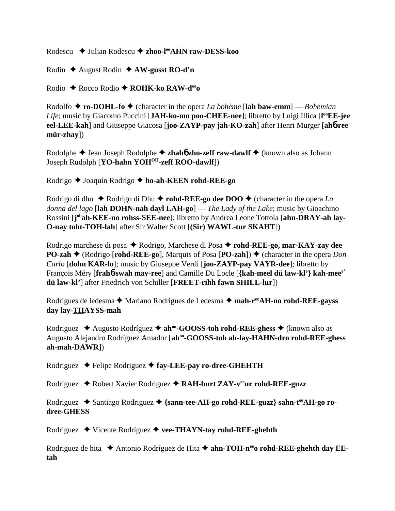Rodescu **→** Julian Rodescu → zhoo-l<sup>ee</sup>AHN raw-DESS-koo

Rodin August Rodin  **AW-gusst RO-d'n**

Rodio Rocco Rodio **ROHK-ko RAW-deeo**

Rodolfo  $\triangle$  **ro-DOHL-fo**  $\triangle$  (character in the opera *La bohème* [lah baw-emm] — *Bohemian* Life; music by Giacomo Puccini [JAH-ko-mo poo-CHEE-nee]; libretto by Luigi Illica [l<sup>oo</sup>EE-jee **eel-LEE-kah**] and Giuseppe Giacosa [**joo-ZAYP-pay jah-KO-zah**] after Henri Murger [**ah**6**-ree mür-zhay**])

Rodolphe ♦ Jean Joseph Rodolphe ♦ **zhahó zho-zeff raw-dawlf** ♦ (known also as Johann Joseph Rudolph [**YO-hahn YOHOH-zeff ROO-dawlf**])

Rodrigo Joaquín Rodrigo **ho-ah-KEEN rohd-REE-go**

Rodrigo di dhu  $\blacklozenge$  Rodrigo di Dhu  $\blacklozenge$  **rohd-REE-go dee DOO**  $\blacklozenge$  (character in the opera *La donna del lago* [**lah DOHN-nah dayl LAH-go**] — *The Lady of the Lake*; music by Gioachino Rossini [j<sup>oh</sup>ah-KEE-no rohss-SEE-nee]; libretto by Andrea Leone Tottola [ahn-DRAY-ah lay-**O-nay toht-TOH-lah**] after Sir Walter Scott [**(Sir) WAWL-tur SKAHT**])

Rodrigo marchese di posa ◆ Rodrigo, Marchese di Posa **◆ rohd-REE-go, mar-KAY-zay dee PO-zah ♦** (Rodrigo [**rohd-REE-go**], Marquis of Posa [**PO-zah**]) ♦ (character in the opera *Don Carlo* [**dohn KAR-lo**]; music by Giuseppe Verdi [**joo-ZAYP-pay VAYR-dee**]; libretto by François Méry [**frah**6**-swah may-ree**] and Camille Du Locle [**{kah-meel dü law-kl'} kah-meey' dü law-kl'**] after Friedrich von Schiller [**FREET-rihh fawn SHILL-lur**])

Rodrigues de ledesma **←** Mariano Rodrígues de Ledesma ← mah-r<sup>ee</sup>AH-no rohd-REE-gayss **day lay-THAYSS-mah**

Rodriguez **→** Augusto Rodríguez → ah<sup>oo</sup>-GOOSS-toh rohd-REE-ghess → (known also as Augusto Alejandro Rodríguez Amador [**ahoo-GOOSS-toh ah-lay-HAHN-dro rohd-REE-ghess ah-mah-DAWR**])

Rodriguez ◆ Felipe Rodriguez ◆ fay-LEE-pay ro-dree-GHEHTH

Rodriguez ◆ Robert Xavier Rodriguez ◆ RAH-burt ZAY-v<sup>ee</sup>ur rohd-REE-guzz

Rodriguez ◆ Santiago Rodriguez ◆ {sann-tee-AH-go rohd-REE-guzz} sahn-t<sup>ee</sup>AH-go ro**dree-GHESS**

Rodriguez Vicente Rodríguez **vee-THAYN-tay rohd-REE-ghehth**

Rodriguez de hita ◆ Antonio Rodríguez de Hita ◆ ahn-TOH-n<sup>ee</sup>o rohd-REE-ghehth day EE**tah**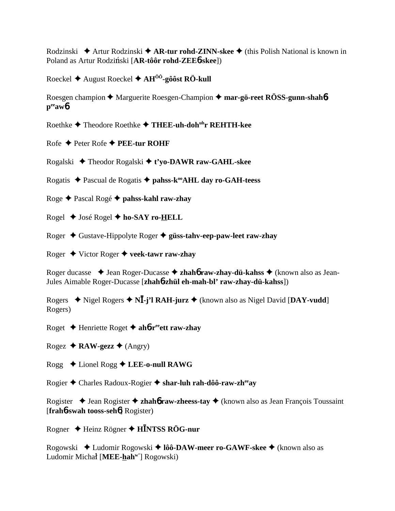Rodzinski ◆ Artur Rodzinski ◆ **AR-tur rohd-ZINN-skee ◆** (this Polish National is known in Poland as Artur Rodziński [**AR-tôôr rohd-ZEE6-skee**])

Roeckel August Roeckel **AHÔÔ-gôôst RÖ-kull**

Roesgen champion **→** Marguerite Roesgen-Champion → mar-gö-reet RÖSS-gunn-shah**6 peeaw**6

Roethke Theodore Roethke **THEE-uh-dohuhr REHTH-kee**

Rofe Peter Rofe **PEE-tur ROHF**

Rogalski Theodor Rogalski **t'yo-DAWR raw-GAHL-skee**

Rogatis ◆ Pascual de Rogatis ◆ pahss-k<sup>oo</sup>AHL day ro-GAH-teess

Roge Pascal Rogé **pahss-kahl raw-zhay**

Rogel José Rogel **ho-SAY ro-HELL**

Roger Gustave-Hippolyte Roger **güss-tahv-eep-paw-leet raw-zhay**

Roger Victor Roger **veek-tawr raw-zhay**

Roger ducasse ◆ Jean Roger-Ducasse ◆ zhah**6** raw-zhay-dü-kahss ◆ (known also as Jean-Jules Aimable Roger-Ducasse [**zhah**6**-zhül eh-mah-bl' raw-zhay-dü-kahss**])

Rogers  $\blacklozenge$  Nigel Rogers  $\blacklozenge$  N**I**-j'l RAH-jurz  $\blacklozenge$  (known also as Nigel David [DAY-vudd] Rogers)

Roget Henriette Roget **ah**6**-reeett raw-zhay**

Rogez  $\triangle$  **RAW-gezz**  $\triangle$  (Angry)

Rogg Lionel Rogg **LEE-o-null RAWG**

Rogier Charles Radoux-Rogier **shar-luh rah-dôô-raw-zheeay**

Rogister **→** Jean Rogister **→ zhahó raw-zheess-tay** → (known also as Jean François Toussaint [**frah**6**-swah tooss-seh**6] Rogister)

Rogner Heinz Rögner **HNTSS RÖG-nur**

Rogowski Ludomir Rogowski **lôô-DAW-meer ro-GAWF-skee** (known also as Ludomir Michał [MEE-hah<sup>w'</sup>] Rogowski)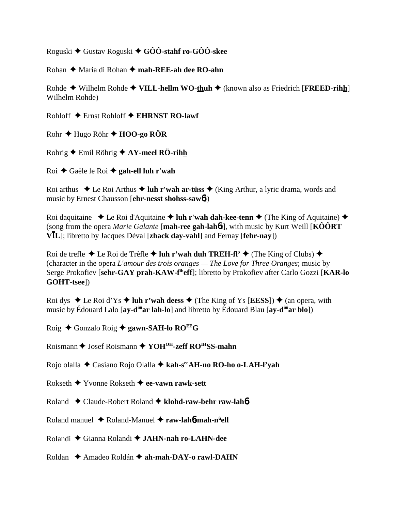Roguski Gustav Roguski **GÔÔ-stahf ro-GÔÔ-skee**

Rohan ◆ Maria di Rohan ◆ mah-REE-ah dee RO-ahn

Rohde ◆ Wilhelm Rohde ◆ **VILL-hellm WO-thuh** ◆ (known also as Friedrich [**FREED-rihh**] Wilhelm Rohde)

Rohloff Ernst Rohloff **EHRNST RO-lawf**

Rohr Hugo Röhr **HOO-go RÖR**

Rohrig Emil Röhrig **AY-meel RÖ-rihh**

Roi Gaële le Roi **gah-ell luh r'wah**

Roi arthus  $\triangle$  Le Roi Arthus  $\triangle$  luh r'wah ar-tüss  $\triangle$  (King Arthur, a lyric drama, words and music by Ernest Chausson [**ehr-nesst shohss-saw**6])

Roi daquitaine  $\bullet$  Le Roi d'Aquitaine  $\bullet$  luh r'wah dah-kee-tenn  $\bullet$  (The King of Aquitaine)  $\bullet$ (song from the opera *Marie Galante* [**mah-ree gah-lah**6**t**], with music by Kurt Weill [**KÔÔRT VL**]; libretto by Jacques Déval [**zhack day-vahl**] and Fernay [**fehr-nay**])

Roi de trefle  $\triangle$  Le Roi de Trèfle  $\triangle$  luh r'wah duh TREH-fl'  $\triangle$  (The King of Clubs)  $\triangle$ (character in the opera *L'amour des trois oranges — The Love for Three Oranges*; music by Serge Prokofiev [**sehr-GAY prah-KAW-fiheff**]; libretto by Prokofiev after Carlo Gozzi [**KAR-lo GOHT-tsee**])

Roi dys  $\triangle$  Le Roi d'Ys  $\triangle$  luh r'wah deess  $\triangle$  (The King of Ys [EESS])  $\triangle$  (an opera, with music by Édouard Lalo [**ay-dôôar lah-lo**] and libretto by Édouard Blau [**ay-dôôar blo**])

Roig Gonzalo Roig **gawn-SAH-lo ROEEG**

Roismann  $\triangle$  Josef Roismann  $\triangle$  YOH<sup>OH</sup>-zeff RO<sup>IH</sup>SS-mahn

Rojo olalla Casiano Rojo Olalla **kah-seeAH-no RO-ho o-LAH-l'yah**

Rokseth Yvonne Rokseth **ee-vawn rawk-sett**

Roland Claude-Robert Roland **klohd-raw-behr raw-lah**6

Roland manuel Roland-Manuel **raw-lah**6**-mah-nü ell**

Rolandi Gianna Rolandi **JAHN-nah ro-LAHN-dee**

Roldan ◆ Amadeo Roldán ◆ ah-mah-DAY-o rawl-DAHN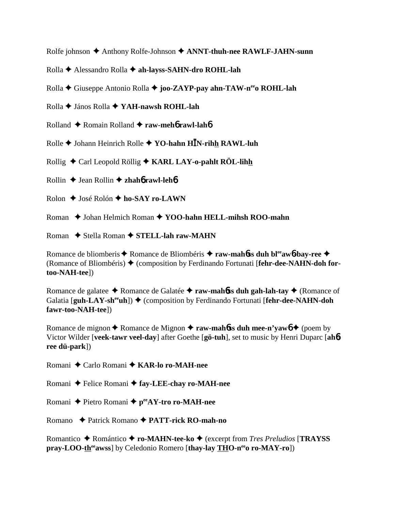Rolfe johnson ♦ Anthony Rolfe-Johnson ♦ ANNT-thuh-nee RAWLF-JAHN-sunn

- Rolla Alessandro Rolla **ah-layss-SAHN-dro ROHL-lah**
- Rolla **←** Giuseppe Antonio Rolla ← joo-ZAYP-pay ahn-TAW-n<sup>ee</sup>o ROHL-lah
- Rolla János Rolla **YAH-nawsh ROHL-lah**
- Rolland Romain Rolland **raw-meh**6 **rawl-lah**6
- Rolle Johann Heinrich Rolle **YO-hahn HN-rihh RAWL-luh**
- Rollig Carl Leopold Röllig **KARL LAY-o-pahlt RÖL-lihh**
- Rollin Jean Rollin **zhah**6 **rawl-leh**6
- Rolon **→** José Rolón ◆ ho-SAY ro-LAWN
- Roman **→** Johan Helmich Roman **→ YOO-hahn HELL-mihsh ROO-mahn**
- Roman **→** Stella Roman → **STELL-lah raw-MAHN**

Romance de bliomberis **↑** Romance de Bliombéris **↑ raw-mah6ss duh bl<sup>ee</sup>aw6-bay-ree** ◆ (Romance of Bliombéris) (composition by Ferdinando Fortunati [**fehr-dee-NAHN-doh fortoo-NAH-tee**])

Romance de galatee ◆ Romance de Galatée ◆ raw-mah**6ss duh gah-lah-tay** ◆ (Romance of Galatia [**guh-LAY-sh<sup>ee</sup>uh**])  $\blacklozenge$  (composition by Ferdinando Fortunati [**fehr-dee-NAHN-doh fawr-too-NAH-tee**])

Romance de mignon  $\triangle$  Romance de Mignon  $\triangle$  **raw-mah6ss duh mee-n'yaw6**  $\triangle$  (poem by Victor Wilder [**veek-tawr veel-day**] after Goethe [**gö-tuh**], set to music by Henri Duparc [**ah**6 **ree dü-park**])

Romani Carlo Romani **KAR-lo ro-MAH-nee**

Romani ◆ Felice Romani ◆ fay-LEE-chay ro-MAH-nee

Romani ◆ Pietro Romani ◆ peeAY-tro ro-MAH-nee

Romano Patrick Romano **PATT-rick RO-mah-no**

Romantico Romántico **ro-MAHN-tee-ko** (excerpt from *Tres Preludios* [**TRAYSS pray-LOO-th<sup>ee</sup>awss**] by Celedonio Romero [thay-lay THO-n<sup>ee</sup>o ro-MAY-ro])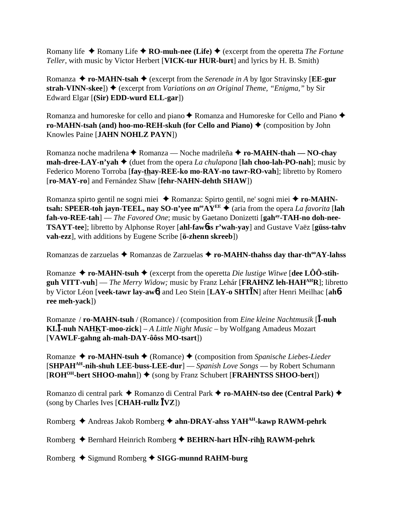Romany life  $\triangle$  Romany Life  $\triangle$  **RO-muh-nee (Life)**  $\triangle$  (excerpt from the operetta *The Fortune Teller*, with music by Victor Herbert [**VICK-tur HUR-burt**] and lyrics by H. B. Smith)

Romanza  $\triangle$  **ro-MAHN-tsah**  $\triangle$  (excerpt from the *Serenade in A* by Igor Stravinsky [**EE-gur** strah-VINN-skee]) ♦ (excerpt from *Variations on an Original Theme, "Enigma,"* by Sir Edward Elgar [**(Sir) EDD-wurd ELL-gar**])

Romanza and humoreske for cello and piano  $\triangle$  Romanza and Humoreske for Cello and Piano  $\triangle$ **ro-MAHN-tsah (and) hoo-mo-REH-skuh (for Cello and Piano) ♦ (composition by John** Knowles Paine [**JAHN NOHLZ PAYN**])

Romanza noche madrilena **←** Romanza — Noche madrileña **← ro-MAHN-thah — NO-chav mah-dree-LAY-n'yah**  $\blacklozenge$  (duet from the opera *La chulapona* [lah choo-lah-PO-nah]; music by Federico Moreno Torroba [**fay-thay-REE-ko mo-RAY-no tawr-RO-vah**]; libretto by Romero [**ro-MAY-ro**] and Fernández Shaw [**fehr-NAHN-dehth SHAW**])

Romanza spirto gentil ne sogni miei ◆ Romanza: Spirto gentil, ne' sogni miei ◆ ro-MAHN**tsah: SPEER-toh jayn-TEEL, nay SO-n'yee m<sup>ee</sup>AY<sup>EE</sup>**  $\blacklozenge$  (aria from the opera *La favorita* [lah **fah-vo-REE-tah**] — *The Favored One*; music by Gaetano Donizetti [gah<sup>ay</sup>-TAH-no doh-nee-**TSAYT-tee**]; libretto by Alphonse Royer [**ahl-faw**6**ss r'wah-yay**] and Gustave Vaëz [**güss-tahv vah-ezz**], with additions by Eugene Scribe [**ö-zhenn skreeb**])

Romanzas de zarzuelas ◆ Romanzas de Zarzuelas ◆ ro-MAHN-thahss day thar-th<sup>oo</sup>AY-lahss

Romanze  $\triangle$  **ro-MAHN-tsuh**  $\triangle$  (excerpt from the operetta *Die lustige Witwe* [dee LOO-stih**guh VITT-vuh**] — *The Merry Widow;* music by Franz Lehár [**FRAHNZ leh-HAHAHR**]; libretto by Victor Léon [**veek-tawr lay-aw**6] and Leo Stein [**LAY-o SHTN**] after Henri Meilhac [**ah**6 **ree meh-yack**])

Romanze / **ro-MAHN-tsuh** / (Romance) / (composition from *Eine kleine Nachtmusik* [I-nuh **KL-nuh NAHKT-moo-zick**] – *A Little Night Music* – by Wolfgang Amadeus Mozart [**VAWLF-gahng ah-mah-DAY-ôôss MO-tsart**])

Romanze ◆ **ro-MAHN-tsuh ◆** (Romance) ◆ (composition from *Spanische Liebes-Lieder* [**SHPAHAH-nih-shuh LEE-buss-LEE-dur**] — *Spanish Love Songs* — by Robert Schumann  $[ROH<sup>OH</sup>-bert SHOO-mahn]$ )  $\blacklozenge$  (song by Franz Schubert [**FRAHNTSS SHOO-bert**])

Romanzo di central park ◆ Romanzo di Central Park ◆ ro-MAHN-tso dee (Central Park) ◆ (song by Charles Ives [**CHAH-rullz VZ**])

Romberg ◆ Andreas Jakob Romberg ◆ ahn-DRAY-ahss YAH<sup>AH</sup>-kawp RAWM-pehrk

Romberg Bernhard Heinrich Romberg **BEHRN-hart HN-rihh RAWM-pehrk**

Romberg Sigmund Romberg **SIGG-munnd RAHM-burg**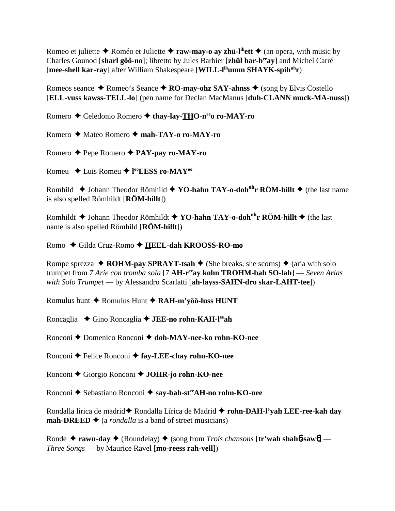Romeo et juliette  $\triangle$  Roméo et Juliette  $\triangle$  **raw-may-o ay zhü-l<sup>ih</sup>ett**  $\triangle$  (an opera, with music by Charles Gounod [**sharl gôô-no**]; libretto by Jules Barbier [**zhül bar-beeay**] and Michel Carré [**mee-shell kar-ray**] after William Shakespeare [**WILL-lihumm SHAYK-spihuhr**)

Romeos seance  $\triangle$  Romeo's Seance  $\triangle$  **RO-may-ohz SAY-ahnss**  $\triangle$  (song by Elvis Costello [**ELL-vuss kawss-TELL-lo**] (pen name for Declan MacManus [**duh-CLANN muck-MA-nuss**])

Romero ◆ Celedonio Romero ◆ thay-lay-THO-n<sup>ee</sup>o ro-MAY-ro

Romero Mateo Romero **mah-TAY-o ro-MAY-ro**

Romero Pepe Romero  **PAY-pay ro-MAY-ro**

Romeu Luis Romeu **l ooEESS ro-MAYoo**

Romhild **↓** Johann Theodor Römhild **→ YO-hahn TAY-o-doh<sup>oh</sup>r RÖM-hillt →** (the last name is also spelled Römhildt [**RÖM-hillt**])

Romhildt **→** Johann Theodor Römhildt **→ YO-hahn TAY-o-doh<sup>oh</sup>r RÖM-hillt** → (the last name is also spelled Römhild [**RÖM-hillt**])

Romo Gilda Cruz-Romo **HEEL-dah KROOSS-RO-mo**

Rompe sprezza  $\triangle$  **ROHM-pay SPRAYT-tsah**  $\triangle$  (She breaks, she scorns)  $\triangle$  (aria with solo trumpet from *7 Arie con tromba sola* [7 **AH-reeay kohn TROHM-bah SO-lah**] — *Seven Arias with Solo Trumpet* — by Alessandro Scarlatti [**ah-layss-SAHN-dro skar-LAHT-tee**])

Romulus hunt **↑** Romulus Hunt **↑ RAH-m'yôô-luss HUNT** 

Roncaglia ◆ Gino Roncaglia ◆ **JEE-no rohn-KAH-l<sup>ee</sup>ah** 

Ronconi ◆ Domenico Ronconi ◆ doh-MAY-nee-ko rohn-KO-nee

Ronconi **←** Felice Ronconi ← fay-LEE-chay rohn-KO-nee

Ronconi Giorgio Ronconi **JOHR-jo rohn-KO-nee**

Ronconi ◆ Sebastiano Ronconi ◆ say-bah-st<sup>ee</sup>AH-no rohn-KO-nee

Rondalla lirica de madrid ★ Rondalla Lírica de Madrid ★ rohn-DAH-l'yah LEE-ree-kah day **mah-DREED**  $\triangleq$  (a *rondalla* is a band of street musicians)

Ronde ◆ rawn-day ◆ (Roundelay) ◆ (song from *Trois chansons* [tr'wah shah6-saw6] — *Three Songs* — by Maurice Ravel [**mo-reess rah-vell**])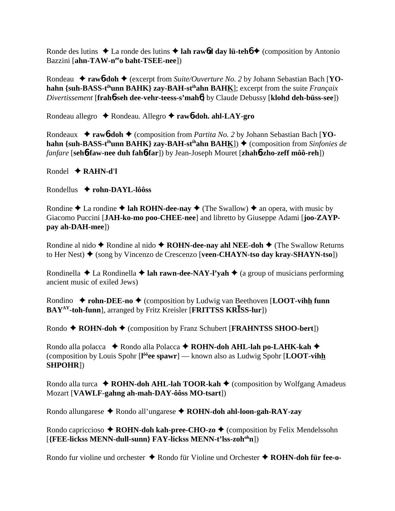Ronde des lutins  $\triangle$  La ronde des lutins  $\triangle$  **lah raw6d day lü-teh**6  $\triangle$  (composition by Antonio Bazzini [**ahn-TAW-n<sup>ee</sup>o baht-TSEE-nee**])

Rondeau ◆ rawb-doh ◆ (excerpt from *Suite/Ouverture No. 2* by Johann Sebastian Bach [YO**hahn {suh-BASS-t<sup>ih</sup>unn BAHK} zay-BAH-st<sup>ih</sup>ahn BAHK]; excerpt from the suite** *Françaix Divertissement* [**frah**6**-seh dee-vehr-teess-s'mah**6] by Claude Debussy [**klohd deh-büss-see**])

Rondeau allegro Rondeau. Allegro **raw**6**-doh. ahl-LAY-gro**

Rondeaux **→ raw6-doh →** (composition from *Partita No. 2* by Johann Sebastian Bach [**YOhahn {suh-BASS-t<sup>ih</sup>unn BAHK} zay-BAH-st<sup>ih</sup>ahn BAHK]) ♦ (composition from** *Sinfonies de fanfare* [**seh**6**-faw-nee duh fah**6**-far**]) by Jean-Joseph Mouret [**zhah**6**-zho-zeff môô-reh**])

Rondel **RAHN-d'l**

Rondellus **rohn-DAYL-lôôss**

Rondine  $\triangle$  La rondine  $\triangle$  **lah ROHN-dee-nay**  $\triangle$  (The Swallow)  $\triangle$  an opera, with music by Giacomo Puccini [**JAH-ko-mo poo-CHEE-nee**] and libretto by Giuseppe Adami [**joo-ZAYPpay ah-DAH-mee**])

Rondine al nido **◆** Rondine al nido ◆ **ROHN-dee-nay ahl NEE-doh ◆** (The Swallow Returns to Her Nest) (song by Vincenzo de Crescenzo [**veen-CHAYN-tso day kray-SHAYN-tso**])

Rondinella  $\triangle$  La Rondinella  $\triangle$  **lah rawn-dee-NAY-l'yah**  $\triangle$  (a group of musicians performing ancient music of exiled Jews)

Rondino  $\rightarrow$  **rohn-DEE-no**  $\rightarrow$  (composition by Ludwig van Beethoven [**LOOT-vihh funn BAY<sup>AY</sup>-toh-funn**], arranged by Fritz Kreisler [**FRITTSS KRISS-lur**])

Rondo ◆ **ROHN-doh** ◆ (composition by Franz Schubert [**FRAHNTSS SHOO-bert**])

Rondo alla polacca ◆ Rondo alla Polacca ◆ ROHN-doh AHL-lah po-LAHK-kah ◆ (composition by Louis Spohr [**l ôôee spawr**] — known also as Ludwig Spohr [**LOOT-vihh SHPOHR**])

Rondo alla turca  $\triangle$  **ROHN-doh AHL-lah TOOR-kah**  $\triangle$  (composition by Wolfgang Amadeus Mozart [**VAWLF-gahng ah-mah-DAY-ôôss MO-tsart**])

Rondo allungarese ◆ Rondo all'ungarese ◆ ROHN-doh ahl-loon-gah-RAY-zay

Rondo capriccioso  $\triangle$  **ROHN-doh kah-pree-CHO-zo**  $\triangle$  (composition by Felix Mendelssohn [**{FEE-lickss MENN-dull-sunn} FAY-lickss MENN-t'lss-zohohn**])

Rondo fur violine und orchester ◆ Rondo für Violine und Orchester ◆ ROHN-doh für fee-o-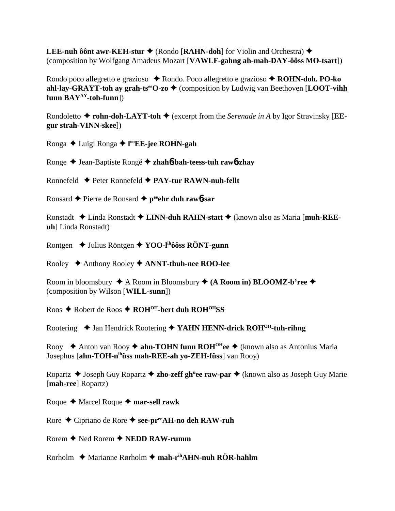**LEE-nuh ôônt awr-KEH-stur ♦ (Rondo [RAHN-doh**] for Violin and Orchestra) ♦ (composition by Wolfgang Amadeus Mozart [**VAWLF-gahng ah-mah-DAY-ôôss MO-tsart**])

Rondo poco allegretto e grazioso **→** Rondo. Poco allegretto e grazioso **→ ROHN-doh. PO-ko ahl-lay-GRAYT-toh ay grah-ts<sup>ee</sup>O-zo**  $\blacklozenge$  (composition by Ludwig van Beethoven [LOOT-vihh **funn BAYAY-toh-funn**])

Rondoletto  $\blacklozenge$  **rohn-doh-LAYT-toh**  $\blacklozenge$  (excerpt from the *Serenade in A* by Igor Stravinsky [**EEgur strah-VINN-skee**])

Ronga Luigi Ronga **l ooEE-jee ROHN-gah**

Ronge Jean-Baptiste Rongé **zhah**6**-bah-teess-tuh raw**6**-zhay**

Ronnefeld Peter Ronnefeld **PAY-tur RAWN-nuh-fellt**

Ronsard ◆ Pierre de Ronsard ◆ p<sup>ee</sup>ehr duh raw6-sar

Ronstadt Linda Ronstadt **LINN-duh RAHN-statt** (known also as Maria [**muh-REEuh**] Linda Ronstadt)

Rontgen Julius Röntgen **YOO-lihôôss RÖNT-gunn**

Rooley Anthony Rooley **ANNT-thuh-nee ROO-lee**

Room in bloomsbury  $\triangle$  A Room in Bloomsbury  $\triangle$  (A Room in) BLOOMZ-b'ree  $\triangle$ (composition by Wilson [**WILL-sunn**])

Roos Robert de Roos **ROHOH-bert duh ROHOHSS**

Rootering ◆ Jan Hendrick Rootering ◆ YAHN HENN-drick ROH<sup>OH</sup>-tuh-rihng

Rooy ◆ Anton van Rooy ◆ **ahn-TOHN funn ROH<sup>OH</sup>ee** ◆ (known also as Antonius Maria Josephus [**ahn-TOH-nihüss mah-REE-ah yo-ZEH-füss**] van Rooy)

Ropartz ◆ Joseph Guy Ropartz ◆ zho-zeff gh<sup>ü</sup>ee raw-par ◆ (known also as Joseph Guy Marie [**mah-ree**] Ropartz)

Roque  $\triangle$  Marcel Roque  $\triangle$  mar-sell rawk

Rore ◆ Cipriano de Rore ◆ see-pr<sup>ee</sup>AH-no deh RAW-ruh

Rorem **←** Ned Rorem ← **NEDD RAW-rumm** 

Rorholm **→** Marianne Rørholm → mah-r<sup>ih</sup>AHN-nuh RÖR-hahlm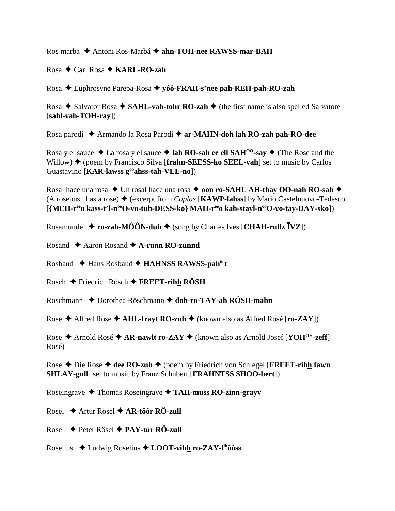Ros marba Antoni Ros-Marbá **ahn-TOH-nee RAWSS-mar-BAH**

Rosa **←** Carl Rosa ← **KARL-RO-zah** 

Rosa Euphrosyne Parepa-Rosa **yôô-FRAH-s'nee pah-REH-pah-RO-zah**

Rosa  $\triangle$  Salvator Rosa  $\triangle$  SAHL-vah-tohr RO-zah  $\triangle$  (the first name is also spelled Salvatore [**sahl-vah-TOH-ray**])

Rosa parodi Armando la Rosa Parodi **ar-MAHN-doh lah RO-zah pah-RO-dee**

Rosa y el sauce  $\triangle$  La rosa y el sauce  $\triangle$  lah RO-sah ee ell SAH<sup>00</sup>-say  $\triangle$  (The Rose and the Willow)  $\blacklozenge$  (poem by Francisco Silva [**frahn-SEESS-ko SEEL-vah**] set to music by Carlos Guastavino [**KAR-lawss gooahss-tah-VEE-no**])

Rosal hace una rosa ◆ Un rosal hace una rosa ◆ **oon ro-SAHL AH-thay OO-nah RO-sah ◆** (A rosebush has a rose)  $\triangle$  (excerpt from *Coplas* [**KAWP-lahss**] by Mario Castelnuovo-Tedesco [{MEH-r<sup>ee</sup>o kass-t'l-n<sup>oo</sup>O-vo-tuh-DESS-ko} MAH-r<sup>ee</sup>o kah-stayl-n<sup>oo</sup>O-vo-tay-DAY-sko])

Rosamunde  $\triangle$  **ro-zah-MÔÔN-duh**  $\triangle$  (song by Charles Ives [**CHAH-rullz**  $\bar{I}VZ$ ])

Rosand **→** Aaron Rosand **→ A-runn RO-zunnd** 

Rosbaud Hans Rosbaud **HAHNSS RAWSS-pahôôt**

Rosch Friedrich Rösch **FREET-rihh RÖSH**

Roschmann ◆ Dorothea Röschmann ◆ doh-ro-TAY-ah RÖSH-mahn

Rose  $\triangle$  Alfred Rose  $\triangle$  AHL-frayt RO-zuh  $\triangle$  (known also as Alfred Rosè [ro-ZAY])

Rose  $\triangle$  Arnold Rosé  $\triangle$  AR-nawlt ro-ZAY  $\triangle$  (known also as Arnold Josef [YOH<sup>OH</sup>-zeff] Rosé)

Rose **→** Die Rose → dee RO-zuh → (poem by Friedrich von Schlegel [FREET-rihh fawn **SHLAY-gull**] set to music by Franz Schubert [**FRAHNTSS SHOO-bert**])

Roseingrave Thomas Roseingrave **TAH-muss RO-zinn-grayv**

Rosel Artur Rösel **AR-tôôr RÖ-zull**

Rosel Peter Rösel **PAY-tur RÖ-zull**

Roselius Ludwig Roselius **LOOT-vihh ro-ZAY-lihôôss**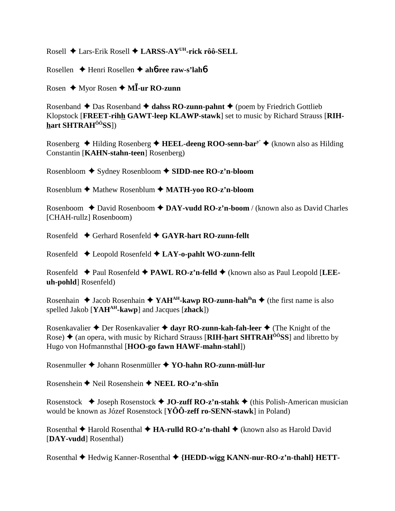Rosell ◆ Lars-Erik Rosell ◆ LARSS-AY<sup>UH</sup>-rick rôô-SELL

Rosellen  $\triangle$  Henri Rosellen  $\triangle$  ahb-ree raw-s'lahb

Rosen  $\triangle$  Myor Rosen  $\triangle$  MI-ur RO-zunn

Rosenband  $\triangle$  Das Rosenband  $\triangle$  dahss RO-zunn-pahnt  $\triangle$  (poem by Friedrich Gottlieb Klopstock [FREET-rihh GAWT-leep KLAWP-stawk] set to music by Richard Strauss [RIHhart SHTRAH<sup>ôô</sup>SS])

Rosenberg  $\triangle$  Hilding Rosenberg  $\triangle$  HEEL-deeng ROO-senn-bar<sup>y</sup>  $\triangle$  (known also as Hilding Constantin [KAHN-stahn-teen] Rosenberg)

Rosenbloom  $\triangle$  Sydney Rosenbloom  $\triangle$  SIDD-nee RO-z'n-bloom

Rosenblum ♦ Mathew Rosenblum ♦ MATH-yoo RO-z'n-bloom

Rosenboom  $\triangle$  David Rosenboom  $\triangle$  DAY-vudd RO-z'n-boom / (known also as David Charles [CHAH-rullz] Rosenboom)

Rosenfeld  $\triangle$  Gerhard Rosenfeld  $\triangle$  GAYR-hart RO-zunn-fellt

Rosenfeld  $\triangle$  Leopold Rosenfeld  $\triangle$  LAY-o-pahlt WO-zunn-fellt

Rosenfeld  $\blacklozenge$  Paul Rosenfeld  $\blacklozenge$  PAWL RO-z'n-felld  $\blacklozenge$  (known also as Paul Leopold [LEEuh-pohld Rosenfeld)

Rosenhain  $\triangle$  Jacob Rosenhain  $\triangle$  YAH<sup>AH</sup>-kawp RO-zunn-hah<sup>ih</sup>n  $\triangle$  (the first name is also spelled Jakob [YAH<sup>AH</sup>-kawp] and Jacques [zhack])

Rosenkavalier  $\triangle$  Der Rosenkavalier  $\triangle$  dayr RO-zunn-kah-fah-leer  $\triangle$  (The Knight of the Rose)  $\triangle$  (an opera, with music by Richard Strauss [RIH-hart SHTRAH<sup> $\hat{o}$ os S] and libretto by</sup> Hugo von Hofmannsthal [HOO-go fawn HAWF-mahn-stahl])

Rosenmuller ♦ Johann Rosenmüller ♦ YO-hahn RO-zunn-müll-lur

Rosenshein ♦ Neil Rosenshein ♦ NEEL RO-z'n-shin

Rosenstock  $\triangle$  Joseph Rosenstock  $\triangle$  JO-zuff RO-z'n-stahk  $\triangle$  (this Polish-American musician would be known as Józef Rosenstock [ $Y\hat{O}\hat{O}$ -zeff ro-SENN-stawk] in Poland)

Rosenthal  $\blacklozenge$  Harold Rosenthal  $\blacklozenge$  HA-rulld RO-z'n-thahl  $\blacklozenge$  (known also as Harold David [DAY-vudd] Rosenthal)

Rosenthal ♦ Hedwig Kanner-Rosenthal ♦ {HEDD-wigg KANN-nur-RO-z'n-thahl} HETT-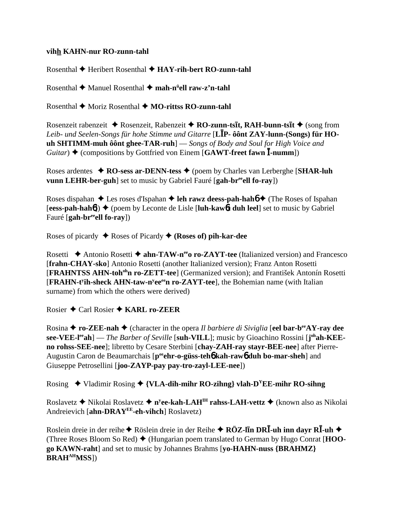#### **vihh KAHN-nur RO-zunn-tahl**

Rosenthal **←** Heribert Rosenthal ← HAY-rih-bert RO-zunn-tahl

Rosenthal Manuel Rosenthal **mah-nü ell raw-z'n-tahl**

Rosenthal **←** Moriz Rosenthal ← MO-rittss RO-zunn-tahl

Rosenzeit rabenzeit ◆ Rosenzeit, Rabenzeit ◆ RO-zunn-tsīt, RAH-bunn-tsīt ◆ (song from *Leib- und Seelen-Songs für hohe Stimme und Gitarre* [**LP- ôônt ZAY-lunn-(Songs) für HOuh SHTIMM-muh ôônt ghee-TAR-ruh**] — *Songs of Body and Soul for High Voice and Guitar*)  $\triangle$  (compositions by Gottfried von Einem [GAWT-freet fawn  $\overline{I}$ -numm])

Roses ardentes **RO-sess ar-DENN-tess** (poem by Charles van Lerberghe [**SHAR-luh vunn LEHR-ber-guh**] set to music by Gabriel Fauré [gah-br<sup>ee</sup>ell fo-ray])

Roses dispahan **←** Les roses d'Ispahan **← leh rawz deess-pah-hah6 ←** (The Roses of Ispahan  $[eess-pah-hah(1)]$   $\blacklozenge$  (poem by Leconte de Lisle [luh-kawo bu duh leel] set to music by Gabriel Fauré [**gah-breeell fo-ray**])

Roses of picardy Roses of Picardy **(Roses of) pih-kar-dee**

Rosetti  $\triangle$  Antonio Rosetti  $\triangle$  ahn-TAW-n<sup>ee</sup> ro-ZAYT-tee (Italianized version) and Francesco [**frahn-CHAY-sko**] Antonio Rosetti (another Italianized version); Franz Anton Rosetti [**FRAHNTSS AHN-toh<sup>oh</sup>n ro-ZETT-tee**] (Germanized version); and František Antonín Rosetti [FRAHN-t<sup>y</sup>ih-sheck AHN-taw-n<sup>y</sup>ee<sup>ee</sup>n ro-ZAYT-tee], the Bohemian name (with Italian surname) from which the others were derived)

Rosier Carl Rosier **KARL ro-ZEER**

Rosina  $\triangle$  **ro-ZEE-nah**  $\triangle$  (character in the opera *Il barbiere di Siviglia* [**eel bar-b<sup>ee</sup>AY-ray dee see-VEE-l<sup>ee</sup>ah**] — *The Barber of Seville* [suh-VILL]; music by Gioachino Rossini [j<sup>oh</sup>ah-KEE**no rohss-SEE-nee**]; libretto by Cesare Sterbini [**chay-ZAH-ray stayr-BEE-nee**] after Pierre-Augustin Caron de Beaumarchais [p<sup>ee</sup>ehr-o-güss-teh**o** kah-rawo duh bo-mar-sheh] and Giuseppe Petrosellini [**joo-ZAYP-pay pay-tro-zayl-LEE-nee**])

Rosing  $\blacklozenge$  Vladimir Rosing  $\blacklozenge$  {VLA-dih-mihr RO-zihng} vlah-D<sup>Y</sup>EE-mihr RO-sihng

Roslavetz ◆ Nikolai Roslavetz ◆ n<sup>y</sup>**ee-kah-LAH<sup>IH</sup> rahss-LAH-vettz ◆** (known also as Nikolai Andreievich [**ahn-DRAYEE-eh-vihch**] Roslavetz)

 $R$ oslein dreie in der reihe ◆ Röslein dreie in der Reihe ◆ RÖZ-l**īn DRĪ-uh inn dayr RĪ-uh ◆** (Three Roses Bloom So Red) (Hungarian poem translated to German by Hugo Conrat [**HOOgo KAWN-raht**] and set to music by Johannes Brahms [**yo-HAHN-nuss {BRAHMZ} BRAHAHMSS**])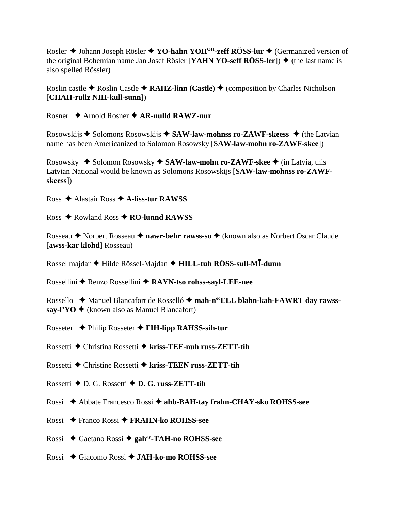Rosler ◆ Johann Joseph Rösler ◆ YO-hahn YOH<sup>OH</sup>-zeff RÖSS-lur ◆ (Germanized version of the original Bohemian name Jan Josef Rösler [**YAHN YO-seff RÖSS-ler**])  $\triangle$  (the last name is also spelled Rössler)

Roslin castle  $\triangle$  Roslin Castle  $\triangle$  **RAHZ-linn (Castle)**  $\triangle$  (composition by Charles Nicholson [**CHAH-rullz NIH-kull-sunn**])

Rosner Arnold Rosner **AR-nulld RAWZ-nur**

Rosowskijs  $\triangle$  Solomons Rosowskijs  $\triangle$  SAW-law-mohnss ro-ZAWF-skeess  $\triangle$  (the Latvian name has been Americanized to Solomon Rosowsky [**SAW-law-mohn ro-ZAWF-skee**])

Rosowsky ◆ Solomon Rosowsky ◆ SAW-law-mohn ro-ZAWF-skee ◆ (in Latvia, this Latvian National would be known as Solomons Rosowskijs [**SAW-law-mohnss ro-ZAWFskeess**])

Ross Alastair Ross **A-liss-tur RAWSS**

Ross Rowland Ross **RO-lunnd RAWSS**

Rosseau ◆ Norbert Rosseau ◆ nawr-behr rawss-so ◆ (known also as Norbert Oscar Claude [**awss-kar klohd**] Rosseau)

Rossel majdan Hilde Rössel-Majdan **HILL-tuh RÖSS-sull-M-dunn**

Rossellini Renzo Rossellini **RAYN-tso rohss-sayl-LEE-nee**

Rossello ◆ Manuel Blancafort de Rosselló ◆ mah-n<sup>oo</sup>ELL blahn-kah-FAWRT day rawss- $\textbf{sav-}$ <sup> $\textbf{yO} \triangleq$  (known also as Manuel Blancafort)</sup>

Rosseter Philip Rosseter **FIH-lipp RAHSS-sih-tur**

Rossetti Christina Rossetti **kriss-TEE-nuh russ-ZETT-tih**

Rossetti Christine Rossetti  **kriss-TEEN russ-ZETT-tih**

- Rossetti D. G. Rossetti **D. G. russ-ZETT-tih**
- Rossi Abbate Francesco Rossi **ahb-BAH-tay frahn-CHAY-sko ROHSS-see**
- Rossi Franco Rossi **FRAHN-ko ROHSS-see**
- Rossi Gaetano Rossi **gahay-TAH-no ROHSS-see**
- Rossi Giacomo Rossi **JAH-ko-mo ROHSS-see**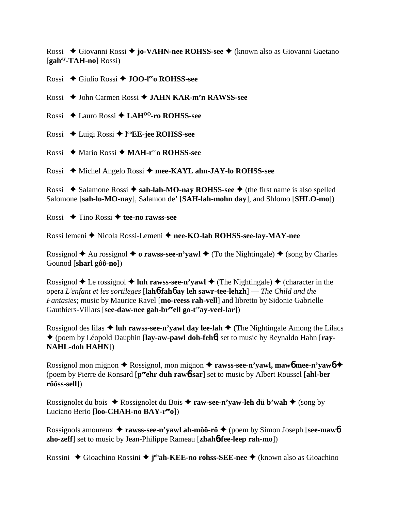Rossi ◆ Giovanni Rossi ◆ **jo-VAHN-nee ROHSS-see** ◆ (known also as Giovanni Gaetano [**gahay-TAH-no**] Rossi)

Rossi Giulio Rossi **JOO-leeo ROHSS-see**

Rossi John Carmen Rossi **JAHN KAR-m'n RAWSS-see**

Rossi Lauro Rossi **LAHOO-ro ROHSS-see**

Rossi Luigi Rossi **l ooEE-jee ROHSS-see**

Rossi Mario Rossi **MAH-reeo ROHSS-see**

Rossi ◆ Michel Angelo Rossi ◆ mee-KAYL ahn-JAY-lo ROHSS-see

Rossi  $\triangle$  Salamone Rossi  $\triangle$  sah-lah-MO-nay ROHSS-see  $\triangle$  (the first name is also spelled Salomone [**sah-lo-MO-nay**], Salamon de' [**SAH-lah-mohn day**], and Shlomo [**SHLO-mo**])

Rossi **→** Tino Rossi → tee-no rawss-see

Rossi lemeni ◆ Nicola Rossi-Lemeni ◆ nee-KO-lah ROHSS-see-lay-MAY-nee

Rossignol  $\triangle$  Au rossignol  $\triangle$  o rawss-see-n'yawl  $\triangle$  (To the Nightingale)  $\triangle$  (song by Charles Gounod [**sharl gôô-no**])

Rossignol  $\triangle$  Le rossignol  $\triangle$  luh rawss-see-n'yawl  $\triangle$  (The Nightingale)  $\triangle$  (character in the opera *L'enfant et les sortileges* [**lah**6**-fah**6 **ay leh sawr-tee-lehzh**] — *The Child and the Fantasies*; music by Maurice Ravel [**mo-reess rah-vell**] and libretto by Sidonie Gabrielle Gauthiers-Villars [see-daw-nee gah-br<sup>ee</sup>ell go-t<sup>ee</sup>av-veel-lar])

Rossignol des lilas  $\triangle$  luh rawss-see-n'yawl day lee-lah  $\triangle$  (The Nightingale Among the Lilacs (poem by Léopold Dauphin [**lay-aw-pawl doh-feh**6] set to music by Reynaldo Hahn [**ray-NAHL-doh HAHN**])

Rossignol mon mignon **→** Rossignol, mon mignon → rawss-see-n'yawl, maw6 mee-n'yaw6 → (poem by Pierre de Ronsard [**peeehr duh raw**6**-sar**] set to music by Albert Roussel [**ahl-ber rôôss-sell**])

Rossignolet du bois  $\triangle$  Rossignolet du Bois  $\triangle$  **raw-see-n'yaw-leh dü b'wah**  $\triangle$  (song by Luciano Berio [**loo-CHAH-no BAY-reeo**])

Rossignols amoureux **rawss-see-n'yawl ah-môô-rö** (poem by Simon Joseph [**see-maw**6 **zho-zeff**] set to music by Jean-Philippe Rameau [**zhah**6**-fee-leep rah-mo**])

Rossini ◆ Gioachino Rossini ◆ j<sup>oh</sup>ah-KEE-no rohss-SEE-nee ◆ (known also as Gioachino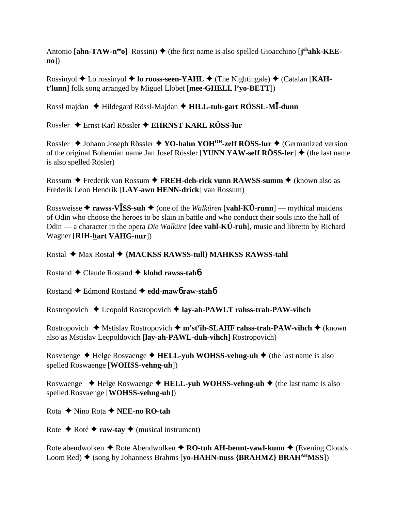Antonio [ahn-TAW-n<sup>ee</sup>o] Rossini) ♦ (the first name is also spelled Gioacchino [j<sup>oh</sup>ahk-KEE**no**])

Rossinyol ♦ Lo rossinyol ♦ lo rooss-seen-YAHL ♦ (The Nightingale) ♦ (Catalan [KAH**t'lunn**] folk song arranged by Miguel Llobet [**mee-GHELL l'yo-BETT**])

Rossl majdan Hildegard Rössl-Majdan **HILL-tuh-gart RÖSSL-M-dunn**

Rossler Ernst Karl Rössler **EHRNST KARL RÖSS-lur**

Rossler ◆ Johann Joseph Rössler ◆ YO-hahn YOH<sup>OH</sup>-zeff RÖSS-lur ◆ (Germanized version of the original Bohemian name Jan Josef Rössler [**YUNN YAW-seff RÖSS-ler**] ♦ (the last name is also spelled Rösler)

Rossum **→** Frederik van Rossum → FREH-deh-rick vunn RAWSS-summ → (known also as Frederik Leon Hendrik [**LAY-awn HENN-drick**] van Rossum)

Rossweisse  $\triangle$  **rawss-VISS-suh**  $\triangle$  (one of the *Walküren* [vahl-KÜ-runn] — mythical maidens of Odin who choose the heroes to be slain in battle and who conduct their souls into the hall of Odin — a character in the opera *Die Walküre* [**dee vahl-KÜ-ruh**], music and libretto by Richard Wagner [**RIH-hart VAHG-nur**])

Rostal ◆ Max Rostal ◆ {MACKSS RAWSS-tull} MAHKSS RAWSS-tahl

Rostand Claude Rostand **klohd rawss-tah**6

Rostand Edmond Rostand **edd-maw**6 **raw-stah**6

Rostropovich Leopold Rostropovich **lay-ah-PAWLT rahss-trah-PAW-vihch**

Rostropovich ◆ Mstislav Rostropovich ◆ m'st<sup>y</sup>ih-SLAHF rahss-trah-PAW-vihch ◆ (known also as Mstislav Leopoldovich [**lay-ah-PAWL-duh-vihch**] Rostropovich)

Rosvaenge **→** Helge Rosvaenge → **HELL-yuh WOHSS-vehng-uh** → (the last name is also spelled Roswaenge [**WOHSS-vehng-uh**])

Roswaenge ◆ Helge Roswaenge ◆ **HELL-yuh WOHSS-vehng-uh** ◆ (the last name is also spelled Rosvaenge [**WOHSS-vehng-uh**])

Rota **←** Nino Rota ← **NEE-no RO-tah** 

Rote  $\triangle$  Roté  $\triangle$  **raw-tay**  $\triangle$  (musical instrument)

Rote abendwolken  $\triangle$  Rote Abendwolken  $\triangle$  **RO-tuh AH-bennt-vawl-kunn**  $\triangle$  (Evening Clouds Loom Red) ♦ (song by Johanness Brahms [**yo-HAHN-nuss {BRAHMZ} BRAH<sup>AH</sup>MSS**])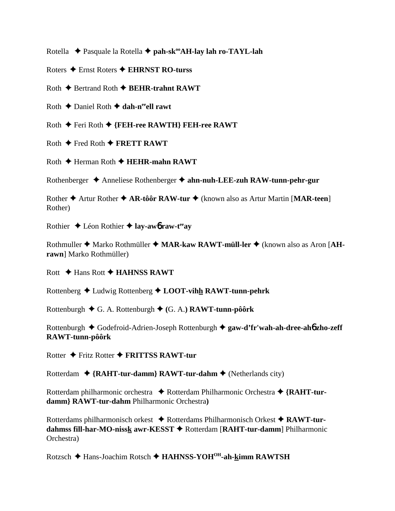Rotella  **→** Pasquale la Rotella **→ pah-sk<sup>oo</sup>AH-lay lah ro-TAYL-lah** 

Roters Ernst Roters **EHRNST RO-turss**

Roth **← Bertrand Roth ← BEHR-trahnt RAWT** 

Roth **←** Daniel Roth ← dah-n<sup>ee</sup>ell rawt

Roth Feri Roth **{FEH-ree RAWTH} FEH-ree RAWT**

 $R$ oth  $\triangle$  Fred Roth  $\triangle$  **FRETT RAWT** 

Roth **← Herman Roth ← HEHR-mahn RAWT** 

Rothenberger Anneliese Rothenberger **ahn-nuh-LEE-zuh RAW-tunn-pehr-gur**

Rother **◆** Artur Rother ◆ AR-tôôr RAW-tur ◆ (known also as Artur Martin [MAR-teen] Rother)

Rothier Léon Rothier **lay-aw**6 **raw-teeay**

Rothmuller ◆ Marko Rothmüller ◆ MAR-kaw RAWT-müll-ler ◆ (known also as Aron [AH**rawn**] Marko Rothmüller)

Rott **← Hans Rott ← HAHNSS RAWT** 

Rottenberg Ludwig Rottenberg **LOOT-vihh RAWT-tunn-pehrk**

Rottenburgh G. A. Rottenburgh **(**G. A.**) RAWT-tunn-pôôrk**

Rottenburgh Godefroid-Adrien-Joseph Rottenburgh **gaw-d'fr'wah-ah-dree-ah**6 **zho-zeff RAWT-tunn-pôôrk**

Rotter Fritz Rotter **FRITTSS RAWT-tur**

Rotterdam **{RAHT-tur-damm} RAWT-tur-dahm** (Netherlands city)

Rotterdam philharmonic orchestra ◆ Rotterdam Philharmonic Orchestra ◆ {RAHT-tur**damm} RAWT-tur-dahm** Philharmonic Orchestra**)**

Rotterdams philharmonisch orkest ◆ Rotterdams Philharmonisch Orkest ◆ RAWT-tur**dahmss fill-har-MO-nissk awr-KESST ♦ Rotterdam [RAHT-tur-damm] Philharmonic** Orchestra)

Rotzsch Hans-Joachim Rotsch **HAHNSS-YOHOH-ah-kimm RAWTSH**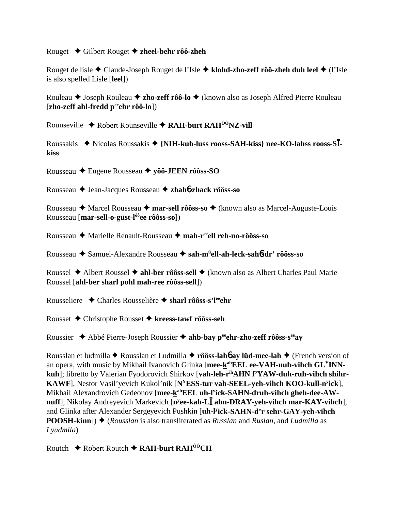#### Rouget Gilbert Rouget **zheel-behr rôô-zheh**

Rouget de lisle Claude-Joseph Rouget de l'Isle **klohd-zho-zeff rôô-zheh duh leel** (l'Isle is also spelled Lisle [**leel**])

Rouleau ◆ Joseph Rouleau ◆ zho-zeff rôô-lo ◆ (known also as Joseph Alfred Pierre Rouleau [**zho-zeff ahl-fredd peeehr rôô-lo**])

Rounseville  $\triangle$  Robert Rounseville  $\triangle$  RAH-burt RAH<sup> $0$ <sup>o</sup>NZ-vill</sup>

Roussakis ◆ Nicolas Roussakis ◆ {NIH-kuh-luss rooss-SAH-kiss} nee-KO-lahss rooss-S**Ikiss**

Rousseau Eugene Rousseau **yôô-JEEN rôôss-SO**

Rousseau Jean-Jacques Rousseau **zhah**6**-zhack rôôss-so**

Rousseau **→** Marcel Rousseau → mar-sell rôôss-so → (known also as Marcel-Auguste-Louis Rousseau [**mar-sell-o-güst-lôôee rôôss-so**])

Rousseau Marielle Renault-Rousseau **mah-reeell reh-no-rôôss-so**

Rousseau Samuel-Alexandre Rousseau **sah-mü ell-ah-leck-sah**6**-dr' rôôss-so**

Roussel ◆ Albert Roussel ◆ ahl-ber rôôss-sell ◆ (known also as Albert Charles Paul Marie Roussel [**ahl-ber sharl pohl mah-ree rôôss-sell**])

Rousseliere ◆ Charles Rousselière ◆ sharl rôôss-s'l<sup>ee</sup>ehr

Rousset Christophe Rousset **kreess-tawf rôôss-seh**

Roussier **→** Abbé Pierre-Joseph Roussier → ahb-bay peehr-zho-zeff rôôss-s<sup>ee</sup>ay

Rousslan et ludmilla Rousslan et Ludmilla **rôôss-lah**6 **ay lüd-mee-lah** (French version of an opera, with music by Mikhail Ivanovich Glinka [mee-k<sup>ah</sup>EEL ee-VAH-nuh-vihch GL<sup>Y</sup>INN**kuh**]; libretto by Valerian Fyodorovich Shirkov [**vah-leh-rihAHN f'YAW-duh-ruh-vihch shihr-KAWF**], Nestor Vasil'yevich Kukol'nik [**NYESS-tur vah-SEEL-yeh-vihch KOO-kull-ny ick**], Mikhail Alexandrovich Gedeonov [mee-kahEEL uh-l<sup>y</sup>ick-SAHN-druh-vihch gheh-dee-AW**nuff**], Nikolay Andreyevich Markevich [**ny ee-kah-L ahn-DRAY-yeh-vihch mar-KAY-vihch**], and Glinka after Alexander Sergeyevich Pushkin [**uh-ly ick-SAHN-d'r sehr-GAY-yeh-vihch POOSH-kinn**])  $\triangle$  (*Rousslan* is also transliterated as *Russlan* and *Ruslan*, and *Ludmilla* as *Lyudmila*)

Routch Robert Routch **RAH-burt RAHÔÔCH**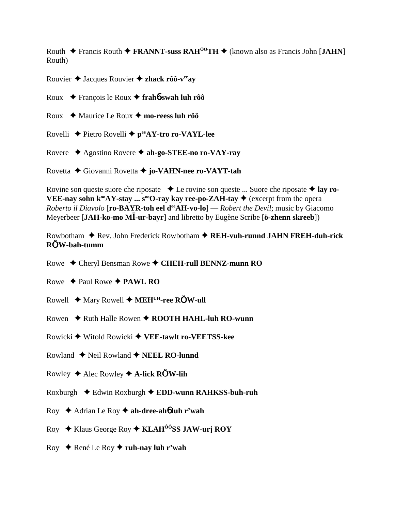Routh Francis Routh **FRANNT-suss RAHÔÔTH** (known also as Francis John [**JAHN**] Routh)

Rouvier Jacques Rouvier **zhack rôô-veeay**

Roux François le Roux **frah**6**-swah luh rôô**

Roux **→** Maurice Le Roux → mo-reess luh rôô

Rovelli ♦ Pietro Rovelli ♦ p<sup>ee</sup>AY-tro ro-VAYL-lee

Rovere Agostino Rovere **ah-go-STEE-no ro-VAY-ray**

Rovetta Giovanni Rovetta **jo-VAHN-nee ro-VAYT-tah**

Rovine son queste suore che riposate **→** Le rovine son queste ... Suore che riposate **→ lay ro-VEE-nay sohn k<sup>oo</sup>AY-stay ... s<sup>oo</sup>O-ray kay ree-po-ZAH-tay**  $\blacklozenge$  (excerpt from the opera *Roberto il Diavolo* [ro-BAYR-toh eel d<sup>ee</sup>AH-vo-lo] — *Robert the Devil*; music by Giacomo Meyerbeer [**JAH-ko-mo M-ur-bayr**] and libretto by Eugène Scribe [**ö-zhenn skreeb**])

Rowbotham ◆ Rev. John Frederick Rowbotham ◆ REH-vuh-runnd JAHN FREH-duh-rick **RW-bah-tumm**

Rowe Cheryl Bensman Rowe **CHEH-rull BENNZ-munn RO**

- Rowe  $\triangle$  Paul Rowe  $\triangle$  PAWL RO
- Rowell  $\triangle$  Mary Rowell  $\triangle$  MEH<sup>UH</sup>-ree ROW-ull
- Rowen ◆ Ruth Halle Rowen ◆ ROOTH HAHL-luh RO-wunn
- Rowicki Witold Rowicki **VEE-tawlt ro-VEETSS-kee**
- Rowland  $\triangle$  Neil Rowland  $\triangle$  **NEEL RO-lunnd**
- Rowley  $\triangle$  Alec Rowley  $\triangle$  A-lick ROW-lih
- Roxburgh Edwin Roxburgh **EDD-wunn RAHKSS-buh-ruh**
- Roy Adrian Le Roy **ah-dree-ah**6 **luh r'wah**
- Roy Klaus George Roy  **KLAHÔÔSS JAW-urj ROY**
- Roy René Le Roy **ruh-nay luh r'wah**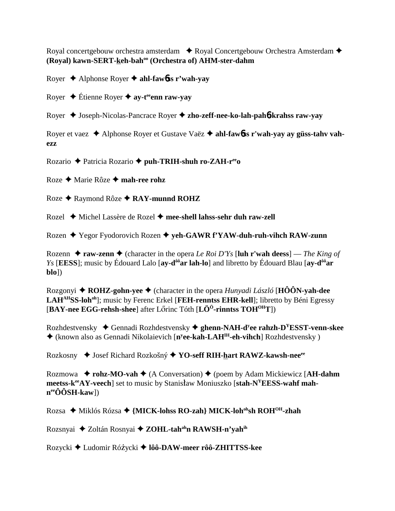Royal concertgebouw orchestra amsterdam  $\rightarrow$  Royal Concertgebouw Orchestra Amsterdam  $\rightarrow$ **(Royal) kawn-SERT-keh-bahoo (Orchestra of) AHM-ster-dahm**

Royer Alphonse Royer **ahl-faw**6**ss r'wah-yay**

Royer **→** Étienne Royer **→ ay-t<sup>ee</sup>enn raw-yay** 

Royer Joseph-Nicolas-Pancrace Royer **zho-zeff-nee-ko-lah-pah**6**-krahss raw-yay**

Royer et vaez Alphonse Royer et Gustave Vaëz **ahl-faw**6**ss r'wah-yay ay güss-tahv vahezz**

Rozario Patricia Rozario **puh-TRIH-shuh ro-ZAH-reeo**

Roze Marie Rôze **mah-ree rohz**

Roze **←** Raymond Rôze ← RAY-munnd ROHZ

Rozel Michel Lassère de Rozel **mee-shell lahss-sehr duh raw-zell**

Rozen Yegor Fyodorovich Rozen **yeh-GAWR f'YAW-duh-ruh-vihch RAW-zunn**

Rozenn  $\triangle$  **raw-zenn**  $\triangle$  (character in the opera *Le Roi D'Ys* [luh r'wah deess] — *The King of Ys* [**EESS**]; music by Édouard Lalo [**ay-d<sup>ôô</sup>ar lah-lo**] and libretto by Édouard Blau [**ay-d**<sup>ôô</sup>**ar blo**])

Rozgonyi **ROHZ-gohn-yee** (character in the opera *Hunyadi László* [**HÔÔN-yah-dee** LAH<sup>AH</sup>SS-loh<sup>oh</sup>]; music by Ferenc Erkel [**FEH-renntss EHR-kell**]; libretto by Béni Egressy [**BAY-nee EGG-rehsh-shee**] after Lrinc Tóth [**LÖÖ-rinntss TOHOHT**])

Rozhdestvensky ◆ Gennadi Rozhdestvensky ◆ ghenn-NAH-d<sup>y</sup>ee rahzh-D<sup>Y</sup>ESST-venn-skee ◆ (known also as Gennadi Nikolaievich [n<sup>y</sup>ee-kah-LAH<sup>IH</sup>-eh-vihch] Rozhdestvensky )

Rozkosny ◆ Josef Richard Rozkošný ◆ YO-seff RIH-hart RAWZ-kawsh-nee<sup>ee</sup>

Rozmowa **↓ rohz-MO-vah ♦** (A Conversation) ♦ (poem by Adam Mickiewicz [AH-dahm meetss-k<sup>ee</sup>AY-veech] set to music by Stanisław Moniuszko [stah-N<sup>Y</sup>EESS-wahf mah**neeÔÔSH-kaw**])

Rozsa ◆ Miklós Rózsa ◆ {MICK-lohss RO-zah} MICK-loh<sup>oh</sup>sh ROH<sup>OH</sup>-zhah

Rozsnyai ◆ Zoltán Rosnyai ◆ ZOHL-tah<sup>ah</sup>n RAWSH-n'yah<sup>ih</sup>

Rozycki ◆ Ludomir Różycki ◆ lôô-DAW-meer rôô-ZHITTSS-kee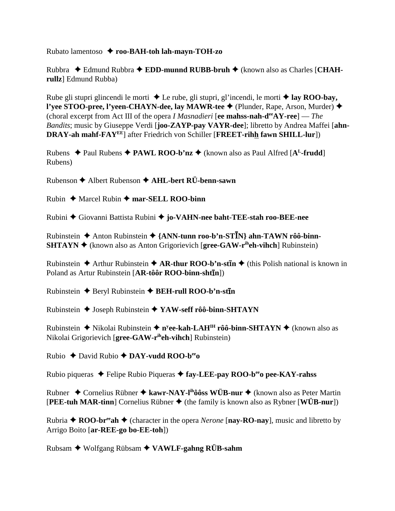Rubato lamentoso  **roo-BAH-toh lah-mayn-TOH-zo**

Rubbra Edmund Rubbra **EDD-munnd RUBB-bruh** (known also as Charles [**CHAHrullz**] Edmund Rubba)

Rube gli stupri glincendi le morti  $\triangle$  Le rube, gli stupri, gl'incendi, le morti  $\triangle$  lay ROO-bay, **l'yee STOO-pree, l'yeen-CHAYN-dee, lay MAWR-tee ♦** (Plunder, Rape, Arson, Murder) ♦ (choral excerpt from Act III of the opera *I Masnadieri* [**ee mahss-nah-deeAY-ree**] — *The Bandits*; music by Giuseppe Verdi [**joo-ZAYP-pay VAYR-dee**]; libretto by Andrea Maffei [**ahn-DRAY-ah mahf-FAYEE**] after Friedrich von Schiller [**FREET-rihh fawn SHILL-lur**])

Rubens  $\triangle$  Paul Rubens  $\triangle$  **PAWL ROO-b'nz**  $\triangle$  (known also as Paul Alfred [A<sup>L</sup>-frudd] Rubens)

Rubenson Albert Rubenson **AHL-bert RÜ-benn-sawn**

 $Rubin \rightarrow \text{Marcel}$  Rubin  $\rightarrow \text{mar-SELL}$  ROO-binn

Rubini Giovanni Battista Rubini **jo-VAHN-nee baht-TEE-stah roo-BEE-nee**

Rubinstein Anton Rubinstein **{ANN-tunn roo-b'n-STN} ahn-TAWN rôô-binn-SHTAYN ♦** (known also as Anton Grigorievich [**gree-GAW-r**<sup>ih</sup>eh-vihch] Rubinstein)

Rubinstein ◆ Arthur Rubinstein ◆ AR-thur ROO-b'n-st**īn** ◆ (this Polish national is known in Poland as Artur Rubinstein [AR-tôôr ROO-binn-shtīn])

**Rubinstein ♦ Beryl Rubinstein ♦ BEH-rull ROO-b'n-stin** 

Rubinstein Joseph Rubinstein **YAW-seff rôô-binn-SHTAYN**

Rubinstein ◆ Nikolai Rubinstein ◆ n<sup>y</sup>ee-kah-LAH<sup>IH</sup> rôô-binn-SHTAYN ◆ (known also as Nikolai Grigorievich [**gree-GAW-riheh-vihch**] Rubinstein)

Rubio David Rubio **DAY-vudd ROO-beeo**

Rubio piqueras ◆ Felipe Rubio Piqueras ◆ fay-LEE-pay ROO-b<sup>ee</sup> pee-KAY-rahss

Rubner ◆ Cornelius Rübner ◆ kawr-NAY-l<sup>ih</sup>ôôss WÜB-nur ◆ (known also as Peter Martin  $[PEE-tuh MAR-tinn]$  Cornelius Rübner  $\blacklozenge$  (the family is known also as Rybner  $[WUB-nur]$ )

Rubria  $\triangle$  **ROO-br<sup>ee</sup>ah**  $\triangle$  (character in the opera *Nerone* [**nay-RO-nay**], music and libretto by Arrigo Boito [**ar-REE-go bo-EE-toh**])

Rubsam Wolfgang Rübsam **VAWLF-gahng RÜB-sahm**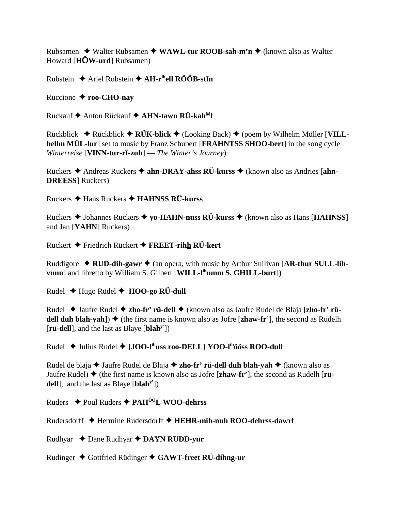Rubsamen  $\rightarrow$  Walter Rubsamen  $\rightarrow$  WAWL-tur ROOB-sah-m'n  $\rightarrow$  (known also as Walter Howard  $[H\ddot{\text{O}}W$ -urd Rubsamen)

Rubstein  $\triangle$  Ariel Rubstein  $\triangle$  AH-r<sup>ih</sup>ell RÔÔB-st**in** 

Ruccione  $\triangle$  roo-CHO-nay

Ruckauf ♦ Anton Rückauf ♦ AHN-tawn RÜ-kah<sup>ôô</sup>f

Ruckblick ◆ Rückblick ◆ RÜK-blick ◆ (Looking Back) ◆ (poem by Wilhelm Müller [VILLhellm MÜL-lur] set to music by Franz Schubert [FRAHNTSS SHOO-bert] in the song cycle Winterreise [VINN-tur-r $\overline{\mathbf{i}}$ -zuh] — The Winter's Journey)

Ruckers  $\triangle$  Andreas Ruckers  $\triangle$  ahn-DRAY-ahss RÜ-kurss  $\triangle$  (known also as Andries [ahn-**DREESS** Ruckers

Ruckers  $\triangle$  Hans Ruckers  $\triangle$  HAHNSS RÜ-kurss

Ruckers ◆ Johannes Ruckers ◆ yo-HAHN-nuss RÜ-kurss ◆ (known also as Hans [HAHNSS] and Jan [YAHN] Ruckers)

Ruckert  $\blacklozenge$  Friedrich Rückert  $\blacklozenge$  FREET-rihh RÜ-kert

Ruddigore  $\triangle$  RUD-dih-gawr  $\triangle$  (an opera, with music by Arthur Sullivan [AR-thur SULL-lihvunn] and libretto by William S. Gilbert [WILL-l<sup>ih</sup>umm S. GHILL-burt])

Rudel  $\triangle$  Hugo Rüdel  $\triangle$  HOO-go RÜ-dull

Rudel ◆ Jaufre Rudel ◆ zho-fr' rü-dell ◆ (known also as Jaufre Rudel de Blaja [zho-fr' rüdell duh blah-yah])  $\blacklozenge$  (the first name is known also as Jofre [zhaw-fr'], the second as Rudelh [ $\text{r\ddot{u}}\text{-d\dot{ell}}$ ], and the last as Blaye [blah<sup>y'</sup>])

Rudel  $\blacklozenge$  Julius Rudel  $\blacklozenge$  {JOO-l<sup>ih</sup>uss roo-DELL} YOO-l<sup>ih</sup>ôôss ROO-dull

Rudel de blaja  $\triangle$  Jaufre Rudel de Blaja  $\triangle$  zho-fr' rü-dell duh blah-yah  $\triangle$  (known also as Jaufre Rudel)  $\blacklozenge$  (the first name is known also as Jofre [zhaw-fr'], the second as Rudelh [rüdell], and the last as Blaye  $[\mathbf{blah}^y]$ 

Ruders  $\triangle$  Poul Ruders  $\triangle$  PAH<sup>00</sup>L WOO-dehrss

Rudersdorff ◆ Hermine Rudersdorff ◆ HEHR-mih-nuh ROO-dehrss-dawrf

Rudhyar  $\triangle$  Dane Rudhyar  $\triangle$  DAYN RUDD-yur

Rudinger  $\triangle$  Gottfried Rüdinger  $\triangle$  GAWT-freet RÜ-dihng-ur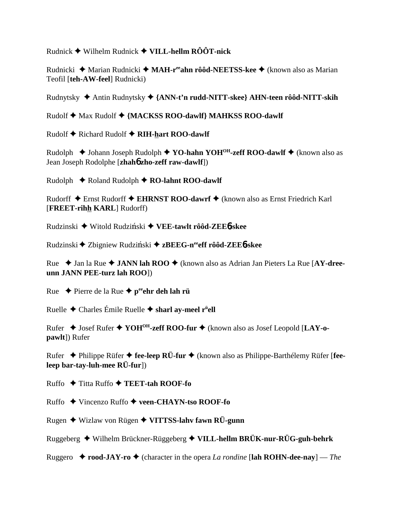Rudnick Wilhelm Rudnick **VILL-hellm RÔÔT-nick**

Rudnicki ◆ Marian Rudnicki ◆ MAH-r<sup>ee</sup>ahn rôôd-NEETSS-kee ◆ (known also as Marian Teofil [**teh-AW-feel**] Rudnicki)

Rudnytsky Antin Rudnytsky **{ANN-t'n rudd-NITT-skee} AHN-teen rôôd-NITT-skih**

Rudolf ◆ Max Rudolf ◆ {MACKSS ROO-dawlf} MAHKSS ROO-dawlf

Rudolf ♦ Richard Rudolf ♦ RIH-hart ROO-dawlf

Rudolph **→** Johann Joseph Rudolph ◆ YO-hahn YOH<sup>OH</sup>-zeff ROO-dawlf ◆ (known also as Jean Joseph Rodolphe [**zhah**6 **zho-zeff raw-dawlf**])

Rudolph **←** Roland Rudolph ← RO-lahnt ROO-dawlf

Rudorff Ernst Rudorff **EHRNST ROO-dawrf** (known also as Ernst Friedrich Karl [**FREET-rihh KARL**] Rudorff)

Rudzinski ◆ Witold Rudziński ◆ VEE-tawlt rôôd-ZEE6-skee

Rudzinski ◆ Zbigniew Rudziński ◆ zBEEG-n<sup>ee</sup>eff rôôd-ZEE6-skee

Rue **→** Jan la Rue ◆ **JANN lah ROO** ◆ (known also as Adrian Jan Pieters La Rue [AY-dree**unn JANN PEE-turz lah ROO**])

Rue Pierre de la Rue **peeehr deh lah rü**

Ruelle Charles Émile Ruelle **sharl ay-meel rü ell**

Rufer Josef Rufer **YOHOH-zeff ROO-fur** (known also as Josef Leopold [**LAY-opawlt**]) Rufer

Rufer Philippe Rüfer **fee-leep RÜ-fur** (known also as Philippe-Barthélemy Rüfer [**feeleep bar-tay-luh-mee RÜ-fur**])

Ruffo Titta Ruffo **TEET-tah ROOF-fo**

Ruffo Vincenzo Ruffo **veen-CHAYN-tso ROOF-fo**

Rugen Wizlaw von Rügen **VITTSS-lahv fawn RÜ-gunn**

Ruggeberg Wilhelm Brückner-Rüggeberg **VILL-hellm BRÜK-nur-RÜG-guh-behrk**

Ruggero  $\triangle$  **rood-JAY-ro**  $\triangle$  (character in the opera *La rondine* [lah ROHN-dee-nay] — *The*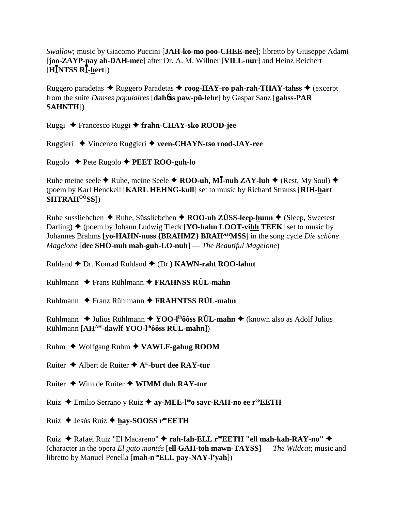Swallow; music by Giacomo Puccini [JAH-ko-mo poo-CHEE-nee]; libretto by Giuseppe Adami [joo-ZAYP-pay ah-DAH-mee] after Dr. A. M. Willner [VILL-nur] and Heinz Reichert [H $\bar{I}$ NTSS R $\bar{I}$ -hert])

Ruggero paradetas  $\triangle$  Ruggero Paradetas  $\triangle$  roog-HAY-ro pah-rah-THAY-tahss  $\triangle$  (excerpt from the suite *Danses populaires* [dah**6ss paw-pü-lehr**] by Gaspar Sanz [gahss-PAR] **SAHNTH])** 

Ruggi ◆ Francesco Ruggi ◆ frahn-CHAY-sko ROOD-jee

Ruggieri ◆ Vincenzo Ruggieri ◆ veen-CHAYN-tso rood-JAY-ree

Rugolo  $\triangle$  Pete Rugolo  $\triangle$  PEET ROO-guh-lo

Ruhe meine seele  $\blacklozenge$  Ruhe, meine Seele  $\blacklozenge$  ROO-uh, MI-nuh ZAY-luh  $\blacklozenge$  (Rest, My Soul)  $\blacklozenge$ (poem by Karl Henckell [KARL HEHNG-kull] set to music by Richard Strauss [RIH-hart] SHTRAH<sup>ôô</sup>SS])

Ruhe sussliebchen  $\triangle$  Ruhe, Süssliebchen  $\triangle$  ROO-uh ZÜSS-leep-hunn  $\triangle$  (Sleep, Sweetest Darling)  $\blacklozenge$  (poem by Johann Ludwig Tieck [YO-hahn LOOT-vihh TEEK] set to music by Johannes Brahms [vo-HAHN-nuss {BRAHMZ} BRAH<sup>AH</sup>MSS] in the song cycle *Die schöne Magelone* [dee SH $\ddot{\text{o}}$ -nuh mah-guh-LO-nuh] — *The Beautiful Magelone*)

Ruhland ♦ Dr. Konrad Ruhland ♦ (Dr.) KAWN-raht ROO-lahnt

Ruhlmann  $\triangle$  Frans Rühlmann  $\triangle$  FRAHNSS RÜL-mahn

Ruhlmann  $\triangle$  Franz Rühlmann  $\triangle$  FRAHNTSS RÜL-mahn

Ruhlmann  $\triangle$  Julius Rühlmann  $\triangle$  YOO-I<sup>th</sup> 66ss RÜL-mahn  $\triangle$  (known also as Adolf Julius Rühlmann [AH<sup>AH</sup>-dawlf YOO-l<sup>ih</sup>ôôss RÜL-mahn])

Ruhm  $\blacklozenge$  Wolfgang Ruhm  $\blacklozenge$  VAWLF-gahng ROOM

Ruiter  $\triangle$  Albert de Ruiter  $\triangle$  A<sup>L</sup>-burt dee RAY-tur

Ruiter  $\triangleq$  Wim de Ruiter  $\triangleq$  WIMM duh RAY-tur

Ruiz → Emilio Serrano y Ruiz → av-MEE-l<sup>ee</sup>o savr-RAH-no ee r<sup>oo</sup>EETH

Ruiz ♦ Jesús Ruiz ♦ hay-SOOSS r<sup>oo</sup>EETH

Ruiz ◆ Rafael Ruiz "El Macareno" ◆ rah-fah-ELL r<sup>oo</sup>EETH "ell mah-kah-RAY-no" ◆ (character in the opera El gato montés [ell GAH-toh mawn-TAYSS] — The Wildcat; music and libretto by Manuel Penella [mah-n<sup>oo</sup>ELL pay-NAY-l'yah])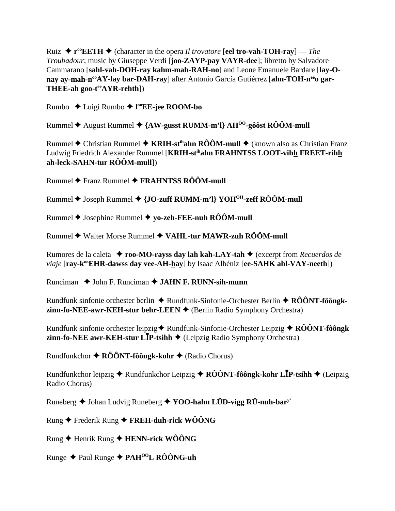Ruiz  $\blacklozenge$  **r**<sup>oo</sup>**EETH**  $\blacklozenge$  (character in the opera *Il trovatore* [**eel tro-vah-TOH-ray**] — *The Troubadour*; music by Giuseppe Verdi [**joo-ZAYP-pay VAYR-dee**]; libretto by Salvadore Cammarano [**sahl-vah-DOH-ray kahm-mah-RAH-no**] and Leone Emanuele Bardare [**lay-O**nay ay-mah-n<sup>oo</sup>AY-lay bar-DAH-ray] after Antonio García Gutiérrez [ahn-TOH-n<sup>ee</sup>o gar-**THEE-ah goo-teeAYR-rehth**])

Rumbo Luigi Rumbo **l ooEE-jee ROOM-bo**

Rummel ♦ August Rummel ♦ {AW-gusst RUMM-m'l} AH<sup>ôô</sup>-gôôst RÔÔM-mull

Rummel ◆ Christian Rummel ◆ KRIH-st<sup>ih</sup>ahn RÔÔM-mull ◆ (known also as Christian Franz Ludwig Friedrich Alexander Rummel [**KRIH-stihahn FRAHNTSS LOOT-vihh FREET-rihh ah-leck-SAHN-tur RÔÔM-mull**])

Rummel **←** Franz Rummel ← FRAHNTSS RÔÔM-mull

Rummel ♦ Joseph Rummel ♦ {**JO-zuff RUMM-m'l**} YOH<sup>OH</sup>-zeff RÔÔM-mull

Rummel Josephine Rummel **yo-zeh-FEE-nuh RÔÔM-mull**

Rummel **→** Walter Morse Rummel ◆ VAHL-tur MAWR-zuh RÔÔM-mull

Rumores de la caleta **roo-MO-rayss day lah kah-LAY-tah** (excerpt from *Recuerdos de viaje* [ray-k<sup>oo</sup>EHR-dawss day vee-AH-hay] by Isaac Albéniz [ee-SAHK ahl-VAY-neeth])

Runciman **→** John F. Runciman **→ JAHN F. RUNN-sih-munn** 

Rundfunk sinfonie orchester berlin ◆ Rundfunk-Sinfonie-Orchester Berlin ◆ RÔÔNT-fôôngk**zinn-fo-NEE-awr-KEH-stur behr-LEEN ♦** (Berlin Radio Symphony Orchestra)

Rundfunk sinfonie orchester leipzig ♦ Rundfunk-Sinfonie-Orchester Leipzig ♦ RÔÔNT-fôôngk **zinn-fo-NEE awr-KEH-stur L<sup>I</sup>P-tsihh →** (Leipzig Radio Symphony Orchestra)

Rundfunkchor **RÔÔNT-fôôngk-kohr** (Radio Chorus)

Rundfunkchor leipzig Rundfunkchor Leipzig **RÔÔNT-fôôngk-kohr LP-tsihh** (Leipzig Radio Chorus)

Runeberg ♦ Johan Ludvig Runeberg ♦ YOO-hahn LÜD-vigg RÜ-nuh-bar<sup>y'</sup>

Rung Frederik Rung **FREH-duh-rick WÔÔNG**

Rung Henrik Rung **HENN-rick WÔÔNG**

Runge Paul Runge **PAHÔÔL RÔÔNG-uh**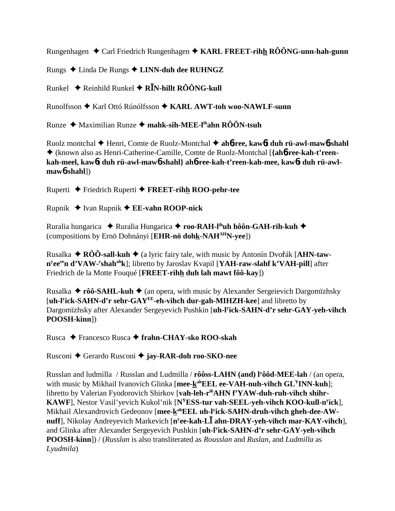Rungenhagen Carl Friedrich Rungenhagen **KARL FREET-rihh RÔÔNG-unn-hah-gunn**

Rungs Linda De Rungs **LINN-duh dee RUHNGZ**

Runkel Reinhild Runkel **RN-hillt RÔÔNG-kull**

Runolfsson ◆ Karl Ottó Rúnólfsson ◆ KARL AWT-toh woo-NAWLF-sunn

Runze Maximilian Runze **mahk-sih-MEE-lihahn RÔÔN-tsuh**

Ruolz montchal Henri, Comte de Ruolz-Montchal **ah**6**-ree, kaw**6**t duh rü-awl-maw**6**-shahl** (known also as Henri-Catherine-Camille, Comte de Ruolz-Montchal [**{ah**6**-ree-kah-t'reenkah-meel, kaw**6**t duh rü-awl-maw**6**-shahl} ah**6**-ree-kah-t'reen-kah-mee, kaw**6**t duh rü-awlmaw**6**-shahl**])

Ruperti Friedrich Ruperti  **FREET-rihh ROO-pehr-tee**

Rupnik Ivan Rupnik **EE-vahn ROOP-nick**

Ruralia hungarica ◆ Ruralia Hungarica ◆ roo-RAH-l<sup>ih</sup>uh hôôn-GAH-rih-kuh ◆ (compositions by Ernö Dohnányi [**EHR-nö dohk-NAHAHN-yee**])

Rusalka  $\triangle$  **RÔÔ-sall-kuh**  $\triangle$  (a lyric fairy tale, with music by Antonín Dvořák [AHN-taw**n<sup>y</sup>ee<sup>ee</sup>n d'VAW-<sup>r</sup>shah<sup>ah</sup>k]; libretto by Jaroslav Kvapil [<b>YAH-raw-slahf k'VAH-pill**] after Friedrich de la Motte Fouqué [**FREET-rihh duh lah mawt fôô-kay**])

Rusalka **← rôô-SAHL-kuh ←** (an opera, with music by Alexander Sergeievich Dargomïzhsky [**uh-ly ick-SAHN-d'r sehr-GAYEE-eh-vihch dur-gah-MIHZH-kee**] and libretto by Dargomïzhsky after Alexander Sergeyevich Pushkin [**uh-ly ick-SAHN-d'r sehr-GAY-yeh-vihch POOSH-kinn**])

Rusca Francesco Rusca **frahn-CHAY-sko ROO-skah**

Rusconi Gerardo Rusconi **jay-RAR-doh roo-SKO-nee**

Russlan and ludmilla / Russlan and Ludmilla / **rôôss-LAHN (and) ly ôôd-MEE-lah** / (an opera, with music by Mikhail Ivanovich Glinka [mee-k<sup>ah</sup>EEL ee-VAH-nuh-vihch GL<sup>Y</sup>INN-kuh]; libretto by Valerian Fyodorovich Shirkov [vah-leh-r<sup>ih</sup>AHN f'YAW-duh-ruh-vihch shihr-**KAWF**], Nestor Vasil'yevich Kukol'nik [**NYESS-tur vah-SEEL-yeh-vihch KOO-kull-ny ick**], Mikhail Alexandrovich Gedeonov [mee-kahEEL uh-l<sup>y</sup>ick-SAHN-druh-vihch gheh-dee-AW**nuff**], Nikolay Andreyevich Markevich [**ny ee-kah-L ahn-DRAY-yeh-vihch mar-KAY-vihch**], and Glinka after Alexander Sergeyevich Pushkin [**uh-ly ick-SAHN-d'r sehr-GAY-yeh-vihch POOSH-kinn**]) / (*Russlan* is also transliterated as *Rousslan* and *Ruslan*, and *Ludmilla* as *Lyudmila*)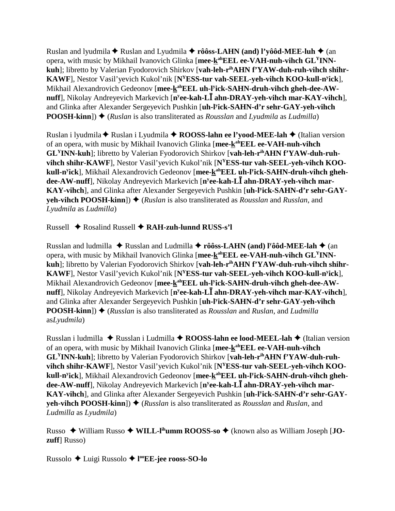Ruslan and lyudmila  $\blacklozenge$  Ruslan and Lyudmila  $\blacklozenge$  rôôss-LAHN (and) l'yôôd-MEE-luh  $\blacklozenge$  (an opera, with music by Mikhail Ivanovich Glinka [**mee-kahEEL ee-VAH-nuh-vihch GLYINNkuh**]; libretto by Valerian Fyodorovich Shirkov [**vah-leh-rihAHN f'YAW-duh-ruh-vihch shihr-KAWF**], Nestor Vasil'yevich Kukol'nik [**NYESS-tur vah-SEEL-yeh-vihch KOO-kull-ny ick**], Mikhail Alexandrovich Gedeonov [mee-kahEEL uh-l<sup>y</sup>ick-SAHN-druh-vihch gheh-dee-AW**nuff**], Nikolay Andreyevich Markevich [**ny ee-kah-L ahn-DRAY-yeh-vihch mar-KAY-vihch**], and Glinka after Alexander Sergeyevich Pushkin [**uh-ly ick-SAHN-d'r sehr-GAY-yeh-vihch POOSH-kinn**])  $\triangle$  (*Ruslan* is also transliterated as *Rousslan* and *Lyudmila* as *Ludmilla*)

Ruslan i lyudmila **◆** Ruslan i Lyudmila ◆ **ROOSS-lahn ee l'yood-MEE-lah** ◆ (Italian version of an opera, with music by Mikhail Ivanovich Glinka [**mee-kahEEL ee-VAH-nuh-vihch GLYINN-kuh**]; libretto by Valerian Fyodorovich Shirkov [**vah-leh-rihAHN f'YAW-duh-ruhvihch shihr-KAWF**], Nestor Vasil'yevich Kukol'nik [**NYESS-tur vah-SEEL-yeh-vihch KOOkull-n<sup>y</sup>ick**], Mikhail Alexandrovich Gedeonov [**mee-<u>k</u>ªʰEEL uh-l<sup>y</sup>ick-SAHN-druh-vihch gheh**dee-AW-nuff], Nikolay Andreyevich Markevich [n<sup>y</sup>ee-kah-L**I** ahn-DRAY-yeh-vihch mar-**KAY-vihch**], and Glinka after Alexander Sergeyevich Pushkin [**uh-ly ick-SAHN-d'r sehr-GAYyeh-vihch POOSH-kinn**])  $\triangle$  (*Ruslan* is also transliterated as *Rousslan* and *Russlan*, and *Lyudmila* as *Ludmilla*)

Russell Rosalind Russell **RAH-zuh-lunnd RUSS-s'l**

Russlan and ludmilla ◆ Russlan and Ludmilla ◆ rôôss-LAHN (and) l<sup>y</sup>ôôd-MEE-lah ◆ (an opera, with music by Mikhail Ivanovich Glinka [**mee-kahEEL ee-VAH-nuh-vihch GLYINN**kuh]; libretto by Valerian Fyodorovich Shirkov [vah-leh-r<sup>ih</sup>AHN f'YAW-duh-ruh-vihch shihr-**KAWF**], Nestor Vasil'yevich Kukol'nik [**NYESS-tur vah-SEEL-yeh-vihch KOO-kull-ny ick**], Mikhail Alexandrovich Gedeonov [mee-kahEEL uh-l<sup>y</sup>ick-SAHN-druh-vihch gheh-dee-AW**nuff**], Nikolay Andreyevich Markevich [n<sup>y</sup>ee-kah-L**I** ahn-DRAY-yeh-vihch mar-KAY-vihch], and Glinka after Alexander Sergeyevich Pushkin [**uh-ly ick-SAHN-d'r sehr-GAY-yeh-vihch POOSH-kinn**]) ♦ (*Russlan* is also transliterated as *Rousslan* and *Ruslan*, and *Ludmilla* as*Lyudmila*)

Russlan i ludmilla ◆ Russlan i Ludmilla ◆ **ROOSS-lahn ee lood-MEEL-lah ◆** (Italian version of an opera, with music by Mikhail Ivanovich Glinka [mee-kahEEL ee-VAH-nuh-vihch **GLYINN-kuh**]; libretto by Valerian Fyodorovich Shirkov [**vah-leh-rihAHN f'YAW-duh-ruhvihch shihr-KAWF**], Nestor Vasil'yevich Kukol'nik [**NYESS-tur vah-SEEL-yeh-vihch KOOkull-n<sup>y</sup>ick**], Mikhail Alexandrovich Gedeonov [**mee-<u>k</u>ªʰEEL uh-l<sup>y</sup>ick-SAHN-druh-vihch gheh**dee-AW-nuff], Nikolay Andreyevich Markevich [n<sup>y</sup>ee-kah-L**I** ahn-DRAY-yeh-vihch mar-**KAY-vihch**], and Glinka after Alexander Sergeyevich Pushkin [**uh-ly ick-SAHN-d'r sehr-GAYyeh-vihch POOSH-kinn**])  $\blacklozenge$  (*Russlan* is also transliterated as *Rousslan* and *Ruslan*, and *Ludmilla* as *Lyudmila*)

Russo ◆ William Russo ◆ WILL-I<sup>ih</sup>umm ROOSS-so ◆ (known also as William Joseph [**JOzuff**] Russo)

Russolo Luigi Russolo **l ooEE-jee rooss-SO-lo**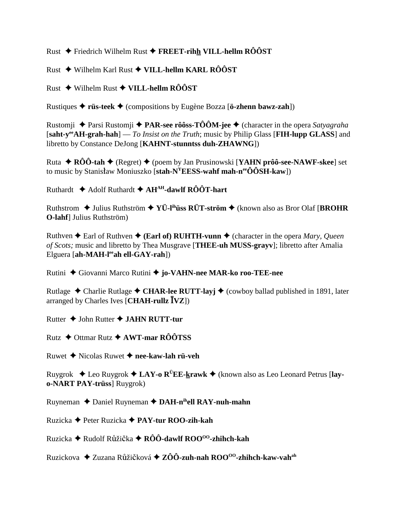Rust ◆ Friedrich Wilhelm Rust ◆ FREET-rihh VILL-hellm  $\angle$ RÔÔST

Rust  $\triangle$  Wilhelm Karl Rust  $\triangle$  VILL-hellm KARL RÔÔST

Rust ◆ Wilhelm Rust ◆ VILL-hellm RÔÔST

Rustiques  $\triangleq$  rüs-teek  $\triangleq$  (compositions by Eugène Bozza [ö-zhenn bawz-zah])

Rustomji → Parsi Rustomji → PAR-see rôôss-TÔÔM-jee → (character in the opera Satyagraha [saht-y<sup>ee</sup>AH-grah-hah] — To Insist on the Truth; music by Philip Glass [FIH-lupp GLASS] and libretto by Constance DeJong [KAHNT-stunntss duh-ZHAWNG])

Ruta ◆  $\angle$ RÔÔ-tah ◆ (Regret) ◆ (poem by Jan Prusinowski [YAHN prôô-see-NAWF-skee] set to music by Stanisław Moniuszko [stah- $N^{\gamma}$ EESS-wahf mah-n<sup>ee</sup>ÔÔSH-kaw])

Ruthardt  $\triangleq$  Adolf Ruthardt  $\triangleq$  AH<sup>AH</sup>-dawlf ROOT-hart

Ruthstrom → Julius Ruthström → YÜ-I<sup>ih</sup>**üss RÜT-ström** → (known also as Bror Olaf [BROHR] **O-lahf**] Julius Ruthström)

Ruthven  $\triangle$  Earl of Ruthven  $\triangle$  (Earl of) RUHTH-vunn  $\triangle$  (character in the opera *Mary*, *Queen* of Scots; music and libretto by Thea Musgrave [THEE-uh MUSS-grayv]; libretto after Amalia Elguera [ah-MAH-lee ah ell-GAY-rah])

Rutini ◆ Giovanni Marco Rutini ◆ jo-VAHN-nee MAR-ko roo-TEE-nee

Rutlage  $\triangle$  Charlie Rutlage  $\triangle$  CHAR-lee RUTT-lavi  $\triangle$  (cowboy ballad published in 1891, later arranged by Charles Ives [CHAH-rullz  $\bar{I}VZ$ ])

Rutter  $\triangle$  John Rutter  $\triangle$  JAHN RUTT-tur

Rutz  $\div$  Ottmar Rutz  $\div$  AWT-mar RÔÔTSS

Ruwet  $\triangle$  Nicolas Ruwet  $\triangle$  nee-kaw-lah rii-veh

Ruygrok  $\triangle$  Leo Ruygrok  $\triangle$  LAY-o R<sup>Ü</sup>EE-krawk  $\triangle$  (known also as Leo Leonard Petrus [lay**o-NART PAY-trüss**] Ruygrok)

Ruyneman  $\triangle$  Daniel Ruyneman  $\triangle$  DAH-n<sup>ih</sup>ell RAY-nuh-mahn

Ruzicka → Peter Ruzicka → PAY-tur ROO-zih-kah

Ruzicka  $\triangle$  Rudolf Růžička  $\triangle$  RÔÔ-dawlf ROO<sup>00</sup>-zhihch-kah

Ruzickova → Zuzana Růžičková → ZÔÔ-zuh-nah ROO<sup>00</sup>-zhihch-kaw-vah<sup>ah</sup>